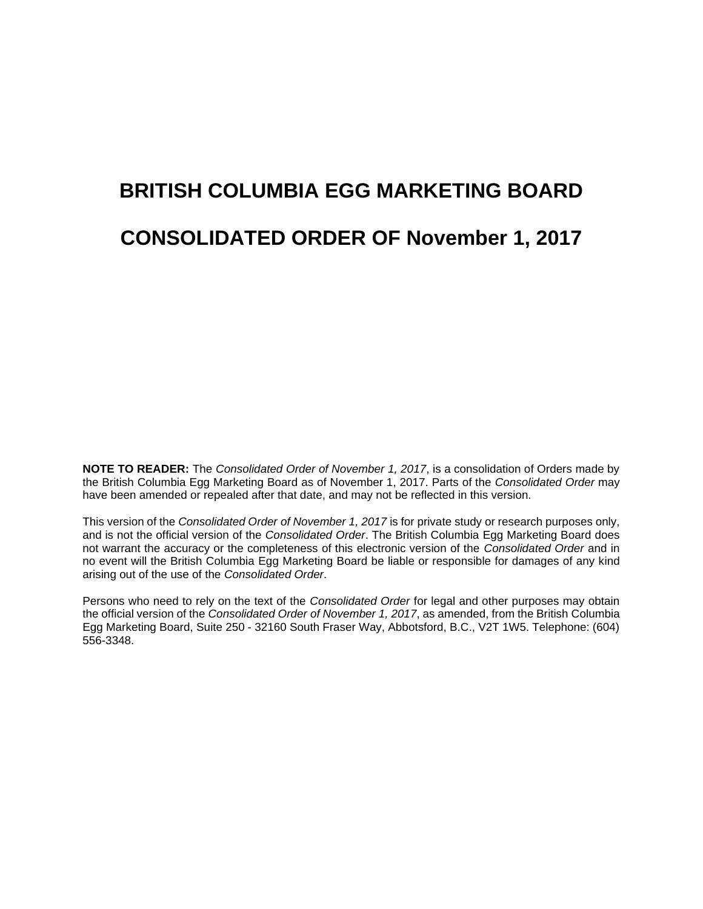# **BRITISH COLUMBIA EGG MARKETING BOARD CONSOLIDATED ORDER OF November 1, 2017**

**NOTE TO READER:** The *Consolidated Order of November 1, 2017*, is a consolidation of Orders made by the British Columbia Egg Marketing Board as of November 1, 2017. Parts of the *Consolidated Order* may have been amended or repealed after that date, and may not be reflected in this version.

This version of the *Consolidated Order of November 1, 2017* is for private study or research purposes only, and is not the official version of the *Consolidated Order*. The British Columbia Egg Marketing Board does not warrant the accuracy or the completeness of this electronic version of the *Consolidated Order* and in no event will the British Columbia Egg Marketing Board be liable or responsible for damages of any kind arising out of the use of the *Consolidated Order*.

Persons who need to rely on the text of the *Consolidated Order* for legal and other purposes may obtain the official version of the *Consolidated Order of November 1, 2017*, as amended, from the British Columbia Egg Marketing Board, Suite 250 - 32160 South Fraser Way, Abbotsford, B.C., V2T 1W5. Telephone: (604) 556-3348.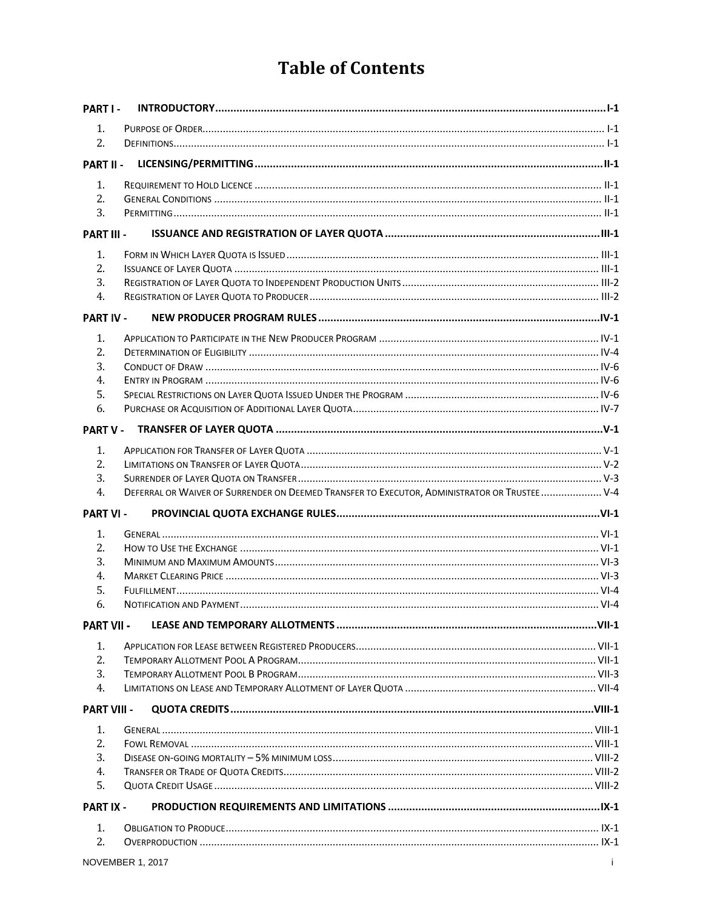## **Table of Contents**

| PART I -           |                                                                                               |  |
|--------------------|-----------------------------------------------------------------------------------------------|--|
| 1.                 |                                                                                               |  |
| 2.                 |                                                                                               |  |
| PART II -          |                                                                                               |  |
| 1.                 |                                                                                               |  |
| 2.                 |                                                                                               |  |
| 3.                 |                                                                                               |  |
| <b>PART III -</b>  |                                                                                               |  |
| 1.                 |                                                                                               |  |
| 2.                 |                                                                                               |  |
| 3.                 |                                                                                               |  |
| 4.                 |                                                                                               |  |
| <b>PART IV -</b>   |                                                                                               |  |
| 1.                 |                                                                                               |  |
| 2.                 |                                                                                               |  |
| 3.                 |                                                                                               |  |
| 4.                 |                                                                                               |  |
| 5.                 |                                                                                               |  |
| 6.                 |                                                                                               |  |
| <b>PART V -</b>    |                                                                                               |  |
| 1.                 |                                                                                               |  |
| 2.                 |                                                                                               |  |
| 3.                 |                                                                                               |  |
| 4.                 | DEFERRAL OR WAIVER OF SURRENDER ON DEEMED TRANSFER TO EXECUTOR, ADMINISTRATOR OR TRUSTEE  V-4 |  |
| <b>PART VI-</b>    |                                                                                               |  |
| 1.                 |                                                                                               |  |
| 2.                 |                                                                                               |  |
| 3.                 |                                                                                               |  |
| 4.                 |                                                                                               |  |
| 5.                 |                                                                                               |  |
| 6.                 |                                                                                               |  |
| <b>PART VII -</b>  |                                                                                               |  |
| 1.                 |                                                                                               |  |
| 2.                 |                                                                                               |  |
| 3.                 |                                                                                               |  |
| 4.                 |                                                                                               |  |
| <b>PART VIII -</b> |                                                                                               |  |
| 1.                 |                                                                                               |  |
| 2.                 |                                                                                               |  |
| 3.                 |                                                                                               |  |
| 4.                 |                                                                                               |  |
| 5.                 |                                                                                               |  |
| <b>PART IX -</b>   |                                                                                               |  |
| 1.                 |                                                                                               |  |
| 2.                 |                                                                                               |  |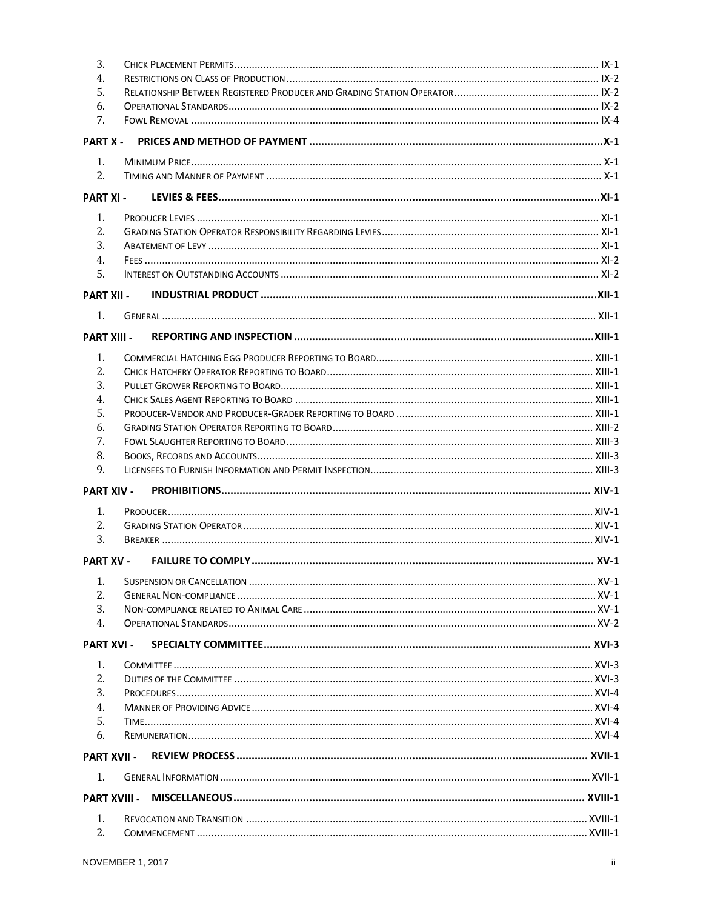| 3.                 |  |  |  |  |  |
|--------------------|--|--|--|--|--|
| 4.                 |  |  |  |  |  |
| 5.                 |  |  |  |  |  |
| 6.                 |  |  |  |  |  |
| 7.                 |  |  |  |  |  |
| <b>PART X -</b>    |  |  |  |  |  |
| 1.                 |  |  |  |  |  |
| 2.                 |  |  |  |  |  |
| <b>PART XI-</b>    |  |  |  |  |  |
| 1.                 |  |  |  |  |  |
| 2.                 |  |  |  |  |  |
| 3.                 |  |  |  |  |  |
| 4.                 |  |  |  |  |  |
| 5.                 |  |  |  |  |  |
| <b>PART XII -</b>  |  |  |  |  |  |
| 1.                 |  |  |  |  |  |
| <b>PART XIII -</b> |  |  |  |  |  |
| 1.                 |  |  |  |  |  |
| 2.                 |  |  |  |  |  |
| 3.                 |  |  |  |  |  |
| 4.                 |  |  |  |  |  |
| 5.                 |  |  |  |  |  |
| 6.                 |  |  |  |  |  |
| 7.                 |  |  |  |  |  |
| 8.                 |  |  |  |  |  |
| 9.                 |  |  |  |  |  |
| <b>PART XIV -</b>  |  |  |  |  |  |
| 1.                 |  |  |  |  |  |
| 2.                 |  |  |  |  |  |
| 3.                 |  |  |  |  |  |
| <b>PART XV -</b>   |  |  |  |  |  |
|                    |  |  |  |  |  |
| 1.                 |  |  |  |  |  |
| 2.<br>3.           |  |  |  |  |  |
| 4.                 |  |  |  |  |  |
| <b>PART XVI -</b>  |  |  |  |  |  |
|                    |  |  |  |  |  |
| 1.                 |  |  |  |  |  |
| 2.<br>3.           |  |  |  |  |  |
|                    |  |  |  |  |  |
| 4.<br>5.           |  |  |  |  |  |
|                    |  |  |  |  |  |
| 6.                 |  |  |  |  |  |
| <b>PART XVII -</b> |  |  |  |  |  |
| 1.                 |  |  |  |  |  |
|                    |  |  |  |  |  |
|                    |  |  |  |  |  |
| 1.<br>2.           |  |  |  |  |  |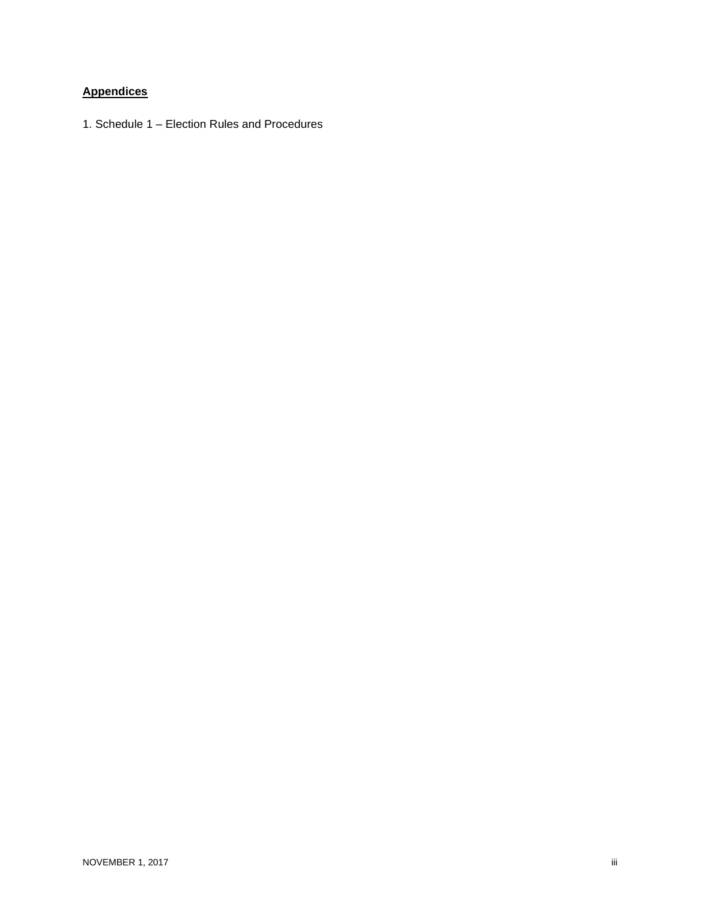#### **Appendices**

1. Schedule 1 – Election Rules and Procedures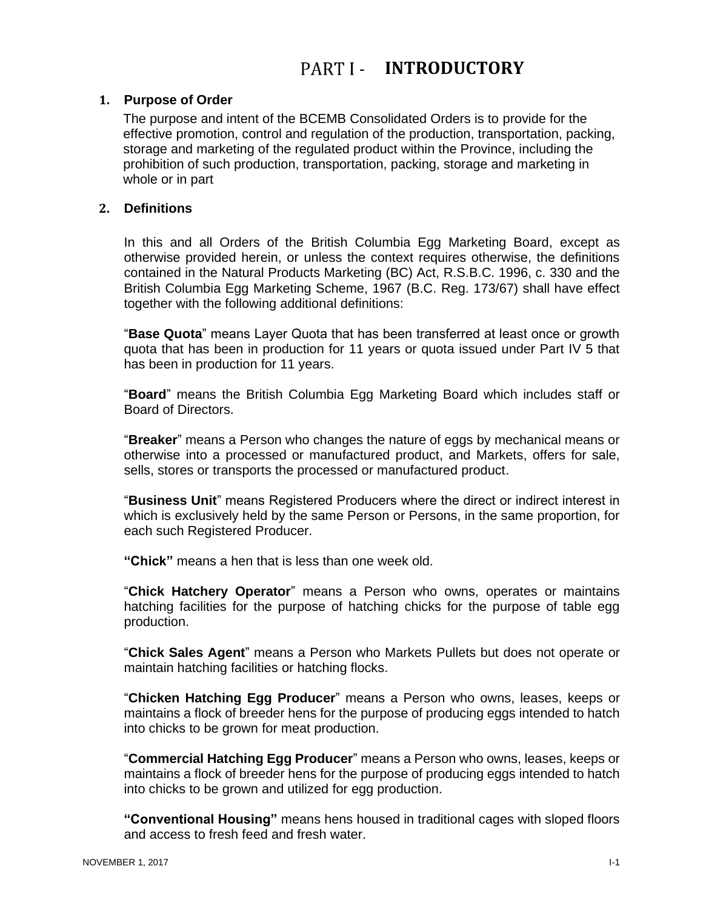#### <span id="page-4-1"></span><span id="page-4-0"></span>**1. Purpose of Order**

The purpose and intent of the BCEMB Consolidated Orders is to provide for the effective promotion, control and regulation of the production, transportation, packing, storage and marketing of the regulated product within the Province, including the prohibition of such production, transportation, packing, storage and marketing in whole or in part

#### <span id="page-4-2"></span>**2. Definitions**

In this and all Orders of the British Columbia Egg Marketing Board, except as otherwise provided herein, or unless the context requires otherwise, the definitions contained in the Natural Products Marketing (BC) Act, R.S.B.C. 1996, c. 330 and the British Columbia Egg Marketing Scheme, 1967 (B.C. Reg. 173/67) shall have effect together with the following additional definitions:

"**Base Quota**" means Layer Quota that has been transferred at least once or growth quota that has been in production for 11 years or quota issued under Part IV 5 that has been in production for 11 years.

"**Board**" means the British Columbia Egg Marketing Board which includes staff or Board of Directors.

"**Breaker**" means a Person who changes the nature of eggs by mechanical means or otherwise into a processed or manufactured product, and Markets, offers for sale, sells, stores or transports the processed or manufactured product.

"**Business Unit**" means Registered Producers where the direct or indirect interest in which is exclusively held by the same Person or Persons, in the same proportion, for each such Registered Producer.

**"Chick"** means a hen that is less than one week old.

"**Chick Hatchery Operator**" means a Person who owns, operates or maintains hatching facilities for the purpose of hatching chicks for the purpose of table egg production.

"**Chick Sales Agent**" means a Person who Markets Pullets but does not operate or maintain hatching facilities or hatching flocks.

"**Chicken Hatching Egg Producer**" means a Person who owns, leases, keeps or maintains a flock of breeder hens for the purpose of producing eggs intended to hatch into chicks to be grown for meat production.

"**Commercial Hatching Egg Producer**" means a Person who owns, leases, keeps or maintains a flock of breeder hens for the purpose of producing eggs intended to hatch into chicks to be grown and utilized for egg production.

**"Conventional Housing"** means hens housed in traditional cages with sloped floors and access to fresh feed and fresh water.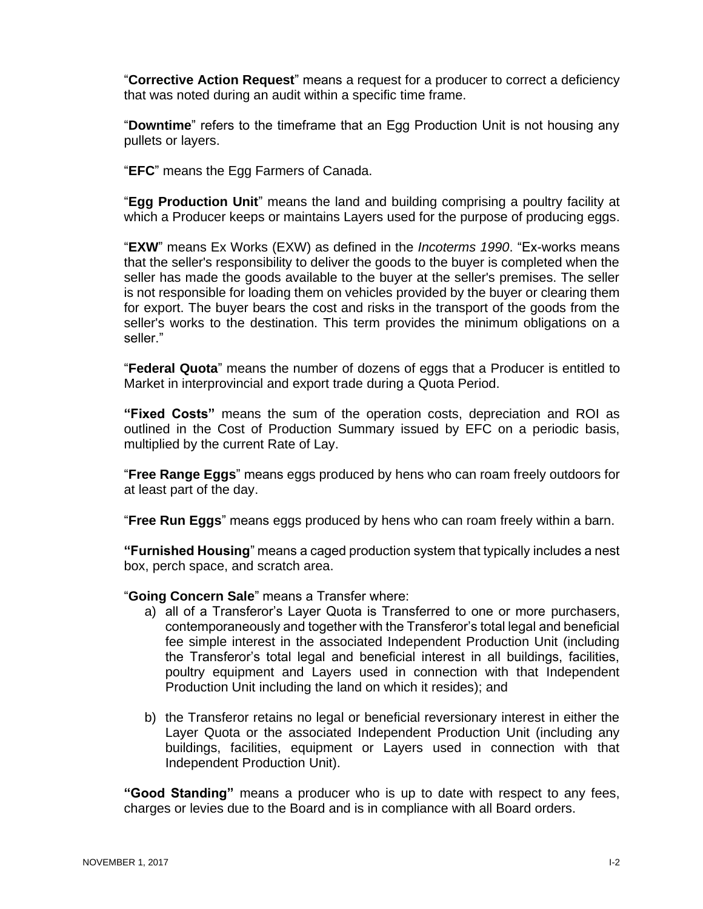"**Corrective Action Request**" means a request for a producer to correct a deficiency that was noted during an audit within a specific time frame.

"**Downtime**" refers to the timeframe that an Egg Production Unit is not housing any pullets or layers.

"**EFC**" means the Egg Farmers of Canada.

"**Egg Production Unit**" means the land and building comprising a poultry facility at which a Producer keeps or maintains Layers used for the purpose of producing eggs.

"**EXW**" means Ex Works (EXW) as defined in the *Incoterms 1990*. "Ex-works means that the seller's responsibility to deliver the goods to the buyer is completed when the seller has made the goods available to the buyer at the seller's premises. The seller is not responsible for loading them on vehicles provided by the buyer or clearing them for export. The buyer bears the cost and risks in the transport of the goods from the seller's works to the destination. This term provides the minimum obligations on a seller."

"**Federal Quota**" means the number of dozens of eggs that a Producer is entitled to Market in interprovincial and export trade during a Quota Period.

**"Fixed Costs"** means the sum of the operation costs, depreciation and ROI as outlined in the Cost of Production Summary issued by EFC on a periodic basis, multiplied by the current Rate of Lay.

"**Free Range Eggs**" means eggs produced by hens who can roam freely outdoors for at least part of the day.

"**Free Run Eggs**" means eggs produced by hens who can roam freely within a barn.

**"Furnished Housing**" means a caged production system that typically includes a nest box, perch space, and scratch area.

"**Going Concern Sale**" means a Transfer where:

- a) all of a Transferor's Layer Quota is Transferred to one or more purchasers, contemporaneously and together with the Transferor's total legal and beneficial fee simple interest in the associated Independent Production Unit (including the Transferor's total legal and beneficial interest in all buildings, facilities, poultry equipment and Layers used in connection with that Independent Production Unit including the land on which it resides); and
- b) the Transferor retains no legal or beneficial reversionary interest in either the Layer Quota or the associated Independent Production Unit (including any buildings, facilities, equipment or Layers used in connection with that Independent Production Unit).

**"Good Standing"** means a producer who is up to date with respect to any fees, charges or levies due to the Board and is in compliance with all Board orders.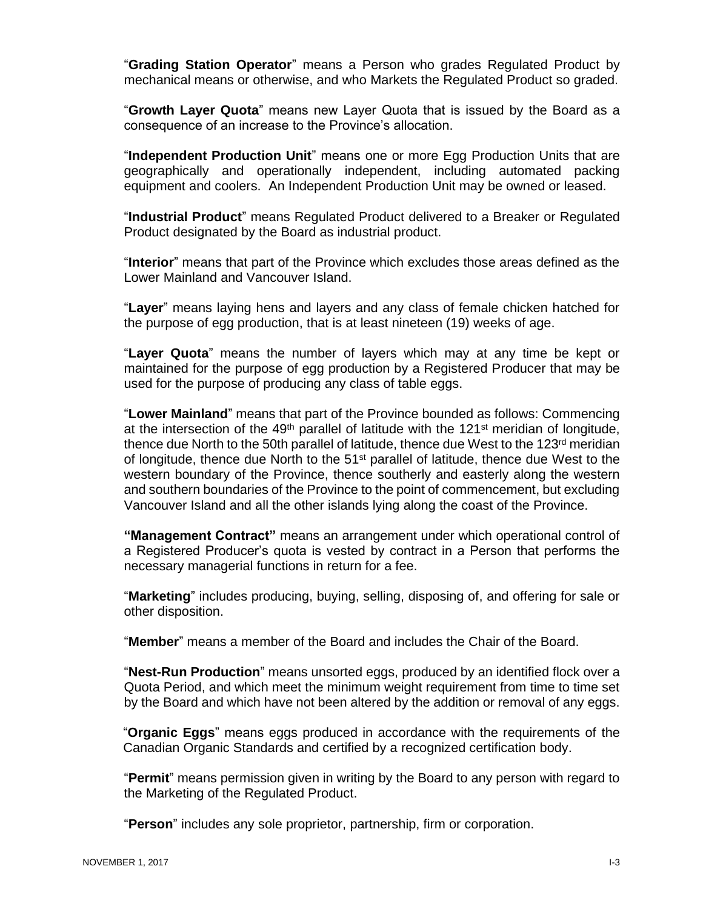"**Grading Station Operator**" means a Person who grades Regulated Product by mechanical means or otherwise, and who Markets the Regulated Product so graded.

"**Growth Layer Quota**" means new Layer Quota that is issued by the Board as a consequence of an increase to the Province's allocation.

"**Independent Production Unit**" means one or more Egg Production Units that are geographically and operationally independent, including automated packing equipment and coolers. An Independent Production Unit may be owned or leased.

"**Industrial Product**" means Regulated Product delivered to a Breaker or Regulated Product designated by the Board as industrial product.

"**Interior**" means that part of the Province which excludes those areas defined as the Lower Mainland and Vancouver Island.

"**Layer**" means laying hens and layers and any class of female chicken hatched for the purpose of egg production, that is at least nineteen (19) weeks of age.

"**Layer Quota**" means the number of layers which may at any time be kept or maintained for the purpose of egg production by a Registered Producer that may be used for the purpose of producing any class of table eggs.

"**Lower Mainland**" means that part of the Province bounded as follows: Commencing at the intersection of the  $49<sup>th</sup>$  parallel of latitude with the 121 $<sup>st</sup>$  meridian of longitude,</sup> thence due North to the 50th parallel of latitude, thence due West to the 123 $rd$  meridian of longitude, thence due North to the 51<sup>st</sup> parallel of latitude, thence due West to the western boundary of the Province, thence southerly and easterly along the western and southern boundaries of the Province to the point of commencement, but excluding Vancouver Island and all the other islands lying along the coast of the Province.

**"Management Contract"** means an arrangement under which operational control of a Registered Producer's quota is vested by contract in a Person that performs the necessary managerial functions in return for a fee.

"**Marketing**" includes producing, buying, selling, disposing of, and offering for sale or other disposition.

"**Member**" means a member of the Board and includes the Chair of the Board.

"**Nest-Run Production**" means unsorted eggs, produced by an identified flock over a Quota Period, and which meet the minimum weight requirement from time to time set by the Board and which have not been altered by the addition or removal of any eggs.

"**Organic Eggs**" means eggs produced in accordance with the requirements of the Canadian Organic Standards and certified by a recognized certification body.

"**Permit**" means permission given in writing by the Board to any person with regard to the Marketing of the Regulated Product.

"**Person**" includes any sole proprietor, partnership, firm or corporation.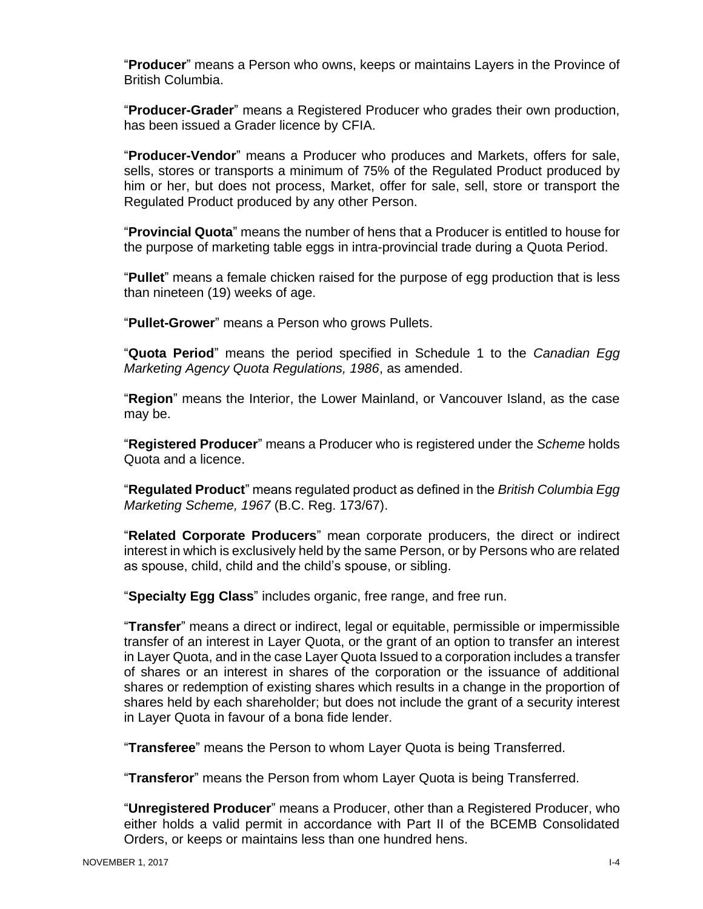"**Producer**" means a Person who owns, keeps or maintains Layers in the Province of British Columbia.

"**Producer-Grader**" means a Registered Producer who grades their own production, has been issued a Grader licence by CFIA.

"**Producer-Vendor**" means a Producer who produces and Markets, offers for sale, sells, stores or transports a minimum of 75% of the Regulated Product produced by him or her, but does not process, Market, offer for sale, sell, store or transport the Regulated Product produced by any other Person.

"**Provincial Quota**" means the number of hens that a Producer is entitled to house for the purpose of marketing table eggs in intra-provincial trade during a Quota Period.

"**Pullet**" means a female chicken raised for the purpose of egg production that is less than nineteen (19) weeks of age.

"**Pullet-Grower**" means a Person who grows Pullets.

"**Quota Period**" means the period specified in Schedule 1 to the *Canadian Egg Marketing Agency Quota Regulations, 1986*, as amended.

"**Region**" means the Interior, the Lower Mainland, or Vancouver Island, as the case may be.

"**Registered Producer**" means a Producer who is registered under the *Scheme* holds Quota and a licence.

"**Regulated Product**" means regulated product as defined in the *British Columbia Egg Marketing Scheme, 1967* (B.C. Reg. 173/67).

"**Related Corporate Producers**" mean corporate producers, the direct or indirect interest in which is exclusively held by the same Person, or by Persons who are related as spouse, child, child and the child's spouse, or sibling.

"**Specialty Egg Class**" includes organic, free range, and free run.

"**Transfer**" means a direct or indirect, legal or equitable, permissible or impermissible transfer of an interest in Layer Quota, or the grant of an option to transfer an interest in Layer Quota, and in the case Layer Quota Issued to a corporation includes a transfer of shares or an interest in shares of the corporation or the issuance of additional shares or redemption of existing shares which results in a change in the proportion of shares held by each shareholder; but does not include the grant of a security interest in Layer Quota in favour of a bona fide lender.

"**Transferee**" means the Person to whom Layer Quota is being Transferred.

"**Transferor**" means the Person from whom Layer Quota is being Transferred.

"**Unregistered Producer**" means a Producer, other than a Registered Producer, who either holds a valid permit in accordance with Part II of the BCEMB Consolidated Orders, or keeps or maintains less than one hundred hens.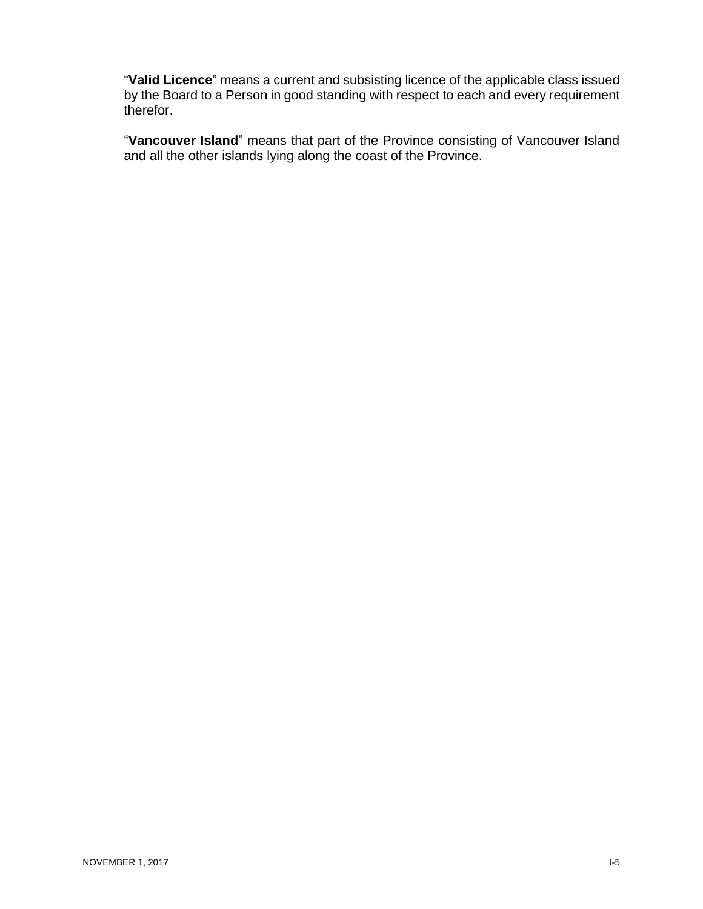"**Valid Licence**" means a current and subsisting licence of the applicable class issued by the Board to a Person in good standing with respect to each and every requirement therefor.

"**Vancouver Island**" means that part of the Province consisting of Vancouver Island and all the other islands lying along the coast of the Province.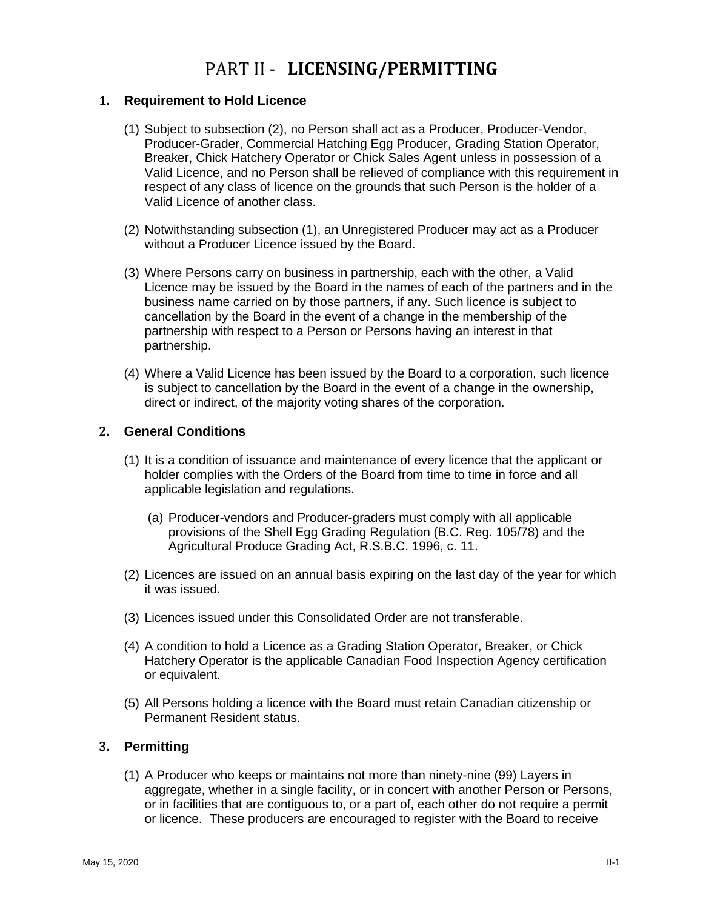### PART II - LICENSING/PERMITTING

#### <span id="page-9-1"></span><span id="page-9-0"></span>**1. Requirement to Hold Licence**

- (1) Subject to subsection (2), no Person shall act as a Producer, Producer-Vendor, Producer-Grader, Commercial Hatching Egg Producer, Grading Station Operator, Breaker, Chick Hatchery Operator or Chick Sales Agent unless in possession of a Valid Licence, and no Person shall be relieved of compliance with this requirement in respect of any class of licence on the grounds that such Person is the holder of a Valid Licence of another class.
- (2) Notwithstanding subsection (1), an Unregistered Producer may act as a Producer without a Producer Licence issued by the Board.
- (3) Where Persons carry on business in partnership, each with the other, a Valid Licence may be issued by the Board in the names of each of the partners and in the business name carried on by those partners, if any. Such licence is subject to cancellation by the Board in the event of a change in the membership of the partnership with respect to a Person or Persons having an interest in that partnership.
- (4) Where a Valid Licence has been issued by the Board to a corporation, such licence is subject to cancellation by the Board in the event of a change in the ownership, direct or indirect, of the majority voting shares of the corporation.

#### <span id="page-9-2"></span>**2. General Conditions**

- (1) It is a condition of issuance and maintenance of every licence that the applicant or holder complies with the Orders of the Board from time to time in force and all applicable legislation and regulations.
	- (a) Producer-vendors and Producer-graders must comply with all applicable provisions of the Shell Egg Grading Regulation (B.C. Reg. 105/78) and the Agricultural Produce Grading Act, R.S.B.C. 1996, c. 11.
- (2) Licences are issued on an annual basis expiring on the last day of the year for which it was issued.
- (3) Licences issued under this Consolidated Order are not transferable.
- (4) A condition to hold a Licence as a Grading Station Operator, Breaker, or Chick Hatchery Operator is the applicable Canadian Food Inspection Agency certification or equivalent.
- (5) All Persons holding a licence with the Board must retain Canadian citizenship or Permanent Resident status.

#### <span id="page-9-3"></span>**3. Permitting**

(1) A Producer who keeps or maintains not more than ninety-nine (99) Layers in aggregate, whether in a single facility, or in concert with another Person or Persons, or in facilities that are contiguous to, or a part of, each other do not require a permit or licence. These producers are encouraged to register with the Board to receive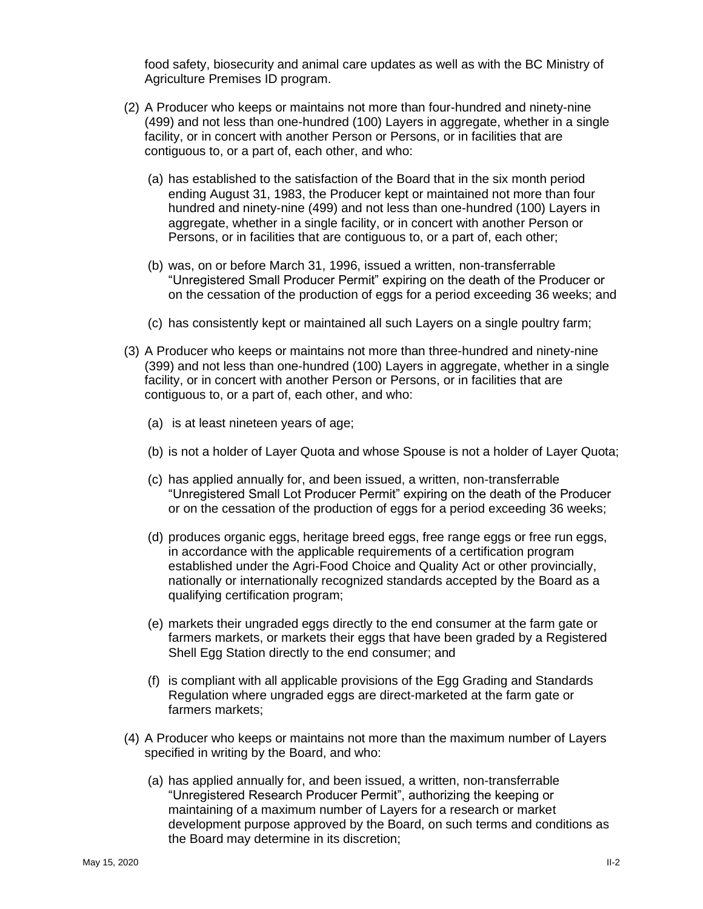food safety, biosecurity and animal care updates as well as with the BC Ministry of Agriculture Premises ID program.

- (2) A Producer who keeps or maintains not more than four-hundred and ninety-nine (499) and not less than one-hundred (100) Layers in aggregate, whether in a single facility, or in concert with another Person or Persons, or in facilities that are contiguous to, or a part of, each other, and who:
	- (a) has established to the satisfaction of the Board that in the six month period ending August 31, 1983, the Producer kept or maintained not more than four hundred and ninety-nine (499) and not less than one-hundred (100) Layers in aggregate, whether in a single facility, or in concert with another Person or Persons, or in facilities that are contiguous to, or a part of, each other;
	- (b) was, on or before March 31, 1996, issued a written, non-transferrable "Unregistered Small Producer Permit" expiring on the death of the Producer or on the cessation of the production of eggs for a period exceeding 36 weeks; and
	- (c) has consistently kept or maintained all such Layers on a single poultry farm;
- (3) A Producer who keeps or maintains not more than three-hundred and ninety-nine (399) and not less than one-hundred (100) Layers in aggregate, whether in a single facility, or in concert with another Person or Persons, or in facilities that are contiguous to, or a part of, each other, and who:
	- (a) is at least nineteen years of age;
	- (b) is not a holder of Layer Quota and whose Spouse is not a holder of Layer Quota;
	- (c) has applied annually for, and been issued, a written, non-transferrable "Unregistered Small Lot Producer Permit" expiring on the death of the Producer or on the cessation of the production of eggs for a period exceeding 36 weeks;
	- (d) produces organic eggs, heritage breed eggs, free range eggs or free run eggs, in accordance with the applicable requirements of a certification program established under the Agri-Food Choice and Quality Act or other provincially, nationally or internationally recognized standards accepted by the Board as a qualifying certification program;
	- (e) markets their ungraded eggs directly to the end consumer at the farm gate or farmers markets, or markets their eggs that have been graded by a Registered Shell Egg Station directly to the end consumer; and
	- (f) is compliant with all applicable provisions of the Egg Grading and Standards Regulation where ungraded eggs are direct-marketed at the farm gate or farmers markets;
- (4) A Producer who keeps or maintains not more than the maximum number of Layers specified in writing by the Board, and who:
	- (a) has applied annually for, and been issued, a written, non-transferrable "Unregistered Research Producer Permit", authorizing the keeping or maintaining of a maximum number of Layers for a research or market development purpose approved by the Board, on such terms and conditions as the Board may determine in its discretion;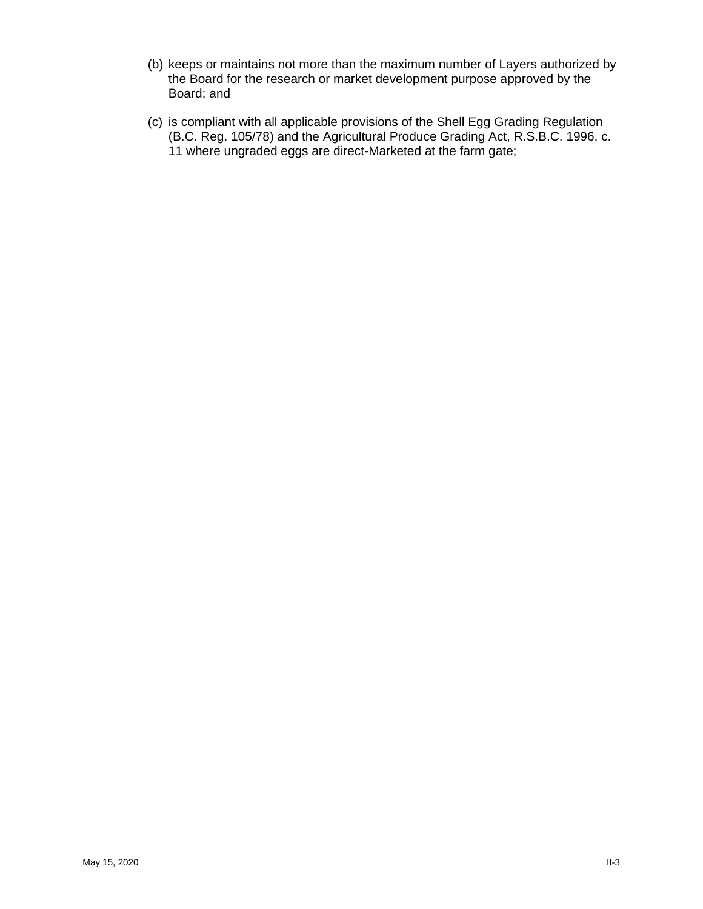- (b) keeps or maintains not more than the maximum number of Layers authorized by the Board for the research or market development purpose approved by the Board; and
- (c) is compliant with all applicable provisions of the Shell Egg Grading Regulation (B.C. Reg. 105/78) and the Agricultural Produce Grading Act, R.S.B.C. 1996, c. 11 where ungraded eggs are direct-Marketed at the farm gate;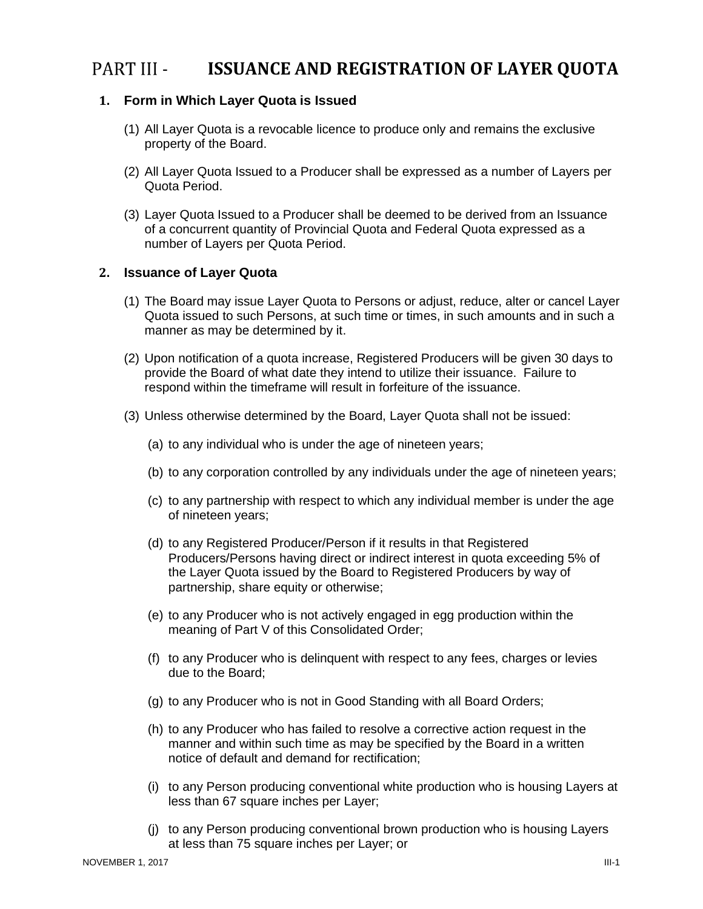#### <span id="page-12-0"></span>PART III -**ISSUANCE AND REGISTRATION OF LAYER QUOTA**

#### <span id="page-12-1"></span>**1. Form in Which Layer Quota is Issued**

- (1) All Layer Quota is a revocable licence to produce only and remains the exclusive property of the Board.
- (2) All Layer Quota Issued to a Producer shall be expressed as a number of Layers per Quota Period.
- (3) Layer Quota Issued to a Producer shall be deemed to be derived from an Issuance of a concurrent quantity of Provincial Quota and Federal Quota expressed as a number of Layers per Quota Period.

#### <span id="page-12-2"></span>**2. Issuance of Layer Quota**

- (1) The Board may issue Layer Quota to Persons or adjust, reduce, alter or cancel Layer Quota issued to such Persons, at such time or times, in such amounts and in such a manner as may be determined by it.
- (2) Upon notification of a quota increase, Registered Producers will be given 30 days to provide the Board of what date they intend to utilize their issuance. Failure to respond within the timeframe will result in forfeiture of the issuance.
- (3) Unless otherwise determined by the Board, Layer Quota shall not be issued:
	- (a) to any individual who is under the age of nineteen years;
	- (b) to any corporation controlled by any individuals under the age of nineteen years;
	- (c) to any partnership with respect to which any individual member is under the age of nineteen years;
	- (d) to any Registered Producer/Person if it results in that Registered Producers/Persons having direct or indirect interest in quota exceeding 5% of the Layer Quota issued by the Board to Registered Producers by way of partnership, share equity or otherwise;
	- (e) to any Producer who is not actively engaged in egg production within the meaning of Part V of this Consolidated Order;
	- (f) to any Producer who is delinquent with respect to any fees, charges or levies due to the Board;
	- (g) to any Producer who is not in Good Standing with all Board Orders;
	- (h) to any Producer who has failed to resolve a corrective action request in the manner and within such time as may be specified by the Board in a written notice of default and demand for rectification;
	- (i) to any Person producing conventional white production who is housing Layers at less than 67 square inches per Layer;
	- (j) to any Person producing conventional brown production who is housing Layers at less than 75 square inches per Layer; or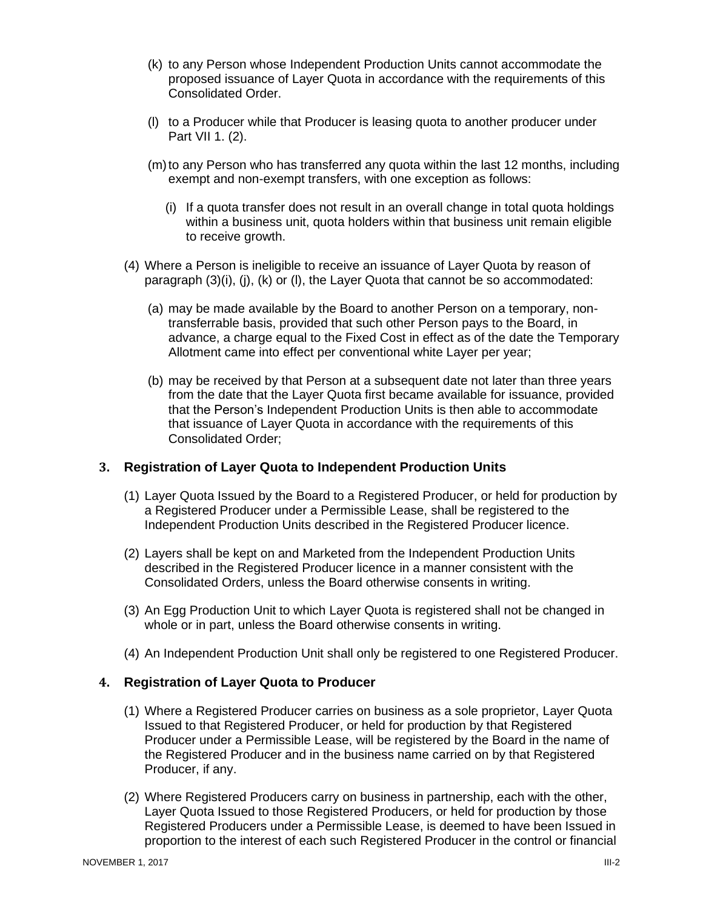- (k) to any Person whose Independent Production Units cannot accommodate the proposed issuance of Layer Quota in accordance with the requirements of this Consolidated Order.
- (l) to a Producer while that Producer is leasing quota to another producer under Part VII 1. (2).
- (m) to any Person who has transferred any quota within the last 12 months, including exempt and non-exempt transfers, with one exception as follows:
	- (i) If a quota transfer does not result in an overall change in total quota holdings within a business unit, quota holders within that business unit remain eligible to receive growth.
- (4) Where a Person is ineligible to receive an issuance of Layer Quota by reason of paragraph  $(3)(i)$ ,  $(i)$ ,  $(k)$  or  $(l)$ , the Layer Quota that cannot be so accommodated:
	- (a) may be made available by the Board to another Person on a temporary, nontransferrable basis, provided that such other Person pays to the Board, in advance, a charge equal to the Fixed Cost in effect as of the date the Temporary Allotment came into effect per conventional white Layer per year;
	- (b) may be received by that Person at a subsequent date not later than three years from the date that the Layer Quota first became available for issuance, provided that the Person's Independent Production Units is then able to accommodate that issuance of Layer Quota in accordance with the requirements of this Consolidated Order;

#### <span id="page-13-0"></span>**3. Registration of Layer Quota to Independent Production Units**

- (1) Layer Quota Issued by the Board to a Registered Producer, or held for production by a Registered Producer under a Permissible Lease, shall be registered to the Independent Production Units described in the Registered Producer licence.
- (2) Layers shall be kept on and Marketed from the Independent Production Units described in the Registered Producer licence in a manner consistent with the Consolidated Orders, unless the Board otherwise consents in writing.
- (3) An Egg Production Unit to which Layer Quota is registered shall not be changed in whole or in part, unless the Board otherwise consents in writing.
- (4) An Independent Production Unit shall only be registered to one Registered Producer.

#### <span id="page-13-1"></span>**4. Registration of Layer Quota to Producer**

- (1) Where a Registered Producer carries on business as a sole proprietor, Layer Quota Issued to that Registered Producer, or held for production by that Registered Producer under a Permissible Lease, will be registered by the Board in the name of the Registered Producer and in the business name carried on by that Registered Producer, if any.
- (2) Where Registered Producers carry on business in partnership, each with the other, Layer Quota Issued to those Registered Producers, or held for production by those Registered Producers under a Permissible Lease, is deemed to have been Issued in proportion to the interest of each such Registered Producer in the control or financial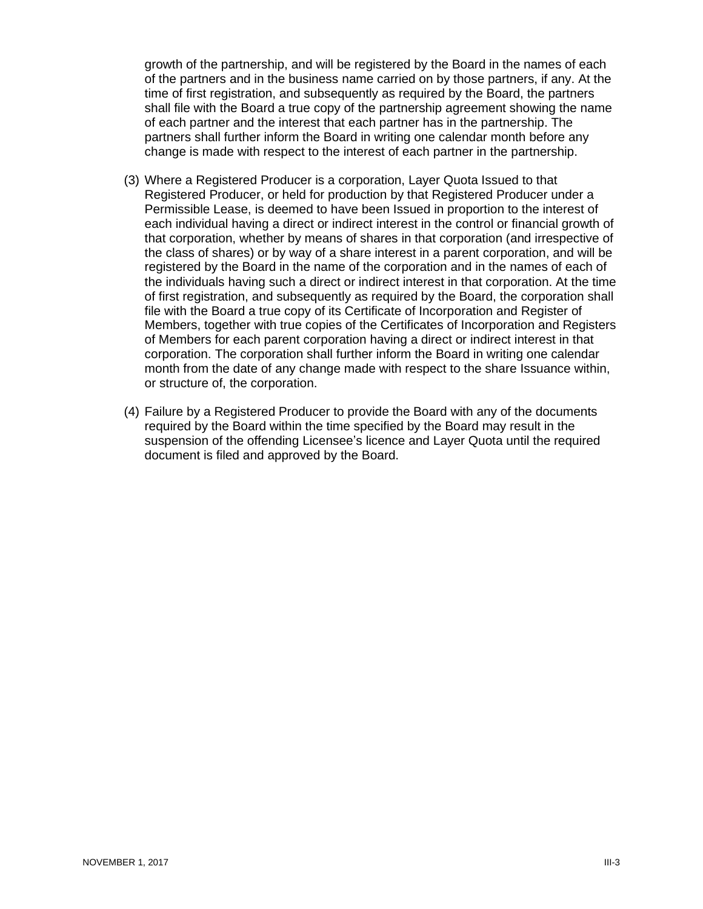growth of the partnership, and will be registered by the Board in the names of each of the partners and in the business name carried on by those partners, if any. At the time of first registration, and subsequently as required by the Board, the partners shall file with the Board a true copy of the partnership agreement showing the name of each partner and the interest that each partner has in the partnership. The partners shall further inform the Board in writing one calendar month before any change is made with respect to the interest of each partner in the partnership.

- (3) Where a Registered Producer is a corporation, Layer Quota Issued to that Registered Producer, or held for production by that Registered Producer under a Permissible Lease, is deemed to have been Issued in proportion to the interest of each individual having a direct or indirect interest in the control or financial growth of that corporation, whether by means of shares in that corporation (and irrespective of the class of shares) or by way of a share interest in a parent corporation, and will be registered by the Board in the name of the corporation and in the names of each of the individuals having such a direct or indirect interest in that corporation. At the time of first registration, and subsequently as required by the Board, the corporation shall file with the Board a true copy of its Certificate of Incorporation and Register of Members, together with true copies of the Certificates of Incorporation and Registers of Members for each parent corporation having a direct or indirect interest in that corporation. The corporation shall further inform the Board in writing one calendar month from the date of any change made with respect to the share Issuance within, or structure of, the corporation.
- (4) Failure by a Registered Producer to provide the Board with any of the documents required by the Board within the time specified by the Board may result in the suspension of the offending Licensee's licence and Layer Quota until the required document is filed and approved by the Board.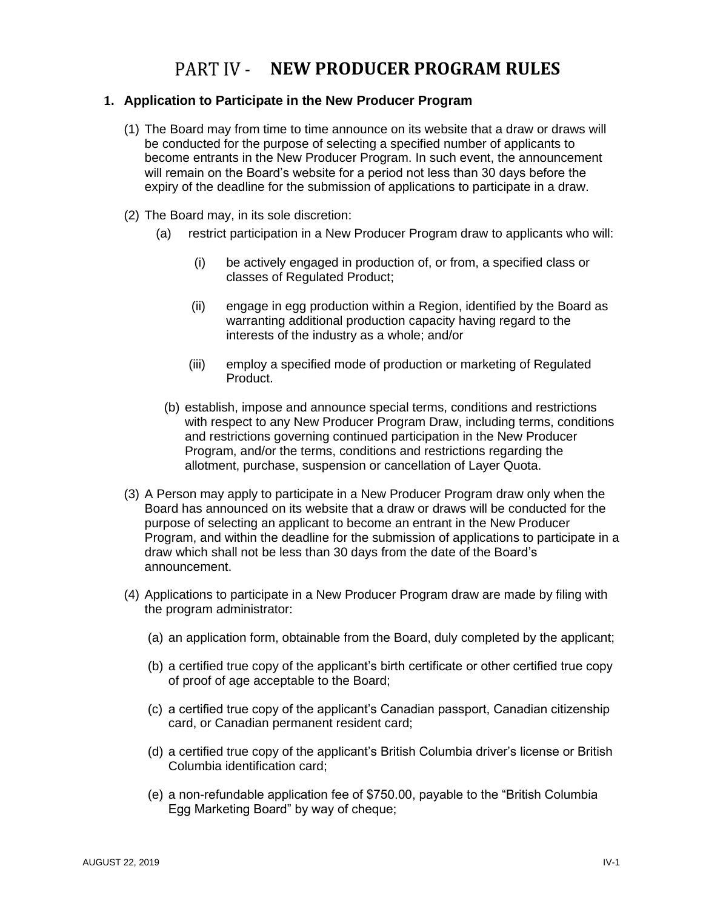### <span id="page-15-0"></span>PART IV - NEW PRODUCER PROGRAM RULES

#### <span id="page-15-1"></span>**1. Application to Participate in the New Producer Program**

- (1) The Board may from time to time announce on its website that a draw or draws will be conducted for the purpose of selecting a specified number of applicants to become entrants in the New Producer Program. In such event, the announcement will remain on the Board's website for a period not less than 30 days before the expiry of the deadline for the submission of applications to participate in a draw.
- (2) The Board may, in its sole discretion:
	- (a) restrict participation in a New Producer Program draw to applicants who will:
		- (i) be actively engaged in production of, or from, a specified class or classes of Regulated Product;
		- (ii) engage in egg production within a Region, identified by the Board as warranting additional production capacity having regard to the interests of the industry as a whole; and/or
		- (iii) employ a specified mode of production or marketing of Regulated Product.
		- (b) establish, impose and announce special terms, conditions and restrictions with respect to any New Producer Program Draw, including terms, conditions and restrictions governing continued participation in the New Producer Program, and/or the terms, conditions and restrictions regarding the allotment, purchase, suspension or cancellation of Layer Quota.
- (3) A Person may apply to participate in a New Producer Program draw only when the Board has announced on its website that a draw or draws will be conducted for the purpose of selecting an applicant to become an entrant in the New Producer Program, and within the deadline for the submission of applications to participate in a draw which shall not be less than 30 days from the date of the Board's announcement.
- (4) Applications to participate in a New Producer Program draw are made by filing with the program administrator:
	- (a) an application form, obtainable from the Board, duly completed by the applicant;
	- (b) a certified true copy of the applicant's birth certificate or other certified true copy of proof of age acceptable to the Board;
	- (c) a certified true copy of the applicant's Canadian passport, Canadian citizenship card, or Canadian permanent resident card;
	- (d) a certified true copy of the applicant's British Columbia driver's license or British Columbia identification card;
	- (e) a non-refundable application fee of \$750.00, payable to the "British Columbia Egg Marketing Board" by way of cheque;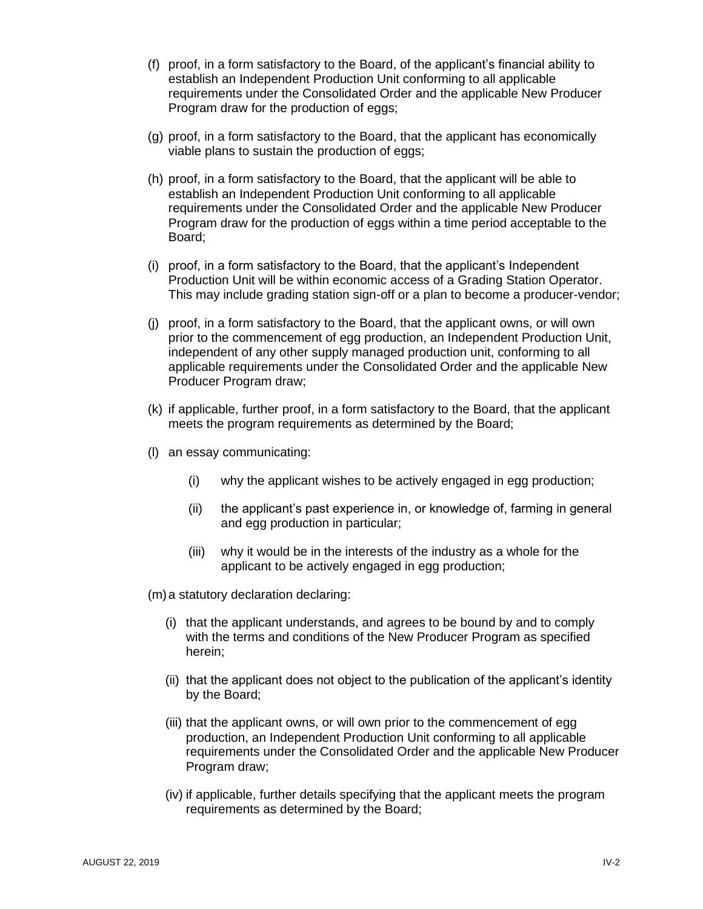- (f) proof, in a form satisfactory to the Board, of the applicant's financial ability to establish an Independent Production Unit conforming to all applicable requirements under the Consolidated Order and the applicable New Producer Program draw for the production of eggs;
- (g) proof, in a form satisfactory to the Board, that the applicant has economically viable plans to sustain the production of eggs;
- (h) proof, in a form satisfactory to the Board, that the applicant will be able to establish an Independent Production Unit conforming to all applicable requirements under the Consolidated Order and the applicable New Producer Program draw for the production of eggs within a time period acceptable to the Board;
- (i) proof, in a form satisfactory to the Board, that the applicant's Independent Production Unit will be within economic access of a Grading Station Operator. This may include grading station sign-off or a plan to become a producer-vendor;
- (j) proof, in a form satisfactory to the Board, that the applicant owns, or will own prior to the commencement of egg production, an Independent Production Unit, independent of any other supply managed production unit, conforming to all applicable requirements under the Consolidated Order and the applicable New Producer Program draw;
- (k) if applicable, further proof, in a form satisfactory to the Board, that the applicant meets the program requirements as determined by the Board;
- (l) an essay communicating:
	- (i) why the applicant wishes to be actively engaged in egg production;
	- (ii) the applicant's past experience in, or knowledge of, farming in general and egg production in particular;
	- (iii) why it would be in the interests of the industry as a whole for the applicant to be actively engaged in egg production;
- (m)a statutory declaration declaring:
	- (i) that the applicant understands, and agrees to be bound by and to comply with the terms and conditions of the New Producer Program as specified herein;
	- (ii) that the applicant does not object to the publication of the applicant's identity by the Board;
	- (iii) that the applicant owns, or will own prior to the commencement of egg production, an Independent Production Unit conforming to all applicable requirements under the Consolidated Order and the applicable New Producer Program draw;
	- (iv) if applicable, further details specifying that the applicant meets the program requirements as determined by the Board;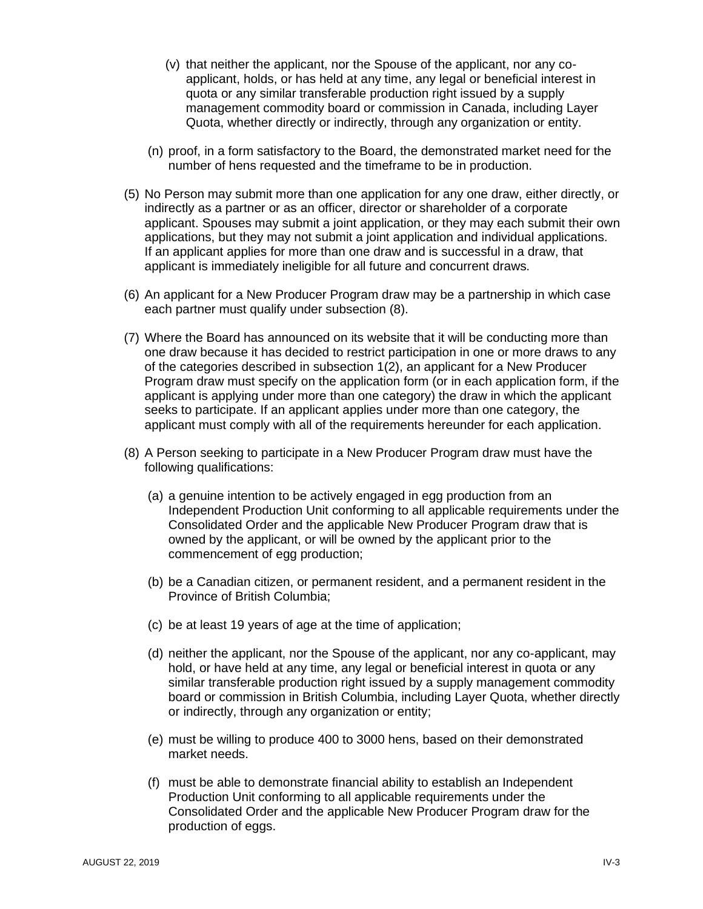- (v) that neither the applicant, nor the Spouse of the applicant, nor any coapplicant, holds, or has held at any time, any legal or beneficial interest in quota or any similar transferable production right issued by a supply management commodity board or commission in Canada, including Layer Quota, whether directly or indirectly, through any organization or entity.
- (n) proof, in a form satisfactory to the Board, the demonstrated market need for the number of hens requested and the timeframe to be in production.
- (5) No Person may submit more than one application for any one draw, either directly, or indirectly as a partner or as an officer, director or shareholder of a corporate applicant. Spouses may submit a joint application, or they may each submit their own applications, but they may not submit a joint application and individual applications. If an applicant applies for more than one draw and is successful in a draw, that applicant is immediately ineligible for all future and concurrent draws.
- (6) An applicant for a New Producer Program draw may be a partnership in which case each partner must qualify under subsection (8).
- (7) Where the Board has announced on its website that it will be conducting more than one draw because it has decided to restrict participation in one or more draws to any of the categories described in subsection 1(2), an applicant for a New Producer Program draw must specify on the application form (or in each application form, if the applicant is applying under more than one category) the draw in which the applicant seeks to participate. If an applicant applies under more than one category, the applicant must comply with all of the requirements hereunder for each application.
- (8) A Person seeking to participate in a New Producer Program draw must have the following qualifications:
	- (a) a genuine intention to be actively engaged in egg production from an Independent Production Unit conforming to all applicable requirements under the Consolidated Order and the applicable New Producer Program draw that is owned by the applicant, or will be owned by the applicant prior to the commencement of egg production;
	- (b) be a Canadian citizen, or permanent resident, and a permanent resident in the Province of British Columbia;
	- (c) be at least 19 years of age at the time of application;
	- (d) neither the applicant, nor the Spouse of the applicant, nor any co-applicant, may hold, or have held at any time, any legal or beneficial interest in quota or any similar transferable production right issued by a supply management commodity board or commission in British Columbia, including Layer Quota, whether directly or indirectly, through any organization or entity;
	- (e) must be willing to produce 400 to 3000 hens, based on their demonstrated market needs.
	- (f) must be able to demonstrate financial ability to establish an Independent Production Unit conforming to all applicable requirements under the Consolidated Order and the applicable New Producer Program draw for the production of eggs.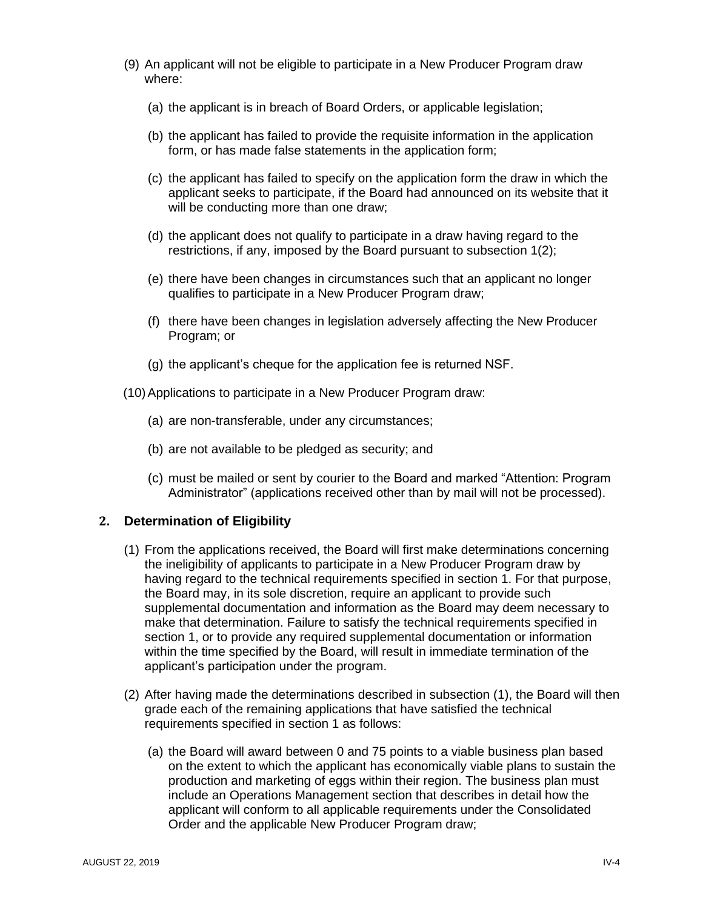- (9) An applicant will not be eligible to participate in a New Producer Program draw where:
	- (a) the applicant is in breach of Board Orders, or applicable legislation;
	- (b) the applicant has failed to provide the requisite information in the application form, or has made false statements in the application form;
	- (c) the applicant has failed to specify on the application form the draw in which the applicant seeks to participate, if the Board had announced on its website that it will be conducting more than one draw;
	- (d) the applicant does not qualify to participate in a draw having regard to the restrictions, if any, imposed by the Board pursuant to subsection 1(2);
	- (e) there have been changes in circumstances such that an applicant no longer qualifies to participate in a New Producer Program draw;
	- (f) there have been changes in legislation adversely affecting the New Producer Program; or
	- (g) the applicant's cheque for the application fee is returned NSF.
- (10)Applications to participate in a New Producer Program draw:
	- (a) are non-transferable, under any circumstances;
	- (b) are not available to be pledged as security; and
	- (c) must be mailed or sent by courier to the Board and marked "Attention: Program Administrator" (applications received other than by mail will not be processed).

#### <span id="page-18-0"></span>**2. Determination of Eligibility**

- (1) From the applications received, the Board will first make determinations concerning the ineligibility of applicants to participate in a New Producer Program draw by having regard to the technical requirements specified in section 1. For that purpose, the Board may, in its sole discretion, require an applicant to provide such supplemental documentation and information as the Board may deem necessary to make that determination. Failure to satisfy the technical requirements specified in section 1, or to provide any required supplemental documentation or information within the time specified by the Board, will result in immediate termination of the applicant's participation under the program.
- (2) After having made the determinations described in subsection (1), the Board will then grade each of the remaining applications that have satisfied the technical requirements specified in section 1 as follows:
	- (a) the Board will award between 0 and 75 points to a viable business plan based on the extent to which the applicant has economically viable plans to sustain the production and marketing of eggs within their region. The business plan must include an Operations Management section that describes in detail how the applicant will conform to all applicable requirements under the Consolidated Order and the applicable New Producer Program draw;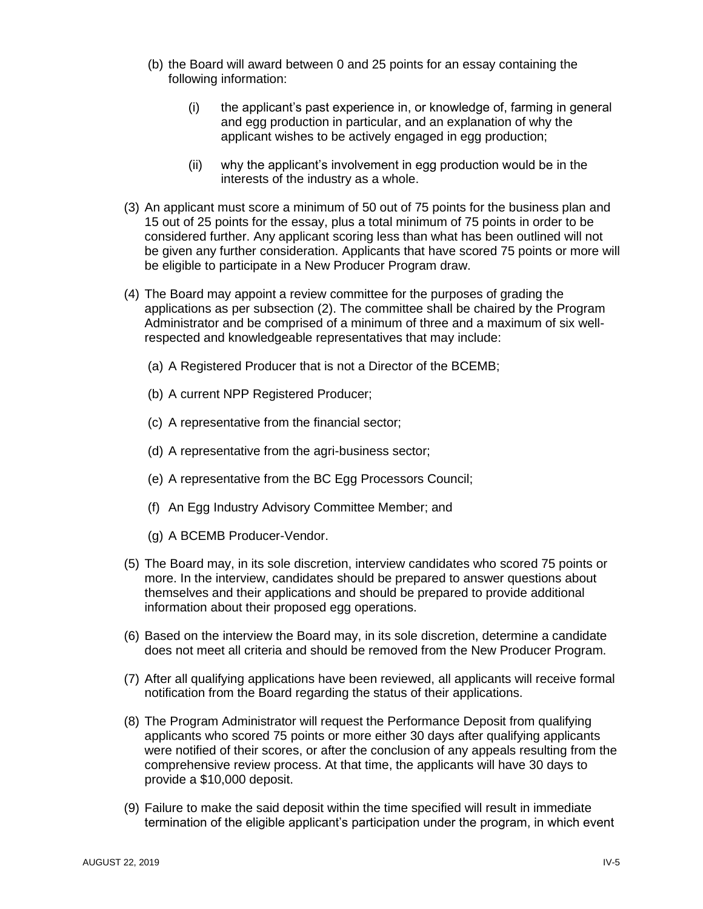- (b) the Board will award between 0 and 25 points for an essay containing the following information:
	- (i) the applicant's past experience in, or knowledge of, farming in general and egg production in particular, and an explanation of why the applicant wishes to be actively engaged in egg production;
	- (ii) why the applicant's involvement in egg production would be in the interests of the industry as a whole.
- (3) An applicant must score a minimum of 50 out of 75 points for the business plan and 15 out of 25 points for the essay, plus a total minimum of 75 points in order to be considered further. Any applicant scoring less than what has been outlined will not be given any further consideration. Applicants that have scored 75 points or more will be eligible to participate in a New Producer Program draw.
- (4) The Board may appoint a review committee for the purposes of grading the applications as per subsection (2). The committee shall be chaired by the Program Administrator and be comprised of a minimum of three and a maximum of six wellrespected and knowledgeable representatives that may include:
	- (a) A Registered Producer that is not a Director of the BCEMB;
	- (b) A current NPP Registered Producer;
	- (c) A representative from the financial sector;
	- (d) A representative from the agri-business sector;
	- (e) A representative from the BC Egg Processors Council;
	- (f) An Egg Industry Advisory Committee Member; and
	- (g) A BCEMB Producer-Vendor.
- (5) The Board may, in its sole discretion, interview candidates who scored 75 points or more. In the interview, candidates should be prepared to answer questions about themselves and their applications and should be prepared to provide additional information about their proposed egg operations.
- (6) Based on the interview the Board may, in its sole discretion, determine a candidate does not meet all criteria and should be removed from the New Producer Program.
- (7) After all qualifying applications have been reviewed, all applicants will receive formal notification from the Board regarding the status of their applications.
- (8) The Program Administrator will request the Performance Deposit from qualifying applicants who scored 75 points or more either 30 days after qualifying applicants were notified of their scores, or after the conclusion of any appeals resulting from the comprehensive review process. At that time, the applicants will have 30 days to provide a \$10,000 deposit.
- (9) Failure to make the said deposit within the time specified will result in immediate termination of the eligible applicant's participation under the program, in which event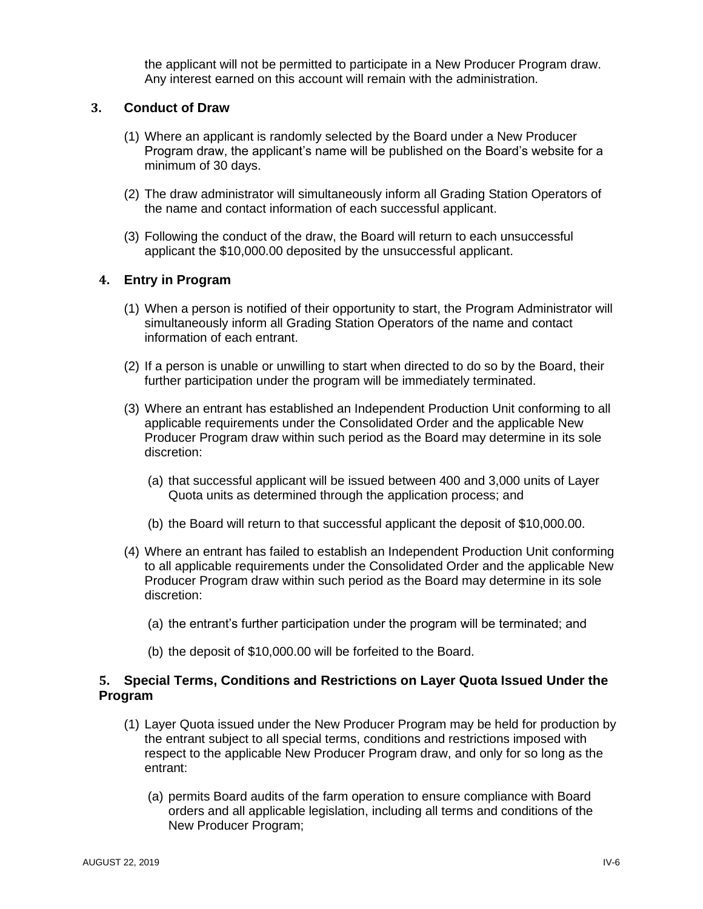the applicant will not be permitted to participate in a New Producer Program draw. Any interest earned on this account will remain with the administration.

#### <span id="page-20-0"></span>**3. Conduct of Draw**

- (1) Where an applicant is randomly selected by the Board under a New Producer Program draw, the applicant's name will be published on the Board's website for a minimum of 30 days.
- (2) The draw administrator will simultaneously inform all Grading Station Operators of the name and contact information of each successful applicant.
- (3) Following the conduct of the draw, the Board will return to each unsuccessful applicant the \$10,000.00 deposited by the unsuccessful applicant.

#### <span id="page-20-1"></span>**4. Entry in Program**

- (1) When a person is notified of their opportunity to start, the Program Administrator will simultaneously inform all Grading Station Operators of the name and contact information of each entrant.
- (2) If a person is unable or unwilling to start when directed to do so by the Board, their further participation under the program will be immediately terminated.
- (3) Where an entrant has established an Independent Production Unit conforming to all applicable requirements under the Consolidated Order and the applicable New Producer Program draw within such period as the Board may determine in its sole discretion:
	- (a) that successful applicant will be issued between 400 and 3,000 units of Layer Quota units as determined through the application process; and
	- (b) the Board will return to that successful applicant the deposit of \$10,000.00.
- (4) Where an entrant has failed to establish an Independent Production Unit conforming to all applicable requirements under the Consolidated Order and the applicable New Producer Program draw within such period as the Board may determine in its sole discretion:
	- (a) the entrant's further participation under the program will be terminated; and
	- (b) the deposit of \$10,000.00 will be forfeited to the Board.

#### <span id="page-20-2"></span>**5. Special Terms, Conditions and Restrictions on Layer Quota Issued Under the Program**

- (1) Layer Quota issued under the New Producer Program may be held for production by the entrant subject to all special terms, conditions and restrictions imposed with respect to the applicable New Producer Program draw, and only for so long as the entrant:
	- (a) permits Board audits of the farm operation to ensure compliance with Board orders and all applicable legislation, including all terms and conditions of the New Producer Program;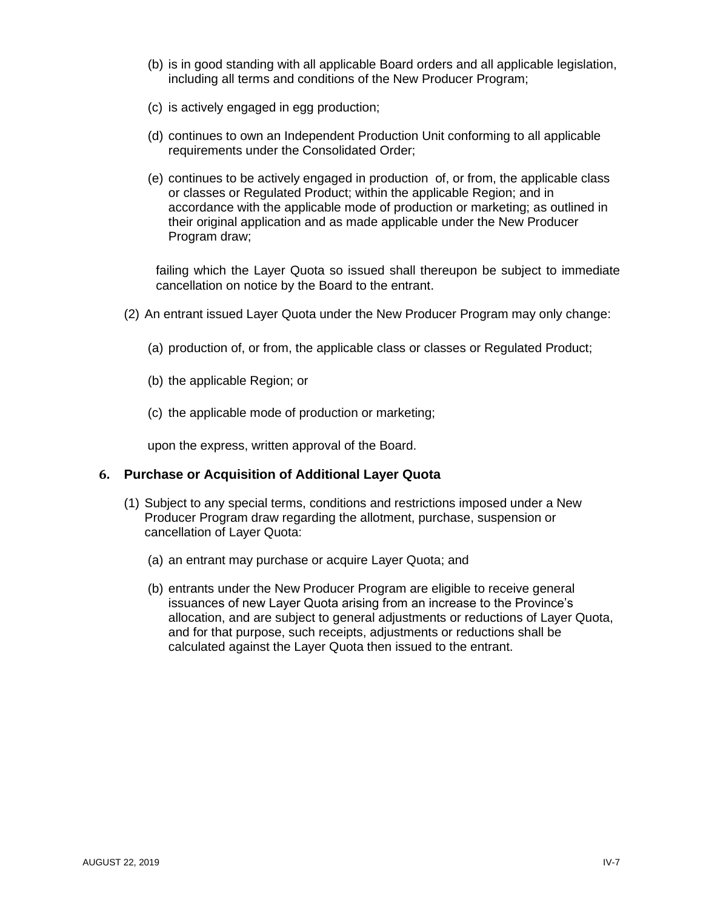- (b) is in good standing with all applicable Board orders and all applicable legislation, including all terms and conditions of the New Producer Program;
- (c) is actively engaged in egg production;
- (d) continues to own an Independent Production Unit conforming to all applicable requirements under the Consolidated Order;
- (e) continues to be actively engaged in production of, or from, the applicable class or classes or Regulated Product; within the applicable Region; and in accordance with the applicable mode of production or marketing; as outlined in their original application and as made applicable under the New Producer Program draw;

failing which the Layer Quota so issued shall thereupon be subject to immediate cancellation on notice by the Board to the entrant.

- (2) An entrant issued Layer Quota under the New Producer Program may only change:
	- (a) production of, or from, the applicable class or classes or Regulated Product;
	- (b) the applicable Region; or
	- (c) the applicable mode of production or marketing;

upon the express, written approval of the Board.

#### <span id="page-21-0"></span>**6. Purchase or Acquisition of Additional Layer Quota**

- (1) Subject to any special terms, conditions and restrictions imposed under a New Producer Program draw regarding the allotment, purchase, suspension or cancellation of Layer Quota:
	- (a) an entrant may purchase or acquire Layer Quota; and
	- (b) entrants under the New Producer Program are eligible to receive general issuances of new Layer Quota arising from an increase to the Province's allocation, and are subject to general adjustments or reductions of Layer Quota, and for that purpose, such receipts, adjustments or reductions shall be calculated against the Layer Quota then issued to the entrant.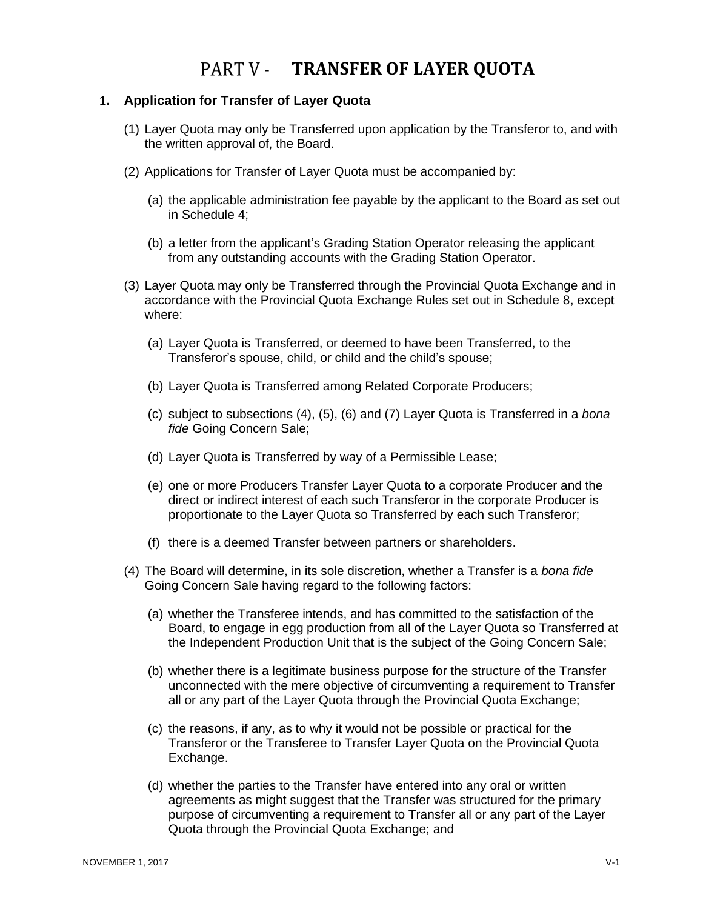### PART V - TRANSFER OF LAYER QUOTA

#### <span id="page-22-1"></span><span id="page-22-0"></span>**1. Application for Transfer of Layer Quota**

- (1) Layer Quota may only be Transferred upon application by the Transferor to, and with the written approval of, the Board.
- (2) Applications for Transfer of Layer Quota must be accompanied by:
	- (a) the applicable administration fee payable by the applicant to the Board as set out in Schedule 4;
	- (b) a letter from the applicant's Grading Station Operator releasing the applicant from any outstanding accounts with the Grading Station Operator.
- (3) Layer Quota may only be Transferred through the Provincial Quota Exchange and in accordance with the Provincial Quota Exchange Rules set out in Schedule 8, except where:
	- (a) Layer Quota is Transferred, or deemed to have been Transferred, to the Transferor's spouse, child, or child and the child's spouse;
	- (b) Layer Quota is Transferred among Related Corporate Producers;
	- (c) subject to subsections (4), (5), (6) and (7) Layer Quota is Transferred in a *bona fide* Going Concern Sale;
	- (d) Layer Quota is Transferred by way of a Permissible Lease;
	- (e) one or more Producers Transfer Layer Quota to a corporate Producer and the direct or indirect interest of each such Transferor in the corporate Producer is proportionate to the Layer Quota so Transferred by each such Transferor;
	- (f) there is a deemed Transfer between partners or shareholders.
- (4) The Board will determine, in its sole discretion, whether a Transfer is a *bona fide* Going Concern Sale having regard to the following factors:
	- (a) whether the Transferee intends, and has committed to the satisfaction of the Board, to engage in egg production from all of the Layer Quota so Transferred at the Independent Production Unit that is the subject of the Going Concern Sale;
	- (b) whether there is a legitimate business purpose for the structure of the Transfer unconnected with the mere objective of circumventing a requirement to Transfer all or any part of the Layer Quota through the Provincial Quota Exchange;
	- (c) the reasons, if any, as to why it would not be possible or practical for the Transferor or the Transferee to Transfer Layer Quota on the Provincial Quota Exchange.
	- (d) whether the parties to the Transfer have entered into any oral or written agreements as might suggest that the Transfer was structured for the primary purpose of circumventing a requirement to Transfer all or any part of the Layer Quota through the Provincial Quota Exchange; and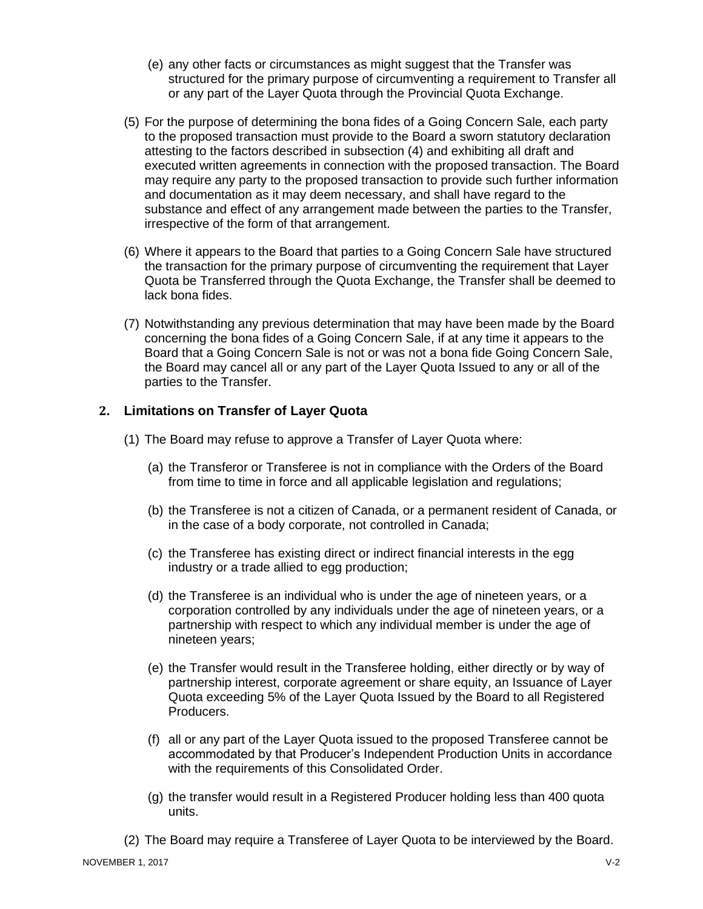- (e) any other facts or circumstances as might suggest that the Transfer was structured for the primary purpose of circumventing a requirement to Transfer all or any part of the Layer Quota through the Provincial Quota Exchange.
- (5) For the purpose of determining the bona fides of a Going Concern Sale, each party to the proposed transaction must provide to the Board a sworn statutory declaration attesting to the factors described in subsection (4) and exhibiting all draft and executed written agreements in connection with the proposed transaction. The Board may require any party to the proposed transaction to provide such further information and documentation as it may deem necessary, and shall have regard to the substance and effect of any arrangement made between the parties to the Transfer, irrespective of the form of that arrangement.
- (6) Where it appears to the Board that parties to a Going Concern Sale have structured the transaction for the primary purpose of circumventing the requirement that Layer Quota be Transferred through the Quota Exchange, the Transfer shall be deemed to lack bona fides.
- (7) Notwithstanding any previous determination that may have been made by the Board concerning the bona fides of a Going Concern Sale, if at any time it appears to the Board that a Going Concern Sale is not or was not a bona fide Going Concern Sale, the Board may cancel all or any part of the Layer Quota Issued to any or all of the parties to the Transfer.

#### <span id="page-23-0"></span>**2. Limitations on Transfer of Layer Quota**

- (1) The Board may refuse to approve a Transfer of Layer Quota where:
	- (a) the Transferor or Transferee is not in compliance with the Orders of the Board from time to time in force and all applicable legislation and regulations;
	- (b) the Transferee is not a citizen of Canada, or a permanent resident of Canada, or in the case of a body corporate, not controlled in Canada;
	- (c) the Transferee has existing direct or indirect financial interests in the egg industry or a trade allied to egg production;
	- (d) the Transferee is an individual who is under the age of nineteen years, or a corporation controlled by any individuals under the age of nineteen years, or a partnership with respect to which any individual member is under the age of nineteen years;
	- (e) the Transfer would result in the Transferee holding, either directly or by way of partnership interest, corporate agreement or share equity, an Issuance of Layer Quota exceeding 5% of the Layer Quota Issued by the Board to all Registered Producers.
	- (f) all or any part of the Layer Quota issued to the proposed Transferee cannot be accommodated by that Producer's Independent Production Units in accordance with the requirements of this Consolidated Order.
	- (g) the transfer would result in a Registered Producer holding less than 400 quota units.
- (2) The Board may require a Transferee of Layer Quota to be interviewed by the Board.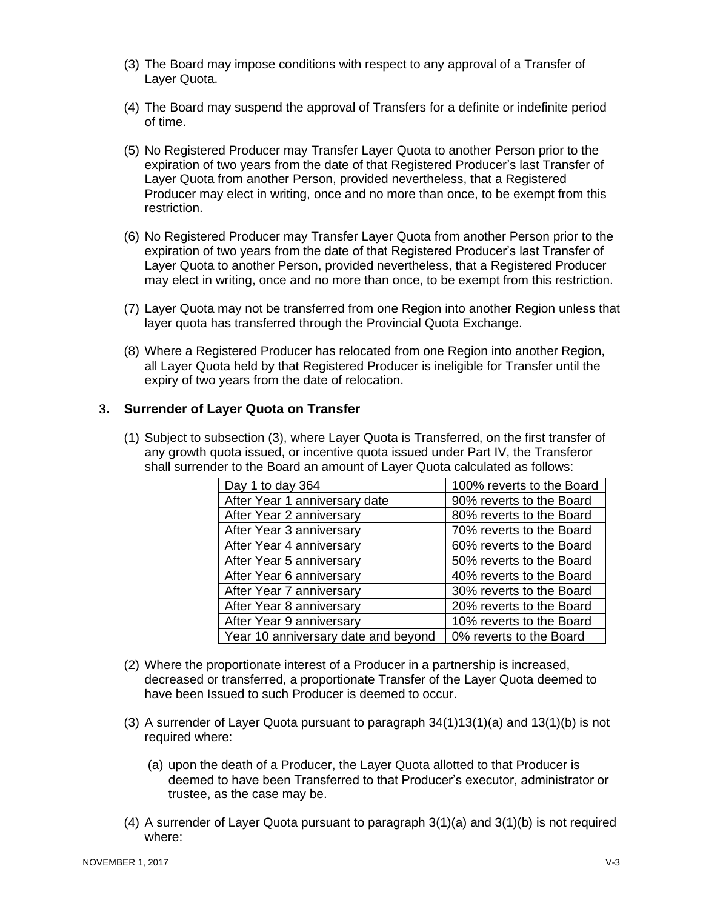- (3) The Board may impose conditions with respect to any approval of a Transfer of Layer Quota.
- (4) The Board may suspend the approval of Transfers for a definite or indefinite period of time.
- (5) No Registered Producer may Transfer Layer Quota to another Person prior to the expiration of two years from the date of that Registered Producer's last Transfer of Layer Quota from another Person, provided nevertheless, that a Registered Producer may elect in writing, once and no more than once, to be exempt from this restriction.
- (6) No Registered Producer may Transfer Layer Quota from another Person prior to the expiration of two years from the date of that Registered Producer's last Transfer of Layer Quota to another Person, provided nevertheless, that a Registered Producer may elect in writing, once and no more than once, to be exempt from this restriction.
- (7) Layer Quota may not be transferred from one Region into another Region unless that layer quota has transferred through the Provincial Quota Exchange.
- (8) Where a Registered Producer has relocated from one Region into another Region, all Layer Quota held by that Registered Producer is ineligible for Transfer until the expiry of two years from the date of relocation.

#### <span id="page-24-0"></span>**3. Surrender of Layer Quota on Transfer**

(1) Subject to subsection (3), where Layer Quota is Transferred, on the first transfer of any growth quota issued, or incentive quota issued under Part IV, the Transferor shall surrender to the Board an amount of Layer Quota calculated as follows:

| Day 1 to day 364                    | 100% reverts to the Board |
|-------------------------------------|---------------------------|
| After Year 1 anniversary date       | 90% reverts to the Board  |
| After Year 2 anniversary            | 80% reverts to the Board  |
| After Year 3 anniversary            | 70% reverts to the Board  |
| After Year 4 anniversary            | 60% reverts to the Board  |
| After Year 5 anniversary            | 50% reverts to the Board  |
| After Year 6 anniversary            | 40% reverts to the Board  |
| After Year 7 anniversary            | 30% reverts to the Board  |
| After Year 8 anniversary            | 20% reverts to the Board  |
| After Year 9 anniversary            | 10% reverts to the Board  |
| Year 10 anniversary date and beyond | 0% reverts to the Board   |

- (2) Where the proportionate interest of a Producer in a partnership is increased, decreased or transferred, a proportionate Transfer of the Layer Quota deemed to have been Issued to such Producer is deemed to occur.
- (3) A surrender of Layer Quota pursuant to paragraph 34(1)13(1)(a) and 13(1)(b) is not required where:
	- (a) upon the death of a Producer, the Layer Quota allotted to that Producer is deemed to have been Transferred to that Producer's executor, administrator or trustee, as the case may be.
- $(4)$  A surrender of Layer Quota pursuant to paragraph  $3(1)(a)$  and  $3(1)(b)$  is not required where: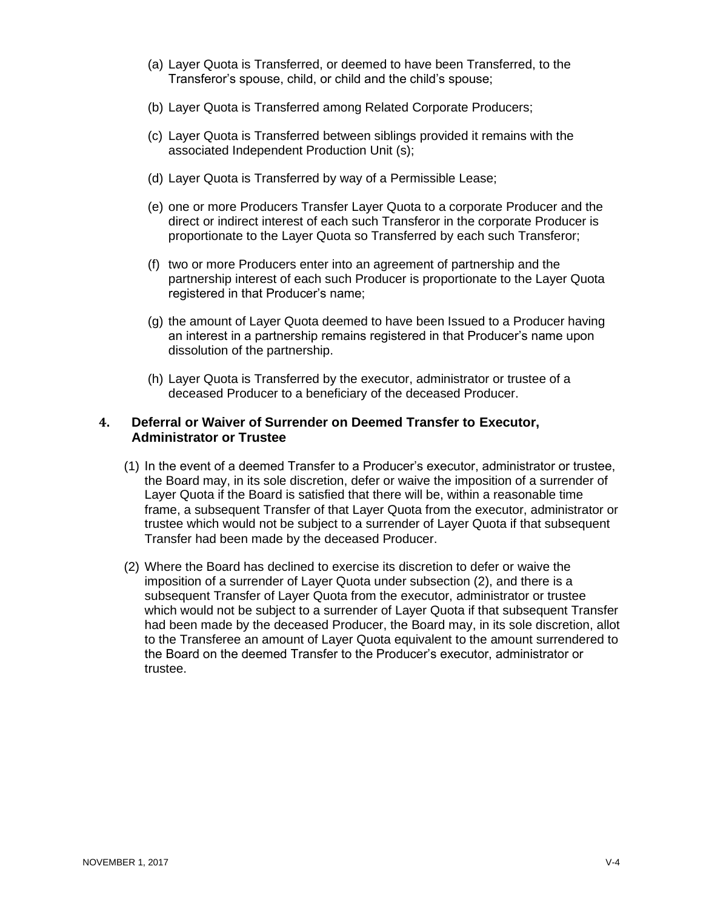- (a) Layer Quota is Transferred, or deemed to have been Transferred, to the Transferor's spouse, child, or child and the child's spouse;
- (b) Layer Quota is Transferred among Related Corporate Producers;
- (c) Layer Quota is Transferred between siblings provided it remains with the associated Independent Production Unit (s);
- (d) Layer Quota is Transferred by way of a Permissible Lease;
- (e) one or more Producers Transfer Layer Quota to a corporate Producer and the direct or indirect interest of each such Transferor in the corporate Producer is proportionate to the Layer Quota so Transferred by each such Transferor;
- (f) two or more Producers enter into an agreement of partnership and the partnership interest of each such Producer is proportionate to the Layer Quota registered in that Producer's name;
- (g) the amount of Layer Quota deemed to have been Issued to a Producer having an interest in a partnership remains registered in that Producer's name upon dissolution of the partnership.
- (h) Layer Quota is Transferred by the executor, administrator or trustee of a deceased Producer to a beneficiary of the deceased Producer.

#### <span id="page-25-0"></span>**4. Deferral or Waiver of Surrender on Deemed Transfer to Executor, Administrator or Trustee**

- (1) In the event of a deemed Transfer to a Producer's executor, administrator or trustee, the Board may, in its sole discretion, defer or waive the imposition of a surrender of Layer Quota if the Board is satisfied that there will be, within a reasonable time frame, a subsequent Transfer of that Layer Quota from the executor, administrator or trustee which would not be subject to a surrender of Layer Quota if that subsequent Transfer had been made by the deceased Producer.
- (2) Where the Board has declined to exercise its discretion to defer or waive the imposition of a surrender of Layer Quota under subsection (2), and there is a subsequent Transfer of Layer Quota from the executor, administrator or trustee which would not be subject to a surrender of Layer Quota if that subsequent Transfer had been made by the deceased Producer, the Board may, in its sole discretion, allot to the Transferee an amount of Layer Quota equivalent to the amount surrendered to the Board on the deemed Transfer to the Producer's executor, administrator or trustee.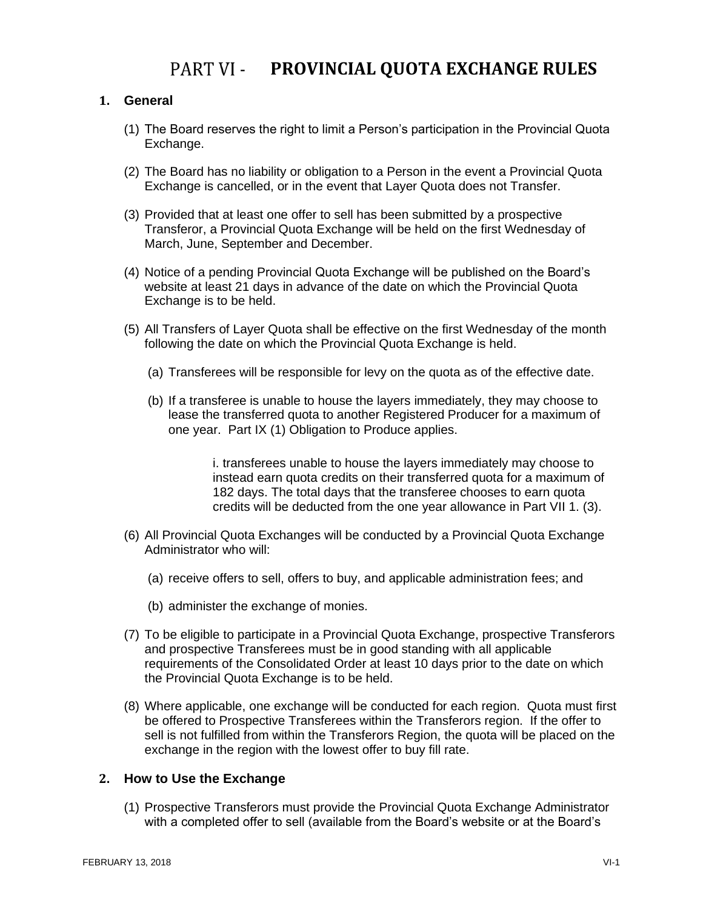### PART VI - PROVINCIAL QUOTA EXCHANGE RULES

#### <span id="page-26-1"></span><span id="page-26-0"></span>**1. General**

- (1) The Board reserves the right to limit a Person's participation in the Provincial Quota Exchange.
- (2) The Board has no liability or obligation to a Person in the event a Provincial Quota Exchange is cancelled, or in the event that Layer Quota does not Transfer.
- (3) Provided that at least one offer to sell has been submitted by a prospective Transferor, a Provincial Quota Exchange will be held on the first Wednesday of March, June, September and December.
- (4) Notice of a pending Provincial Quota Exchange will be published on the Board's website at least 21 days in advance of the date on which the Provincial Quota Exchange is to be held.
- (5) All Transfers of Layer Quota shall be effective on the first Wednesday of the month following the date on which the Provincial Quota Exchange is held.
	- (a) Transferees will be responsible for levy on the quota as of the effective date.
	- (b) If a transferee is unable to house the layers immediately, they may choose to lease the transferred quota to another Registered Producer for a maximum of one year. Part IX (1) Obligation to Produce applies.

i. transferees unable to house the layers immediately may choose to instead earn quota credits on their transferred quota for a maximum of 182 days. The total days that the transferee chooses to earn quota credits will be deducted from the one year allowance in Part VII 1. (3).

- (6) All Provincial Quota Exchanges will be conducted by a Provincial Quota Exchange Administrator who will:
	- (a) receive offers to sell, offers to buy, and applicable administration fees; and
	- (b) administer the exchange of monies.
- (7) To be eligible to participate in a Provincial Quota Exchange, prospective Transferors and prospective Transferees must be in good standing with all applicable requirements of the Consolidated Order at least 10 days prior to the date on which the Provincial Quota Exchange is to be held.
- (8) Where applicable, one exchange will be conducted for each region. Quota must first be offered to Prospective Transferees within the Transferors region. If the offer to sell is not fulfilled from within the Transferors Region, the quota will be placed on the exchange in the region with the lowest offer to buy fill rate.

#### <span id="page-26-2"></span>**2. How to Use the Exchange**

(1) Prospective Transferors must provide the Provincial Quota Exchange Administrator with a completed offer to sell (available from the Board's website or at the Board's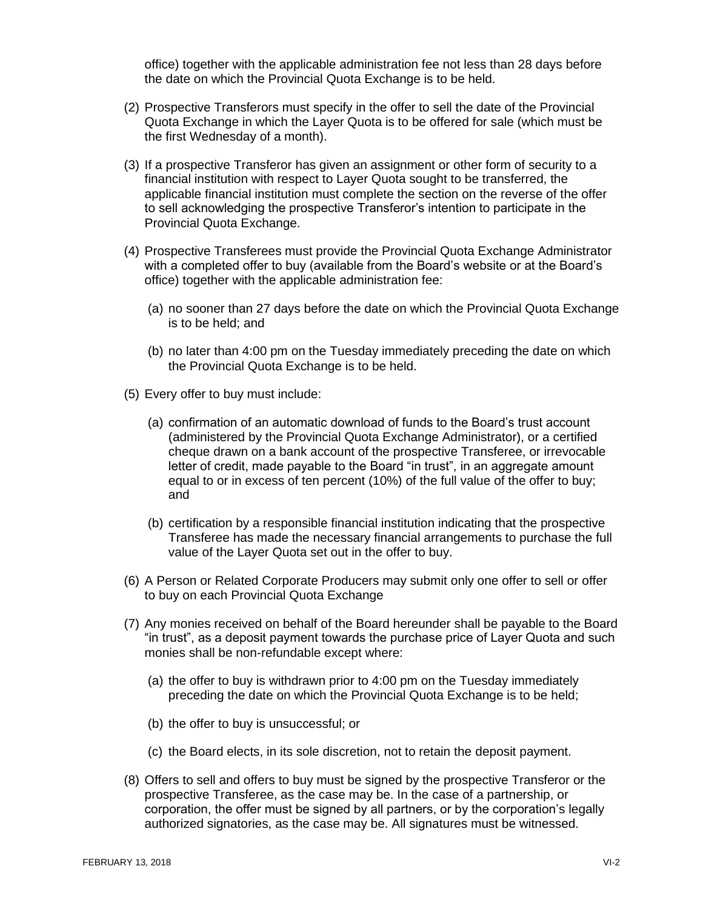office) together with the applicable administration fee not less than 28 days before the date on which the Provincial Quota Exchange is to be held.

- (2) Prospective Transferors must specify in the offer to sell the date of the Provincial Quota Exchange in which the Layer Quota is to be offered for sale (which must be the first Wednesday of a month).
- (3) If a prospective Transferor has given an assignment or other form of security to a financial institution with respect to Layer Quota sought to be transferred, the applicable financial institution must complete the section on the reverse of the offer to sell acknowledging the prospective Transferor's intention to participate in the Provincial Quota Exchange.
- (4) Prospective Transferees must provide the Provincial Quota Exchange Administrator with a completed offer to buy (available from the Board's website or at the Board's office) together with the applicable administration fee:
	- (a) no sooner than 27 days before the date on which the Provincial Quota Exchange is to be held; and
	- (b) no later than 4:00 pm on the Tuesday immediately preceding the date on which the Provincial Quota Exchange is to be held.
- (5) Every offer to buy must include:
	- (a) confirmation of an automatic download of funds to the Board's trust account (administered by the Provincial Quota Exchange Administrator), or a certified cheque drawn on a bank account of the prospective Transferee, or irrevocable letter of credit, made payable to the Board "in trust", in an aggregate amount equal to or in excess of ten percent (10%) of the full value of the offer to buy; and
	- (b) certification by a responsible financial institution indicating that the prospective Transferee has made the necessary financial arrangements to purchase the full value of the Layer Quota set out in the offer to buy.
- (6) A Person or Related Corporate Producers may submit only one offer to sell or offer to buy on each Provincial Quota Exchange
- (7) Any monies received on behalf of the Board hereunder shall be payable to the Board "in trust", as a deposit payment towards the purchase price of Layer Quota and such monies shall be non-refundable except where:
	- (a) the offer to buy is withdrawn prior to 4:00 pm on the Tuesday immediately preceding the date on which the Provincial Quota Exchange is to be held;
	- (b) the offer to buy is unsuccessful; or
	- (c) the Board elects, in its sole discretion, not to retain the deposit payment.
- (8) Offers to sell and offers to buy must be signed by the prospective Transferor or the prospective Transferee, as the case may be. In the case of a partnership, or corporation, the offer must be signed by all partners, or by the corporation's legally authorized signatories, as the case may be. All signatures must be witnessed.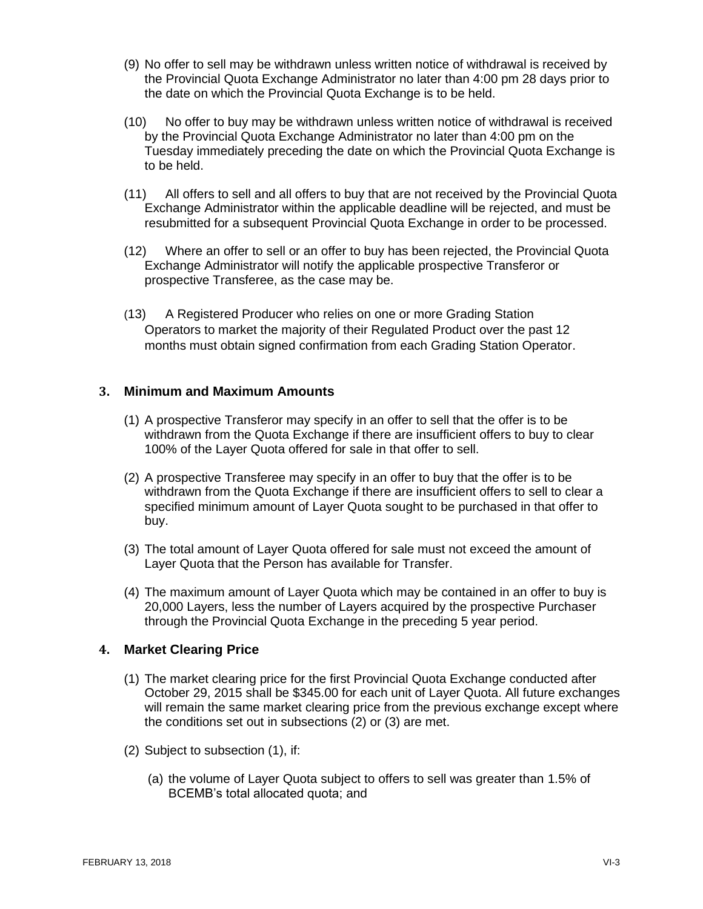- (9) No offer to sell may be withdrawn unless written notice of withdrawal is received by the Provincial Quota Exchange Administrator no later than 4:00 pm 28 days prior to the date on which the Provincial Quota Exchange is to be held.
- (10) No offer to buy may be withdrawn unless written notice of withdrawal is received by the Provincial Quota Exchange Administrator no later than 4:00 pm on the Tuesday immediately preceding the date on which the Provincial Quota Exchange is to be held.
- (11) All offers to sell and all offers to buy that are not received by the Provincial Quota Exchange Administrator within the applicable deadline will be rejected, and must be resubmitted for a subsequent Provincial Quota Exchange in order to be processed.
- (12) Where an offer to sell or an offer to buy has been rejected, the Provincial Quota Exchange Administrator will notify the applicable prospective Transferor or prospective Transferee, as the case may be.
- (13) A Registered Producer who relies on one or more Grading Station Operators to market the majority of their Regulated Product over the past 12 months must obtain signed confirmation from each Grading Station Operator.

#### <span id="page-28-0"></span>**3. Minimum and Maximum Amounts**

- (1) A prospective Transferor may specify in an offer to sell that the offer is to be withdrawn from the Quota Exchange if there are insufficient offers to buy to clear 100% of the Layer Quota offered for sale in that offer to sell.
- (2) A prospective Transferee may specify in an offer to buy that the offer is to be withdrawn from the Quota Exchange if there are insufficient offers to sell to clear a specified minimum amount of Layer Quota sought to be purchased in that offer to buy.
- (3) The total amount of Layer Quota offered for sale must not exceed the amount of Layer Quota that the Person has available for Transfer.
- (4) The maximum amount of Layer Quota which may be contained in an offer to buy is 20,000 Layers, less the number of Layers acquired by the prospective Purchaser through the Provincial Quota Exchange in the preceding 5 year period.

#### <span id="page-28-1"></span>**4. Market Clearing Price**

- (1) The market clearing price for the first Provincial Quota Exchange conducted after October 29, 2015 shall be \$345.00 for each unit of Layer Quota. All future exchanges will remain the same market clearing price from the previous exchange except where the conditions set out in subsections (2) or (3) are met.
- (2) Subject to subsection (1), if:
	- (a) the volume of Layer Quota subject to offers to sell was greater than 1.5% of BCEMB's total allocated quota; and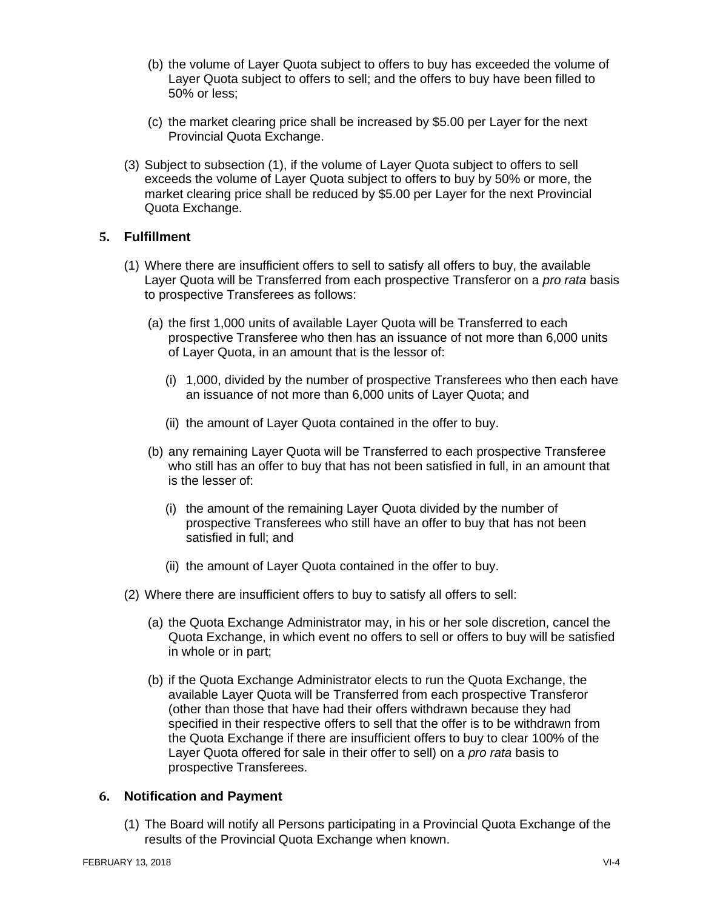- (b) the volume of Layer Quota subject to offers to buy has exceeded the volume of Layer Quota subject to offers to sell; and the offers to buy have been filled to 50% or less;
- (c) the market clearing price shall be increased by \$5.00 per Layer for the next Provincial Quota Exchange.
- (3) Subject to subsection (1), if the volume of Layer Quota subject to offers to sell exceeds the volume of Layer Quota subject to offers to buy by 50% or more, the market clearing price shall be reduced by \$5.00 per Layer for the next Provincial Quota Exchange.

#### <span id="page-29-0"></span>**5. Fulfillment**

- (1) Where there are insufficient offers to sell to satisfy all offers to buy, the available Layer Quota will be Transferred from each prospective Transferor on a *pro rata* basis to prospective Transferees as follows:
	- (a) the first 1,000 units of available Layer Quota will be Transferred to each prospective Transferee who then has an issuance of not more than 6,000 units of Layer Quota, in an amount that is the lessor of:
		- (i) 1,000, divided by the number of prospective Transferees who then each have an issuance of not more than 6,000 units of Layer Quota; and
		- (ii) the amount of Layer Quota contained in the offer to buy.
	- (b) any remaining Layer Quota will be Transferred to each prospective Transferee who still has an offer to buy that has not been satisfied in full, in an amount that is the lesser of:
		- (i) the amount of the remaining Layer Quota divided by the number of prospective Transferees who still have an offer to buy that has not been satisfied in full; and
		- (ii) the amount of Layer Quota contained in the offer to buy.
- (2) Where there are insufficient offers to buy to satisfy all offers to sell:
	- (a) the Quota Exchange Administrator may, in his or her sole discretion, cancel the Quota Exchange, in which event no offers to sell or offers to buy will be satisfied in whole or in part;
	- (b) if the Quota Exchange Administrator elects to run the Quota Exchange, the available Layer Quota will be Transferred from each prospective Transferor (other than those that have had their offers withdrawn because they had specified in their respective offers to sell that the offer is to be withdrawn from the Quota Exchange if there are insufficient offers to buy to clear 100% of the Layer Quota offered for sale in their offer to sell) on a *pro rata* basis to prospective Transferees.

#### <span id="page-29-1"></span>**6. Notification and Payment**

(1) The Board will notify all Persons participating in a Provincial Quota Exchange of the results of the Provincial Quota Exchange when known.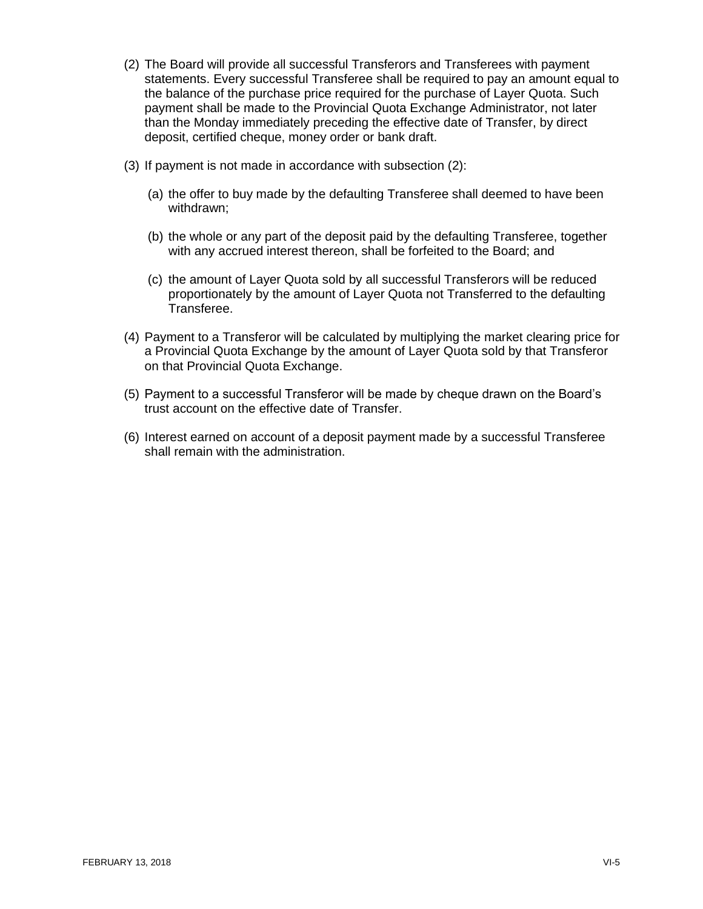- (2) The Board will provide all successful Transferors and Transferees with payment statements. Every successful Transferee shall be required to pay an amount equal to the balance of the purchase price required for the purchase of Layer Quota. Such payment shall be made to the Provincial Quota Exchange Administrator, not later than the Monday immediately preceding the effective date of Transfer, by direct deposit, certified cheque, money order or bank draft.
- (3) If payment is not made in accordance with subsection (2):
	- (a) the offer to buy made by the defaulting Transferee shall deemed to have been withdrawn;
	- (b) the whole or any part of the deposit paid by the defaulting Transferee, together with any accrued interest thereon, shall be forfeited to the Board; and
	- (c) the amount of Layer Quota sold by all successful Transferors will be reduced proportionately by the amount of Layer Quota not Transferred to the defaulting Transferee.
- (4) Payment to a Transferor will be calculated by multiplying the market clearing price for a Provincial Quota Exchange by the amount of Layer Quota sold by that Transferor on that Provincial Quota Exchange.
- (5) Payment to a successful Transferor will be made by cheque drawn on the Board's trust account on the effective date of Transfer.
- (6) Interest earned on account of a deposit payment made by a successful Transferee shall remain with the administration.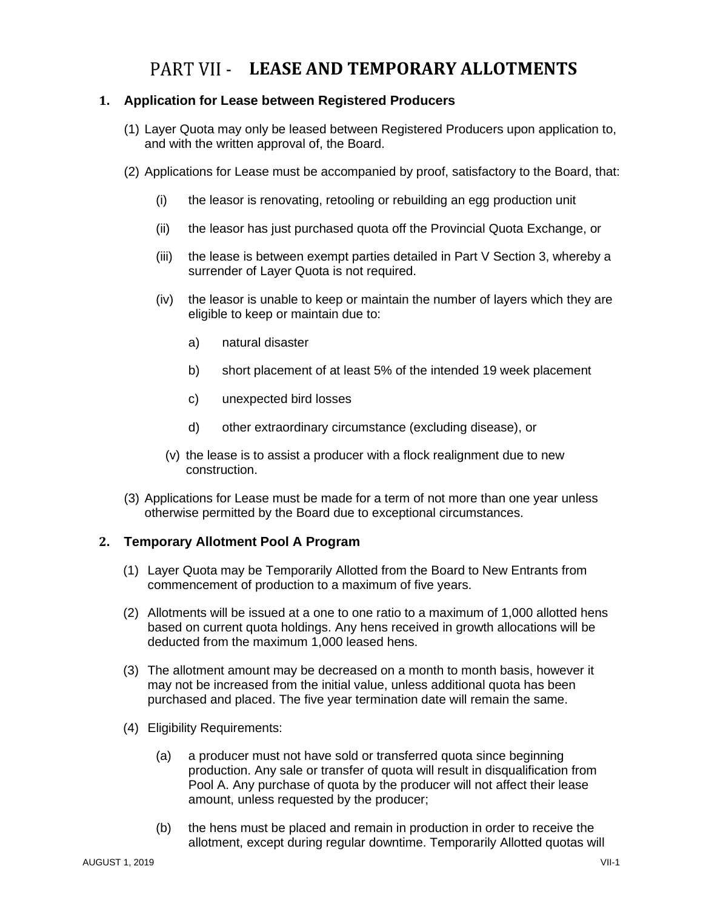### PART VII - LEASE AND TEMPORARY ALLOTMENTS

#### <span id="page-31-1"></span><span id="page-31-0"></span>**1. Application for Lease between Registered Producers**

- (1) Layer Quota may only be leased between Registered Producers upon application to, and with the written approval of, the Board.
- (2) Applications for Lease must be accompanied by proof, satisfactory to the Board, that:
	- (i) the leasor is renovating, retooling or rebuilding an egg production unit
	- (ii) the leasor has just purchased quota off the Provincial Quota Exchange, or
	- (iii) the lease is between exempt parties detailed in Part V Section 3, whereby a surrender of Layer Quota is not required.
	- (iv) the leasor is unable to keep or maintain the number of layers which they are eligible to keep or maintain due to:
		- a) natural disaster
		- b) short placement of at least 5% of the intended 19 week placement
		- c) unexpected bird losses
		- d) other extraordinary circumstance (excluding disease), or
		- (v) the lease is to assist a producer with a flock realignment due to new construction.
- (3) Applications for Lease must be made for a term of not more than one year unless otherwise permitted by the Board due to exceptional circumstances.

#### <span id="page-31-2"></span>**2. Temporary Allotment Pool A Program**

- (1) Layer Quota may be Temporarily Allotted from the Board to New Entrants from commencement of production to a maximum of five years.
- (2) Allotments will be issued at a one to one ratio to a maximum of 1,000 allotted hens based on current quota holdings. Any hens received in growth allocations will be deducted from the maximum 1,000 leased hens.
- (3) The allotment amount may be decreased on a month to month basis, however it may not be increased from the initial value, unless additional quota has been purchased and placed. The five year termination date will remain the same.
- (4) Eligibility Requirements:
	- (a) a producer must not have sold or transferred quota since beginning production. Any sale or transfer of quota will result in disqualification from Pool A. Any purchase of quota by the producer will not affect their lease amount, unless requested by the producer;
	- (b) the hens must be placed and remain in production in order to receive the allotment, except during regular downtime. Temporarily Allotted quotas will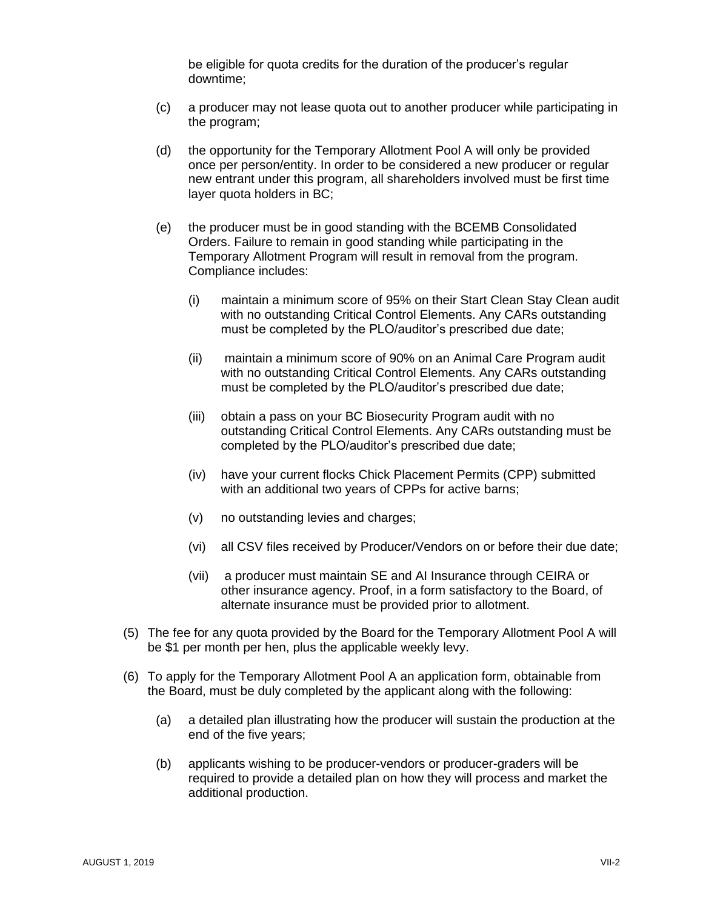be eligible for quota credits for the duration of the producer's regular downtime;

- (c) a producer may not lease quota out to another producer while participating in the program;
- (d) the opportunity for the Temporary Allotment Pool A will only be provided once per person/entity. In order to be considered a new producer or regular new entrant under this program, all shareholders involved must be first time layer quota holders in BC;
- (e) the producer must be in good standing with the BCEMB Consolidated Orders. Failure to remain in good standing while participating in the Temporary Allotment Program will result in removal from the program. Compliance includes:
	- (i) maintain a minimum score of 95% on their Start Clean Stay Clean audit with no outstanding Critical Control Elements. Any CARs outstanding must be completed by the PLO/auditor's prescribed due date;
	- (ii) maintain a minimum score of 90% on an Animal Care Program audit with no outstanding Critical Control Elements. Any CARs outstanding must be completed by the PLO/auditor's prescribed due date;
	- (iii) obtain a pass on your BC Biosecurity Program audit with no outstanding Critical Control Elements. Any CARs outstanding must be completed by the PLO/auditor's prescribed due date;
	- (iv) have your current flocks Chick Placement Permits (CPP) submitted with an additional two years of CPPs for active barns;
	- (v) no outstanding levies and charges;
	- (vi) all CSV files received by Producer/Vendors on or before their due date;
	- (vii) a producer must maintain SE and AI Insurance through CEIRA or other insurance agency. Proof, in a form satisfactory to the Board, of alternate insurance must be provided prior to allotment.
- (5) The fee for any quota provided by the Board for the Temporary Allotment Pool A will be \$1 per month per hen, plus the applicable weekly levy.
- (6) To apply for the Temporary Allotment Pool A an application form, obtainable from the Board, must be duly completed by the applicant along with the following:
	- (a) a detailed plan illustrating how the producer will sustain the production at the end of the five years;
	- (b) applicants wishing to be producer-vendors or producer-graders will be required to provide a detailed plan on how they will process and market the additional production.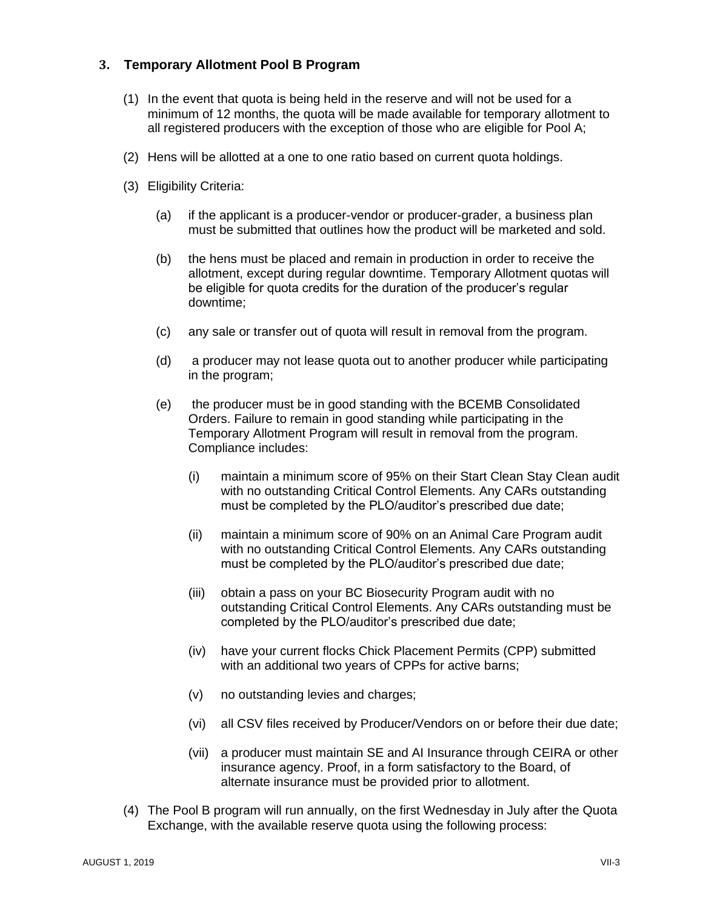#### <span id="page-33-0"></span>**3. Temporary Allotment Pool B Program**

- (1) In the event that quota is being held in the reserve and will not be used for a minimum of 12 months, the quota will be made available for temporary allotment to all registered producers with the exception of those who are eligible for Pool A;
- (2) Hens will be allotted at a one to one ratio based on current quota holdings.
- (3) Eligibility Criteria:
	- (a) if the applicant is a producer-vendor or producer-grader, a business plan must be submitted that outlines how the product will be marketed and sold.
	- (b) the hens must be placed and remain in production in order to receive the allotment, except during regular downtime. Temporary Allotment quotas will be eligible for quota credits for the duration of the producer's regular downtime;
	- (c) any sale or transfer out of quota will result in removal from the program.
	- (d) a producer may not lease quota out to another producer while participating in the program;
	- (e) the producer must be in good standing with the BCEMB Consolidated Orders. Failure to remain in good standing while participating in the Temporary Allotment Program will result in removal from the program. Compliance includes:
		- (i) maintain a minimum score of 95% on their Start Clean Stay Clean audit with no outstanding Critical Control Elements. Any CARs outstanding must be completed by the PLO/auditor's prescribed due date;
		- (ii) maintain a minimum score of 90% on an Animal Care Program audit with no outstanding Critical Control Elements. Any CARs outstanding must be completed by the PLO/auditor's prescribed due date;
		- (iii) obtain a pass on your BC Biosecurity Program audit with no outstanding Critical Control Elements. Any CARs outstanding must be completed by the PLO/auditor's prescribed due date;
		- (iv) have your current flocks Chick Placement Permits (CPP) submitted with an additional two years of CPPs for active barns;
		- (v) no outstanding levies and charges;
		- (vi) all CSV files received by Producer/Vendors on or before their due date;
		- (vii) a producer must maintain SE and AI Insurance through CEIRA or other insurance agency. Proof, in a form satisfactory to the Board, of alternate insurance must be provided prior to allotment.
- (4) The Pool B program will run annually, on the first Wednesday in July after the Quota Exchange, with the available reserve quota using the following process: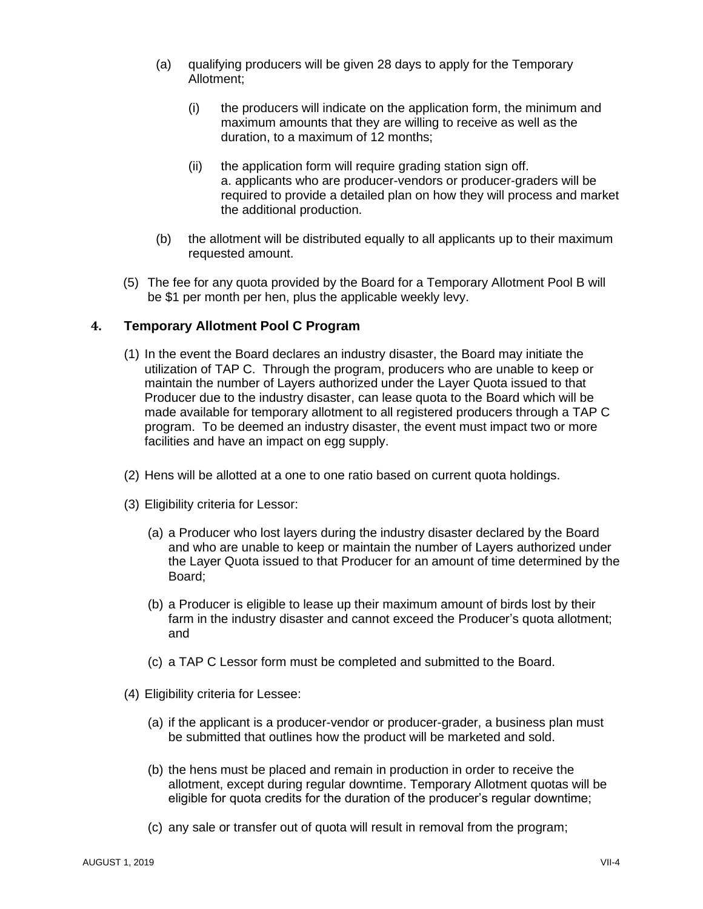- (a) qualifying producers will be given 28 days to apply for the Temporary Allotment;
	- (i) the producers will indicate on the application form, the minimum and maximum amounts that they are willing to receive as well as the duration, to a maximum of 12 months;
	- (ii) the application form will require grading station sign off. a. applicants who are producer-vendors or producer-graders will be required to provide a detailed plan on how they will process and market the additional production.
- (b) the allotment will be distributed equally to all applicants up to their maximum requested amount.
- (5) The fee for any quota provided by the Board for a Temporary Allotment Pool B will be \$1 per month per hen, plus the applicable weekly levy.

#### <span id="page-34-0"></span>**4. Temporary Allotment Pool C Program**

- (1) In the event the Board declares an industry disaster, the Board may initiate the utilization of TAP C. Through the program, producers who are unable to keep or maintain the number of Layers authorized under the Layer Quota issued to that Producer due to the industry disaster, can lease quota to the Board which will be made available for temporary allotment to all registered producers through a TAP C program. To be deemed an industry disaster, the event must impact two or more facilities and have an impact on egg supply.
- (2) Hens will be allotted at a one to one ratio based on current quota holdings.
- (3) Eligibility criteria for Lessor:
	- (a) a Producer who lost layers during the industry disaster declared by the Board and who are unable to keep or maintain the number of Layers authorized under the Layer Quota issued to that Producer for an amount of time determined by the Board;
	- (b) a Producer is eligible to lease up their maximum amount of birds lost by their farm in the industry disaster and cannot exceed the Producer's quota allotment; and
	- (c) a TAP C Lessor form must be completed and submitted to the Board.
- (4) Eligibility criteria for Lessee:
	- (a) if the applicant is a producer-vendor or producer-grader, a business plan must be submitted that outlines how the product will be marketed and sold.
	- (b) the hens must be placed and remain in production in order to receive the allotment, except during regular downtime. Temporary Allotment quotas will be eligible for quota credits for the duration of the producer's regular downtime;
	- (c) any sale or transfer out of quota will result in removal from the program;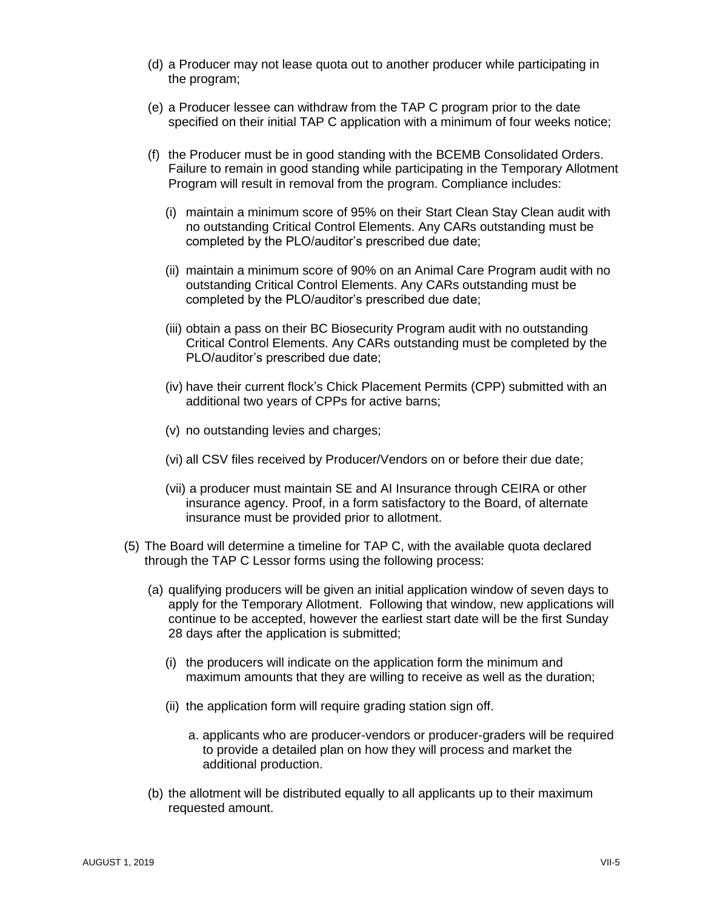- (d) a Producer may not lease quota out to another producer while participating in the program;
- (e) a Producer lessee can withdraw from the TAP C program prior to the date specified on their initial TAP C application with a minimum of four weeks notice;
- (f) the Producer must be in good standing with the BCEMB Consolidated Orders. Failure to remain in good standing while participating in the Temporary Allotment Program will result in removal from the program. Compliance includes:
	- (i) maintain a minimum score of 95% on their Start Clean Stay Clean audit with no outstanding Critical Control Elements. Any CARs outstanding must be completed by the PLO/auditor's prescribed due date;
	- (ii) maintain a minimum score of 90% on an Animal Care Program audit with no outstanding Critical Control Elements. Any CARs outstanding must be completed by the PLO/auditor's prescribed due date;
	- (iii) obtain a pass on their BC Biosecurity Program audit with no outstanding Critical Control Elements. Any CARs outstanding must be completed by the PLO/auditor's prescribed due date;
	- (iv) have their current flock's Chick Placement Permits (CPP) submitted with an additional two years of CPPs for active barns;
	- (v) no outstanding levies and charges;
	- (vi) all CSV files received by Producer/Vendors on or before their due date;
	- (vii) a producer must maintain SE and AI Insurance through CEIRA or other insurance agency. Proof, in a form satisfactory to the Board, of alternate insurance must be provided prior to allotment.
- (5) The Board will determine a timeline for TAP C, with the available quota declared through the TAP C Lessor forms using the following process:
	- (a) qualifying producers will be given an initial application window of seven days to apply for the Temporary Allotment. Following that window, new applications will continue to be accepted, however the earliest start date will be the first Sunday 28 days after the application is submitted;
		- (i) the producers will indicate on the application form the minimum and maximum amounts that they are willing to receive as well as the duration;
		- (ii) the application form will require grading station sign off.
			- a. applicants who are producer-vendors or producer-graders will be required to provide a detailed plan on how they will process and market the additional production.
	- (b) the allotment will be distributed equally to all applicants up to their maximum requested amount.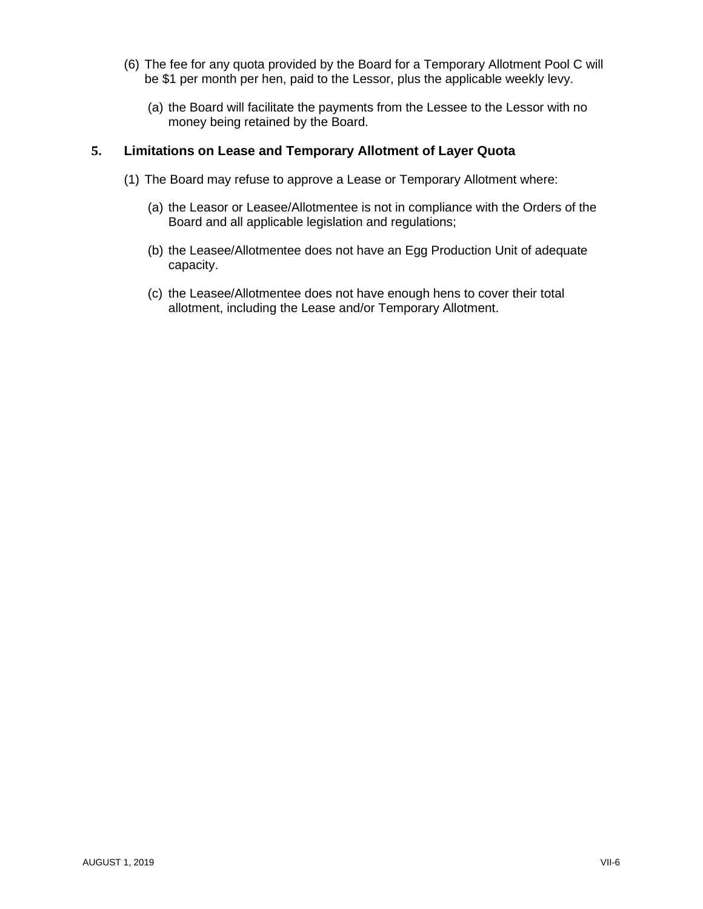- (6) The fee for any quota provided by the Board for a Temporary Allotment Pool C will be \$1 per month per hen, paid to the Lessor, plus the applicable weekly levy.
	- (a) the Board will facilitate the payments from the Lessee to the Lessor with no money being retained by the Board.

#### **5. Limitations on Lease and Temporary Allotment of Layer Quota**

- (1) The Board may refuse to approve a Lease or Temporary Allotment where:
	- (a) the Leasor or Leasee/Allotmentee is not in compliance with the Orders of the Board and all applicable legislation and regulations;
	- (b) the Leasee/Allotmentee does not have an Egg Production Unit of adequate capacity.
	- (c) the Leasee/Allotmentee does not have enough hens to cover their total allotment, including the Lease and/or Temporary Allotment.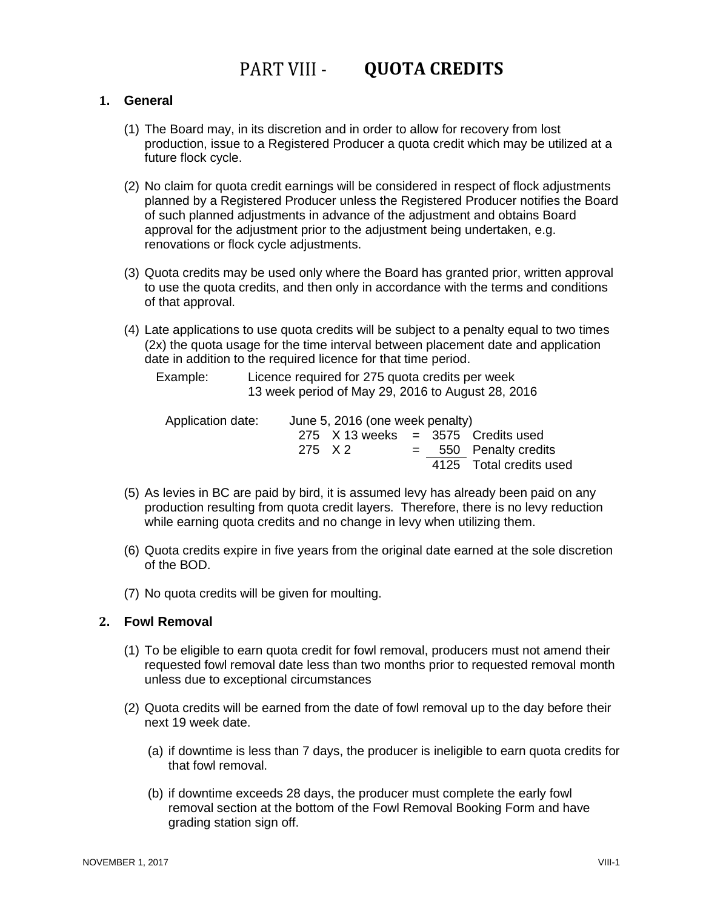### PART VIII - QUOTA CREDITS

#### <span id="page-37-1"></span><span id="page-37-0"></span>**1. General**

- (1) The Board may, in its discretion and in order to allow for recovery from lost production, issue to a Registered Producer a quota credit which may be utilized at a future flock cycle.
- (2) No claim for quota credit earnings will be considered in respect of flock adjustments planned by a Registered Producer unless the Registered Producer notifies the Board of such planned adjustments in advance of the adjustment and obtains Board approval for the adjustment prior to the adjustment being undertaken, e.g. renovations or flock cycle adjustments.
- (3) Quota credits may be used only where the Board has granted prior, written approval to use the quota credits, and then only in accordance with the terms and conditions of that approval.
- (4) Late applications to use quota credits will be subject to a penalty equal to two times (2x) the quota usage for the time interval between placement date and application date in addition to the required licence for that time period.

Example: Licence required for 275 quota credits per week 13 week period of May 29, 2016 to August 28, 2016

| Application date: | June 5, 2016 (one week penalty) |  |  |                                                 |
|-------------------|---------------------------------|--|--|-------------------------------------------------|
|                   |                                 |  |  | 275 $\overline{X}$ 13 weeks = 3575 Credits used |
|                   | 275 X 2                         |  |  | $=$ 550 Penalty credits                         |
|                   |                                 |  |  | 4125 Total credits used                         |

- (5) As levies in BC are paid by bird, it is assumed levy has already been paid on any production resulting from quota credit layers. Therefore, there is no levy reduction while earning quota credits and no change in levy when utilizing them.
- (6) Quota credits expire in five years from the original date earned at the sole discretion of the BOD.
- (7) No quota credits will be given for moulting.

#### <span id="page-37-2"></span>**2. Fowl Removal**

- (1) To be eligible to earn quota credit for fowl removal, producers must not amend their requested fowl removal date less than two months prior to requested removal month unless due to exceptional circumstances
- (2) Quota credits will be earned from the date of fowl removal up to the day before their next 19 week date.
	- (a) if downtime is less than 7 days, the producer is ineligible to earn quota credits for that fowl removal.
	- (b) if downtime exceeds 28 days, the producer must complete the early fowl removal section at the bottom of the Fowl Removal Booking Form and have grading station sign off.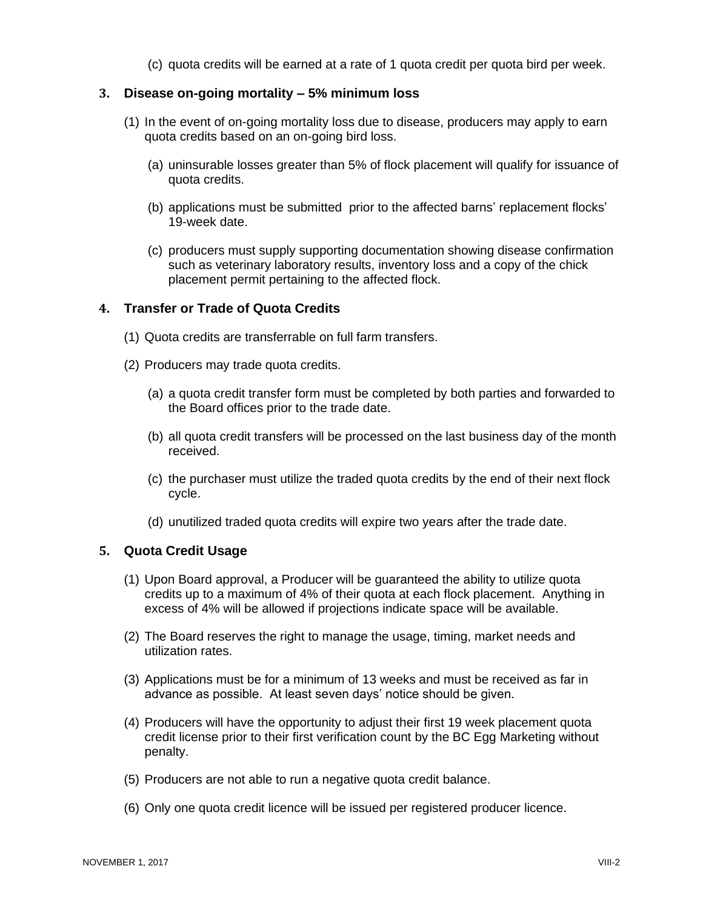(c) quota credits will be earned at a rate of 1 quota credit per quota bird per week.

#### <span id="page-38-0"></span>**3. Disease on-going mortality – 5% minimum loss**

- (1) In the event of on-going mortality loss due to disease, producers may apply to earn quota credits based on an on-going bird loss.
	- (a) uninsurable losses greater than 5% of flock placement will qualify for issuance of quota credits.
	- (b) applications must be submitted prior to the affected barns' replacement flocks' 19-week date.
	- (c) producers must supply supporting documentation showing disease confirmation such as veterinary laboratory results, inventory loss and a copy of the chick placement permit pertaining to the affected flock.

#### <span id="page-38-1"></span>**4. Transfer or Trade of Quota Credits**

- (1) Quota credits are transferrable on full farm transfers.
- (2) Producers may trade quota credits.
	- (a) a quota credit transfer form must be completed by both parties and forwarded to the Board offices prior to the trade date.
	- (b) all quota credit transfers will be processed on the last business day of the month received.
	- (c) the purchaser must utilize the traded quota credits by the end of their next flock cycle.
	- (d) unutilized traded quota credits will expire two years after the trade date.

#### <span id="page-38-2"></span>**5. Quota Credit Usage**

- (1) Upon Board approval, a Producer will be guaranteed the ability to utilize quota credits up to a maximum of 4% of their quota at each flock placement. Anything in excess of 4% will be allowed if projections indicate space will be available.
- (2) The Board reserves the right to manage the usage, timing, market needs and utilization rates.
- (3) Applications must be for a minimum of 13 weeks and must be received as far in advance as possible. At least seven days' notice should be given.
- (4) Producers will have the opportunity to adjust their first 19 week placement quota credit license prior to their first verification count by the BC Egg Marketing without penalty.
- (5) Producers are not able to run a negative quota credit balance.
- (6) Only one quota credit licence will be issued per registered producer licence.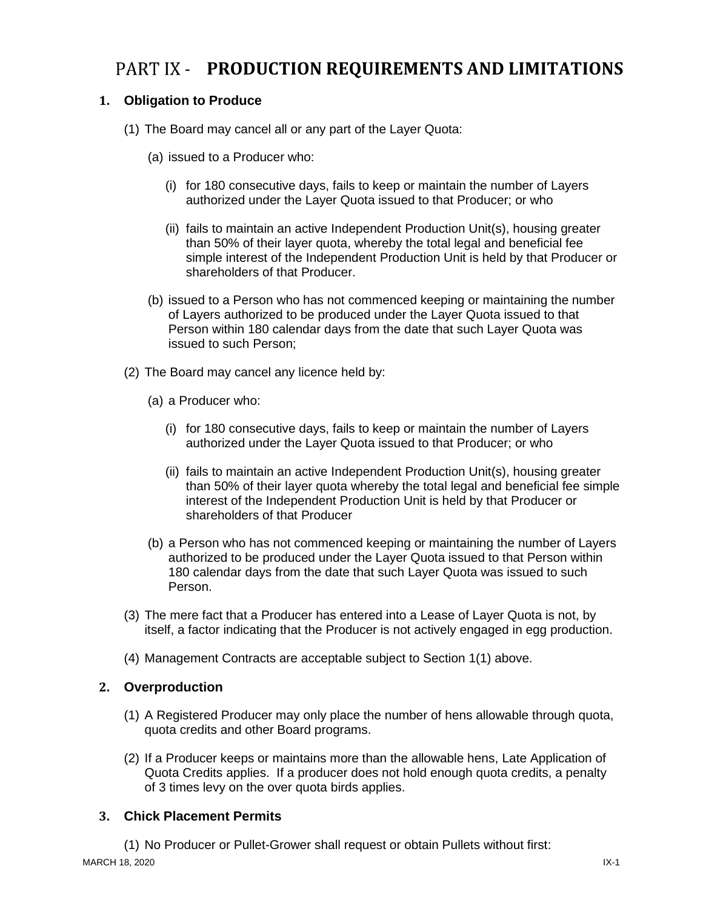### <span id="page-39-0"></span>PART IX - PRODUCTION REQUIREMENTS AND LIMITATIONS

#### <span id="page-39-1"></span>**1. Obligation to Produce**

- (1) The Board may cancel all or any part of the Layer Quota:
	- (a) issued to a Producer who:
		- (i) for 180 consecutive days, fails to keep or maintain the number of Layers authorized under the Layer Quota issued to that Producer; or who
		- (ii) fails to maintain an active Independent Production Unit(s), housing greater than 50% of their layer quota, whereby the total legal and beneficial fee simple interest of the Independent Production Unit is held by that Producer or shareholders of that Producer.
	- (b) issued to a Person who has not commenced keeping or maintaining the number of Layers authorized to be produced under the Layer Quota issued to that Person within 180 calendar days from the date that such Layer Quota was issued to such Person;
- (2) The Board may cancel any licence held by:
	- (a) a Producer who:
		- (i) for 180 consecutive days, fails to keep or maintain the number of Layers authorized under the Layer Quota issued to that Producer; or who
		- (ii) fails to maintain an active Independent Production Unit(s), housing greater than 50% of their layer quota whereby the total legal and beneficial fee simple interest of the Independent Production Unit is held by that Producer or shareholders of that Producer
	- (b) a Person who has not commenced keeping or maintaining the number of Layers authorized to be produced under the Layer Quota issued to that Person within 180 calendar days from the date that such Layer Quota was issued to such Person.
- (3) The mere fact that a Producer has entered into a Lease of Layer Quota is not, by itself, a factor indicating that the Producer is not actively engaged in egg production.
- (4) Management Contracts are acceptable subject to Section 1(1) above.

#### <span id="page-39-2"></span>**2. Overproduction**

- (1) A Registered Producer may only place the number of hens allowable through quota, quota credits and other Board programs.
- (2) If a Producer keeps or maintains more than the allowable hens, Late Application of Quota Credits applies. If a producer does not hold enough quota credits, a penalty of 3 times levy on the over quota birds applies.

#### <span id="page-39-3"></span>**3. Chick Placement Permits**

(1) No Producer or Pullet-Grower shall request or obtain Pullets without first: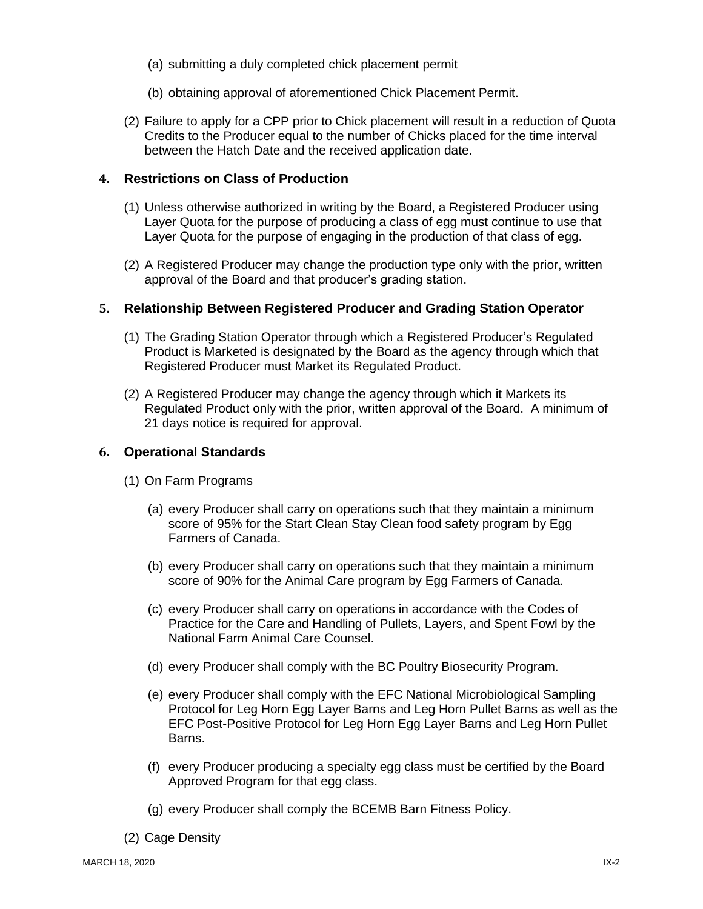- (a) submitting a duly completed chick placement permit
- (b) obtaining approval of aforementioned Chick Placement Permit.
- (2) Failure to apply for a CPP prior to Chick placement will result in a reduction of Quota Credits to the Producer equal to the number of Chicks placed for the time interval between the Hatch Date and the received application date.

#### <span id="page-40-0"></span>**4. Restrictions on Class of Production**

- (1) Unless otherwise authorized in writing by the Board, a Registered Producer using Layer Quota for the purpose of producing a class of egg must continue to use that Layer Quota for the purpose of engaging in the production of that class of egg.
- (2) A Registered Producer may change the production type only with the prior, written approval of the Board and that producer's grading station.

#### <span id="page-40-1"></span>**5. Relationship Between Registered Producer and Grading Station Operator**

- (1) The Grading Station Operator through which a Registered Producer's Regulated Product is Marketed is designated by the Board as the agency through which that Registered Producer must Market its Regulated Product.
- (2) A Registered Producer may change the agency through which it Markets its Regulated Product only with the prior, written approval of the Board. A minimum of 21 days notice is required for approval.

#### <span id="page-40-2"></span>**6. Operational Standards**

- (1) On Farm Programs
	- (a) every Producer shall carry on operations such that they maintain a minimum score of 95% for the Start Clean Stay Clean food safety program by Egg Farmers of Canada.
	- (b) every Producer shall carry on operations such that they maintain a minimum score of 90% for the Animal Care program by Egg Farmers of Canada.
	- (c) every Producer shall carry on operations in accordance with the Codes of Practice for the Care and Handling of Pullets, Layers, and Spent Fowl by the National Farm Animal Care Counsel.
	- (d) every Producer shall comply with the BC Poultry Biosecurity Program.
	- (e) every Producer shall comply with the EFC National Microbiological Sampling Protocol for Leg Horn Egg Layer Barns and Leg Horn Pullet Barns as well as the EFC Post-Positive Protocol for Leg Horn Egg Layer Barns and Leg Horn Pullet Barns.
	- (f) every Producer producing a specialty egg class must be certified by the Board Approved Program for that egg class.
	- (g) every Producer shall comply the BCEMB Barn Fitness Policy.
- (2) Cage Density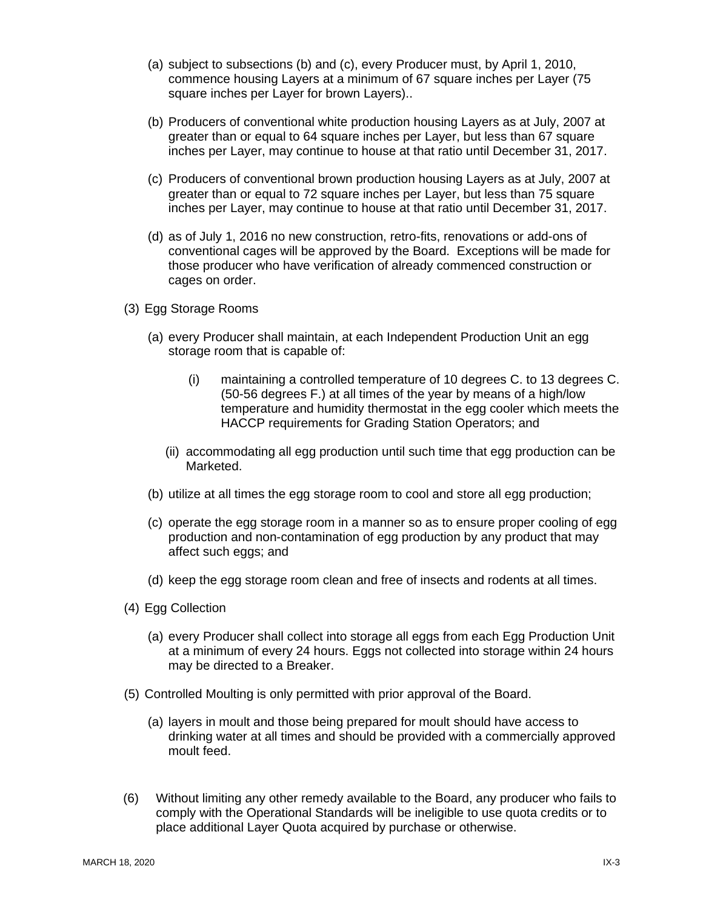- (a) subject to subsections (b) and (c), every Producer must, by April 1, 2010, commence housing Layers at a minimum of 67 square inches per Layer (75 square inches per Layer for brown Layers)..
- (b) Producers of conventional white production housing Layers as at July, 2007 at greater than or equal to 64 square inches per Layer, but less than 67 square inches per Layer, may continue to house at that ratio until December 31, 2017.
- (c) Producers of conventional brown production housing Layers as at July, 2007 at greater than or equal to 72 square inches per Layer, but less than 75 square inches per Layer, may continue to house at that ratio until December 31, 2017.
- (d) as of July 1, 2016 no new construction, retro-fits, renovations or add-ons of conventional cages will be approved by the Board. Exceptions will be made for those producer who have verification of already commenced construction or cages on order.
- (3) Egg Storage Rooms
	- (a) every Producer shall maintain, at each Independent Production Unit an egg storage room that is capable of:
		- (i) maintaining a controlled temperature of 10 degrees C. to 13 degrees C. (50-56 degrees F.) at all times of the year by means of a high/low temperature and humidity thermostat in the egg cooler which meets the HACCP requirements for Grading Station Operators; and
		- (ii) accommodating all egg production until such time that egg production can be Marketed.
	- (b) utilize at all times the egg storage room to cool and store all egg production;
	- (c) operate the egg storage room in a manner so as to ensure proper cooling of egg production and non-contamination of egg production by any product that may affect such eggs; and
	- (d) keep the egg storage room clean and free of insects and rodents at all times.
- (4) Egg Collection
	- (a) every Producer shall collect into storage all eggs from each Egg Production Unit at a minimum of every 24 hours. Eggs not collected into storage within 24 hours may be directed to a Breaker.
- (5) Controlled Moulting is only permitted with prior approval of the Board.
	- (a) layers in moult and those being prepared for moult should have access to drinking water at all times and should be provided with a commercially approved moult feed.
- (6) Without limiting any other remedy available to the Board, any producer who fails to comply with the Operational Standards will be ineligible to use quota credits or to place additional Layer Quota acquired by purchase or otherwise.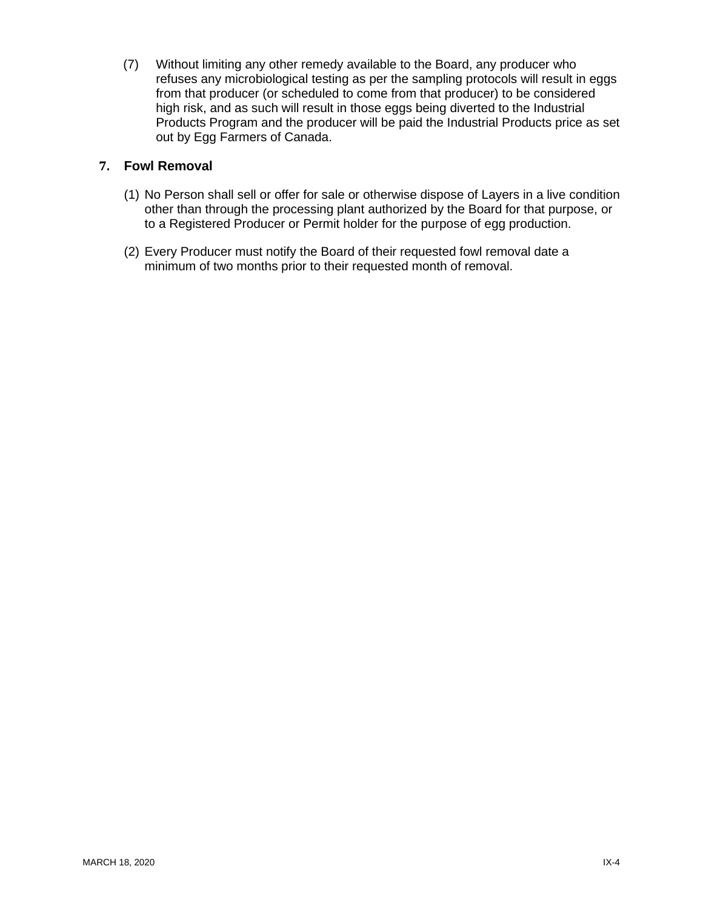(7) Without limiting any other remedy available to the Board, any producer who refuses any microbiological testing as per the sampling protocols will result in eggs from that producer (or scheduled to come from that producer) to be considered high risk, and as such will result in those eggs being diverted to the Industrial Products Program and the producer will be paid the Industrial Products price as set out by Egg Farmers of Canada.

#### <span id="page-42-0"></span>**7. Fowl Removal**

- (1) No Person shall sell or offer for sale or otherwise dispose of Layers in a live condition other than through the processing plant authorized by the Board for that purpose, or to a Registered Producer or Permit holder for the purpose of egg production.
- (2) Every Producer must notify the Board of their requested fowl removal date a minimum of two months prior to their requested month of removal.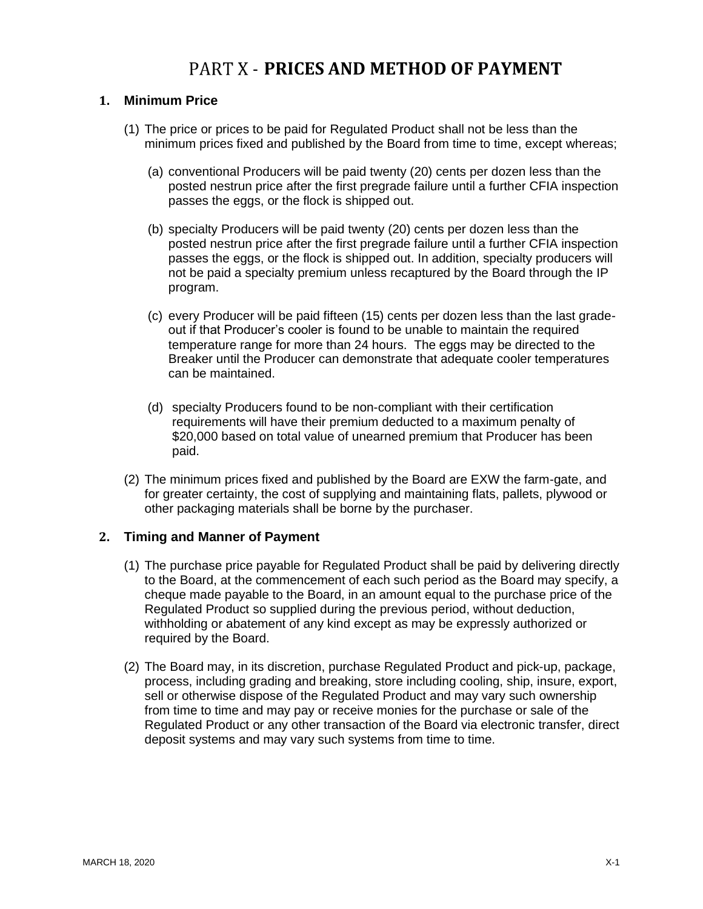### PART X - **PRICES AND METHOD OF PAYMENT**

#### <span id="page-43-1"></span><span id="page-43-0"></span>**1. Minimum Price**

- (1) The price or prices to be paid for Regulated Product shall not be less than the minimum prices fixed and published by the Board from time to time, except whereas;
	- (a) conventional Producers will be paid twenty (20) cents per dozen less than the posted nestrun price after the first pregrade failure until a further CFIA inspection passes the eggs, or the flock is shipped out.
	- (b) specialty Producers will be paid twenty (20) cents per dozen less than the posted nestrun price after the first pregrade failure until a further CFIA inspection passes the eggs, or the flock is shipped out. In addition, specialty producers will not be paid a specialty premium unless recaptured by the Board through the IP program.
	- (c) every Producer will be paid fifteen (15) cents per dozen less than the last gradeout if that Producer's cooler is found to be unable to maintain the required temperature range for more than 24 hours. The eggs may be directed to the Breaker until the Producer can demonstrate that adequate cooler temperatures can be maintained.
	- (d) specialty Producers found to be non-compliant with their certification requirements will have their premium deducted to a maximum penalty of \$20,000 based on total value of unearned premium that Producer has been paid.
- (2) The minimum prices fixed and published by the Board are EXW the farm-gate, and for greater certainty, the cost of supplying and maintaining flats, pallets, plywood or other packaging materials shall be borne by the purchaser.

#### <span id="page-43-2"></span>**2. Timing and Manner of Payment**

- (1) The purchase price payable for Regulated Product shall be paid by delivering directly to the Board, at the commencement of each such period as the Board may specify, a cheque made payable to the Board, in an amount equal to the purchase price of the Regulated Product so supplied during the previous period, without deduction, withholding or abatement of any kind except as may be expressly authorized or required by the Board.
- (2) The Board may, in its discretion, purchase Regulated Product and pick-up, package, process, including grading and breaking, store including cooling, ship, insure, export, sell or otherwise dispose of the Regulated Product and may vary such ownership from time to time and may pay or receive monies for the purchase or sale of the Regulated Product or any other transaction of the Board via electronic transfer, direct deposit systems and may vary such systems from time to time.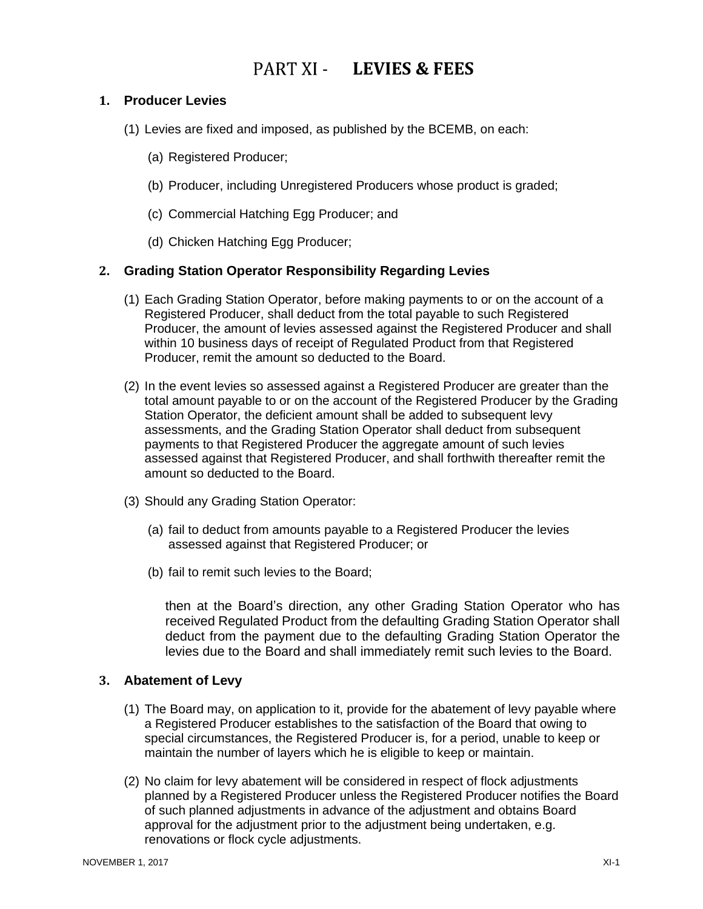### **LEVIES & FEES**

#### <span id="page-44-1"></span><span id="page-44-0"></span>**1. Producer Levies**

- (1) Levies are fixed and imposed, as published by the BCEMB, on each:
	- (a) Registered Producer;
	- (b) Producer, including Unregistered Producers whose product is graded;
	- (c) Commercial Hatching Egg Producer; and
	- (d) Chicken Hatching Egg Producer;

#### <span id="page-44-2"></span>**2. Grading Station Operator Responsibility Regarding Levies**

- (1) Each Grading Station Operator, before making payments to or on the account of a Registered Producer, shall deduct from the total payable to such Registered Producer, the amount of levies assessed against the Registered Producer and shall within 10 business days of receipt of Regulated Product from that Registered Producer, remit the amount so deducted to the Board.
- (2) In the event levies so assessed against a Registered Producer are greater than the total amount payable to or on the account of the Registered Producer by the Grading Station Operator, the deficient amount shall be added to subsequent levy assessments, and the Grading Station Operator shall deduct from subsequent payments to that Registered Producer the aggregate amount of such levies assessed against that Registered Producer, and shall forthwith thereafter remit the amount so deducted to the Board.
- (3) Should any Grading Station Operator:
	- (a) fail to deduct from amounts payable to a Registered Producer the levies assessed against that Registered Producer; or
	- (b) fail to remit such levies to the Board;

then at the Board's direction, any other Grading Station Operator who has received Regulated Product from the defaulting Grading Station Operator shall deduct from the payment due to the defaulting Grading Station Operator the levies due to the Board and shall immediately remit such levies to the Board.

#### <span id="page-44-3"></span>**3. Abatement of Levy**

- (1) The Board may, on application to it, provide for the abatement of levy payable where a Registered Producer establishes to the satisfaction of the Board that owing to special circumstances, the Registered Producer is, for a period, unable to keep or maintain the number of layers which he is eligible to keep or maintain.
- (2) No claim for levy abatement will be considered in respect of flock adjustments planned by a Registered Producer unless the Registered Producer notifies the Board of such planned adjustments in advance of the adjustment and obtains Board approval for the adjustment prior to the adjustment being undertaken, e.g. renovations or flock cycle adjustments.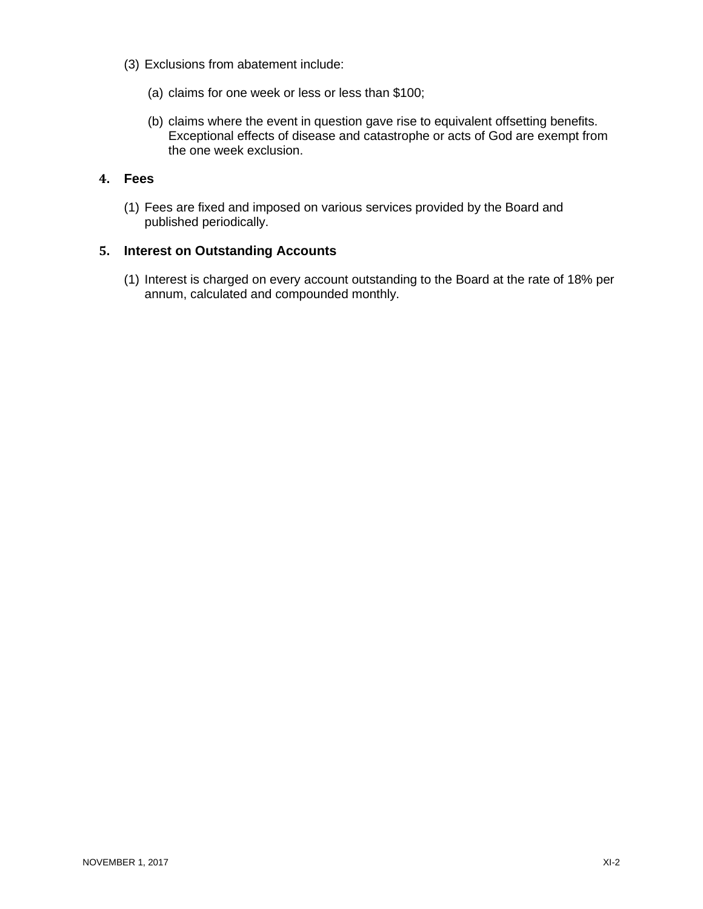- (3) Exclusions from abatement include:
	- (a) claims for one week or less or less than \$100;
	- (b) claims where the event in question gave rise to equivalent offsetting benefits. Exceptional effects of disease and catastrophe or acts of God are exempt from the one week exclusion.

#### <span id="page-45-0"></span>**4. Fees**

(1) Fees are fixed and imposed on various services provided by the Board and published periodically.

#### <span id="page-45-1"></span>**5. Interest on Outstanding Accounts**

(1) Interest is charged on every account outstanding to the Board at the rate of 18% per annum, calculated and compounded monthly.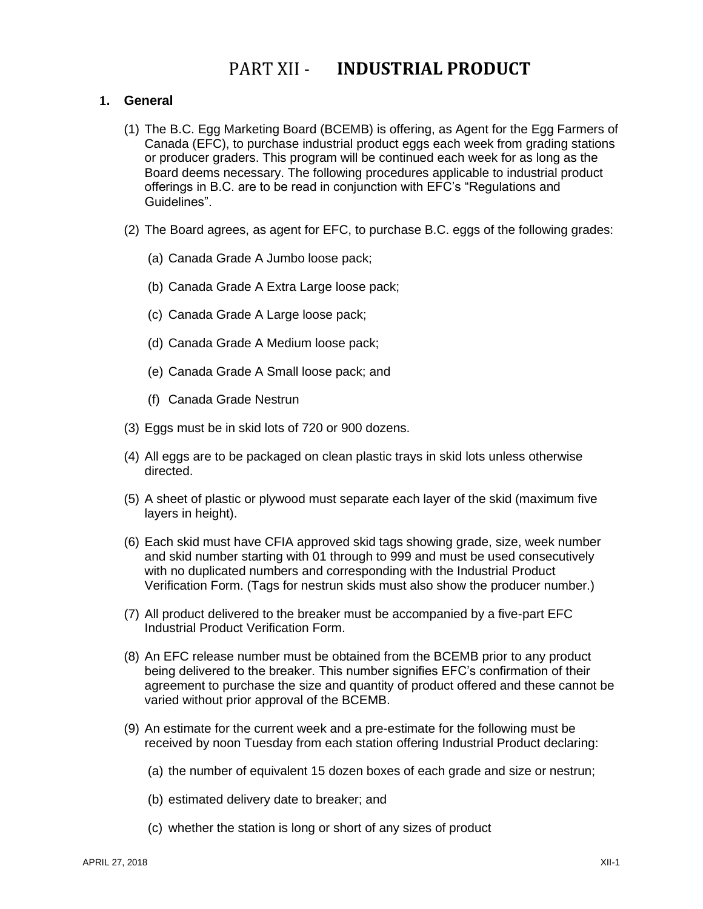### PART XII - **INDUSTRIAL PRODUCT**

#### <span id="page-46-1"></span><span id="page-46-0"></span>**1. General**

- (1) The B.C. Egg Marketing Board (BCEMB) is offering, as Agent for the Egg Farmers of Canada (EFC), to purchase industrial product eggs each week from grading stations or producer graders. This program will be continued each week for as long as the Board deems necessary. The following procedures applicable to industrial product offerings in B.C. are to be read in conjunction with EFC's "Regulations and Guidelines".
- (2) The Board agrees, as agent for EFC, to purchase B.C. eggs of the following grades:
	- (a) Canada Grade A Jumbo loose pack;
	- (b) Canada Grade A Extra Large loose pack;
	- (c) Canada Grade A Large loose pack;
	- (d) Canada Grade A Medium loose pack;
	- (e) Canada Grade A Small loose pack; and
	- (f) Canada Grade Nestrun
- (3) Eggs must be in skid lots of 720 or 900 dozens.
- (4) All eggs are to be packaged on clean plastic trays in skid lots unless otherwise directed.
- (5) A sheet of plastic or plywood must separate each layer of the skid (maximum five layers in height).
- (6) Each skid must have CFIA approved skid tags showing grade, size, week number and skid number starting with 01 through to 999 and must be used consecutively with no duplicated numbers and corresponding with the Industrial Product Verification Form. (Tags for nestrun skids must also show the producer number.)
- (7) All product delivered to the breaker must be accompanied by a five-part EFC Industrial Product Verification Form.
- (8) An EFC release number must be obtained from the BCEMB prior to any product being delivered to the breaker. This number signifies EFC's confirmation of their agreement to purchase the size and quantity of product offered and these cannot be varied without prior approval of the BCEMB.
- (9) An estimate for the current week and a pre-estimate for the following must be received by noon Tuesday from each station offering Industrial Product declaring:
	- (a) the number of equivalent 15 dozen boxes of each grade and size or nestrun;
	- (b) estimated delivery date to breaker; and
	- (c) whether the station is long or short of any sizes of product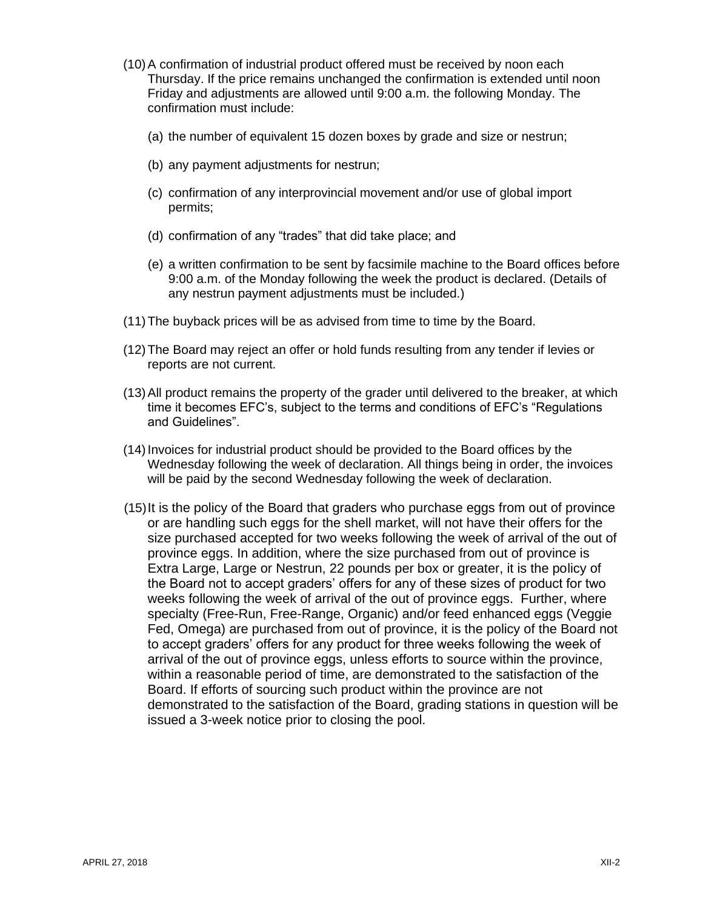- (10)A confirmation of industrial product offered must be received by noon each Thursday. If the price remains unchanged the confirmation is extended until noon Friday and adjustments are allowed until 9:00 a.m. the following Monday. The confirmation must include:
	- (a) the number of equivalent 15 dozen boxes by grade and size or nestrun;
	- (b) any payment adjustments for nestrun;
	- (c) confirmation of any interprovincial movement and/or use of global import permits;
	- (d) confirmation of any "trades" that did take place; and
	- (e) a written confirmation to be sent by facsimile machine to the Board offices before 9:00 a.m. of the Monday following the week the product is declared. (Details of any nestrun payment adjustments must be included.)
- (11)The buyback prices will be as advised from time to time by the Board.
- (12)The Board may reject an offer or hold funds resulting from any tender if levies or reports are not current.
- (13)All product remains the property of the grader until delivered to the breaker, at which time it becomes EFC's, subject to the terms and conditions of EFC's "Regulations and Guidelines".
- (14)Invoices for industrial product should be provided to the Board offices by the Wednesday following the week of declaration. All things being in order, the invoices will be paid by the second Wednesday following the week of declaration.
- (15)It is the policy of the Board that graders who purchase eggs from out of province or are handling such eggs for the shell market, will not have their offers for the size purchased accepted for two weeks following the week of arrival of the out of province eggs. In addition, where the size purchased from out of province is Extra Large, Large or Nestrun, 22 pounds per box or greater, it is the policy of the Board not to accept graders' offers for any of these sizes of product for two weeks following the week of arrival of the out of province eggs. Further, where specialty (Free-Run, Free-Range, Organic) and/or feed enhanced eggs (Veggie Fed, Omega) are purchased from out of province, it is the policy of the Board not to accept graders' offers for any product for three weeks following the week of arrival of the out of province eggs, unless efforts to source within the province, within a reasonable period of time, are demonstrated to the satisfaction of the Board. If efforts of sourcing such product within the province are not demonstrated to the satisfaction of the Board, grading stations in question will be issued a 3-week notice prior to closing the pool.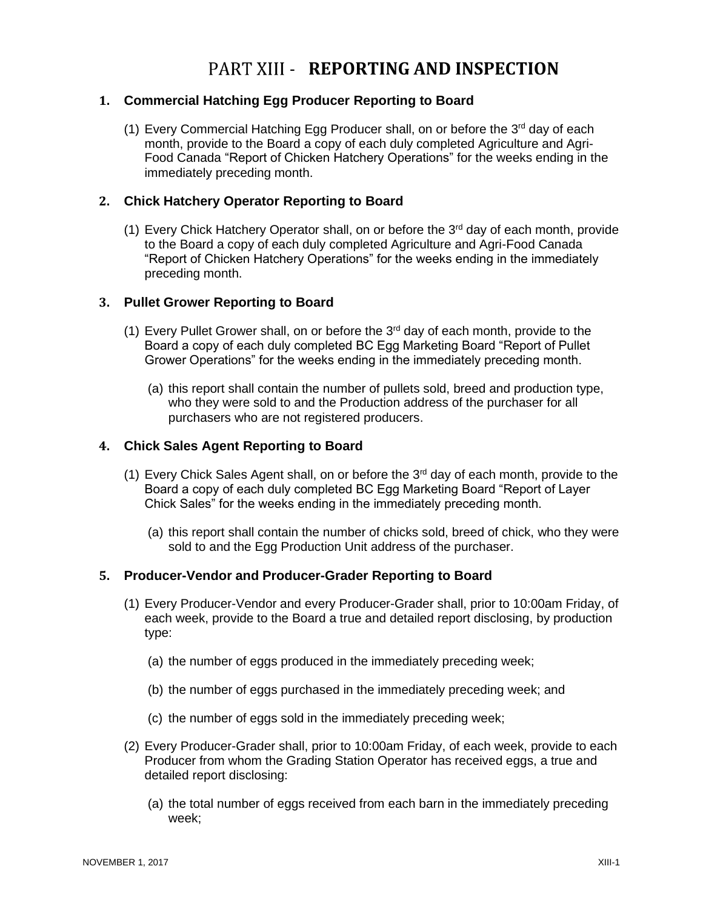### PART XIII - **REPORTING AND INSPECTION**

#### <span id="page-48-1"></span><span id="page-48-0"></span>**1. Commercial Hatching Egg Producer Reporting to Board**

(1) Every Commercial Hatching Egg Producer shall, on or before the 3<sup>rd</sup> day of each month, provide to the Board a copy of each duly completed Agriculture and Agri-Food Canada "Report of Chicken Hatchery Operations" for the weeks ending in the immediately preceding month.

#### <span id="page-48-2"></span>**2. Chick Hatchery Operator Reporting to Board**

(1) Every Chick Hatchery Operator shall, on or before the  $3<sup>rd</sup>$  day of each month, provide to the Board a copy of each duly completed Agriculture and Agri-Food Canada "Report of Chicken Hatchery Operations" for the weeks ending in the immediately preceding month.

#### <span id="page-48-3"></span>**3. Pullet Grower Reporting to Board**

- (1) Every Pullet Grower shall, on or before the  $3<sup>rd</sup>$  day of each month, provide to the Board a copy of each duly completed BC Egg Marketing Board "Report of Pullet Grower Operations" for the weeks ending in the immediately preceding month.
	- (a) this report shall contain the number of pullets sold, breed and production type, who they were sold to and the Production address of the purchaser for all purchasers who are not registered producers.

#### <span id="page-48-4"></span>**4. Chick Sales Agent Reporting to Board**

- (1) Every Chick Sales Agent shall, on or before the  $3<sup>rd</sup>$  day of each month, provide to the Board a copy of each duly completed BC Egg Marketing Board "Report of Layer Chick Sales" for the weeks ending in the immediately preceding month.
	- (a) this report shall contain the number of chicks sold, breed of chick, who they were sold to and the Egg Production Unit address of the purchaser.

#### <span id="page-48-5"></span>**5. Producer-Vendor and Producer-Grader Reporting to Board**

- (1) Every Producer-Vendor and every Producer-Grader shall, prior to 10:00am Friday, of each week, provide to the Board a true and detailed report disclosing, by production type:
	- (a) the number of eggs produced in the immediately preceding week;
	- (b) the number of eggs purchased in the immediately preceding week; and
	- (c) the number of eggs sold in the immediately preceding week;
- (2) Every Producer-Grader shall, prior to 10:00am Friday, of each week, provide to each Producer from whom the Grading Station Operator has received eggs, a true and detailed report disclosing:
	- (a) the total number of eggs received from each barn in the immediately preceding week;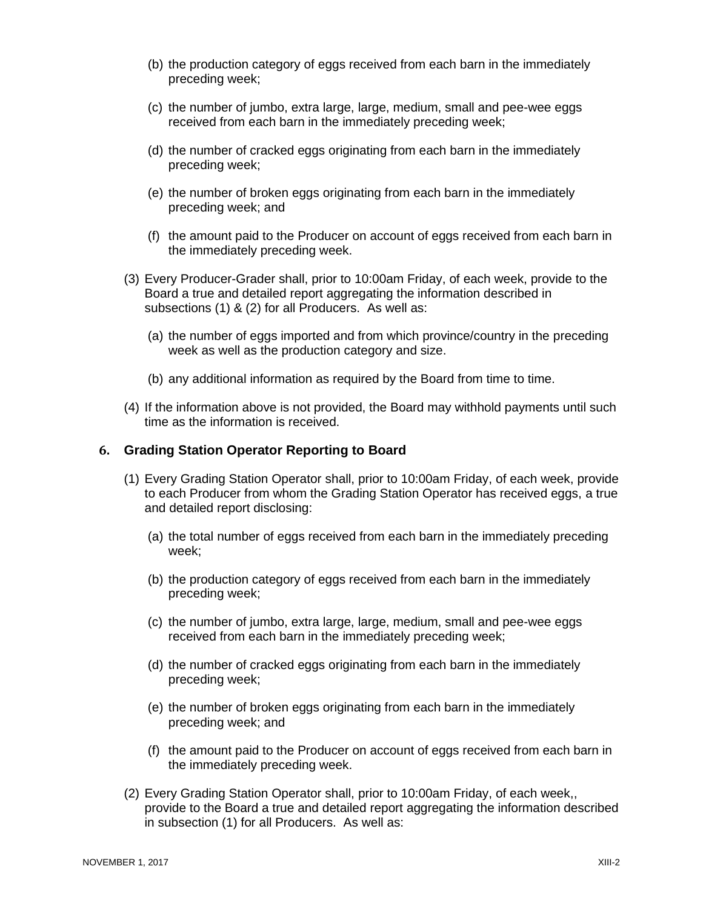- (b) the production category of eggs received from each barn in the immediately preceding week;
- (c) the number of jumbo, extra large, large, medium, small and pee-wee eggs received from each barn in the immediately preceding week;
- (d) the number of cracked eggs originating from each barn in the immediately preceding week;
- (e) the number of broken eggs originating from each barn in the immediately preceding week; and
- (f) the amount paid to the Producer on account of eggs received from each barn in the immediately preceding week.
- (3) Every Producer-Grader shall, prior to 10:00am Friday, of each week, provide to the Board a true and detailed report aggregating the information described in subsections (1) & (2) for all Producers. As well as:
	- (a) the number of eggs imported and from which province/country in the preceding week as well as the production category and size.
	- (b) any additional information as required by the Board from time to time.
- (4) If the information above is not provided, the Board may withhold payments until such time as the information is received.

#### <span id="page-49-0"></span>**6. Grading Station Operator Reporting to Board**

- (1) Every Grading Station Operator shall, prior to 10:00am Friday, of each week, provide to each Producer from whom the Grading Station Operator has received eggs, a true and detailed report disclosing:
	- (a) the total number of eggs received from each barn in the immediately preceding week;
	- (b) the production category of eggs received from each barn in the immediately preceding week;
	- (c) the number of jumbo, extra large, large, medium, small and pee-wee eggs received from each barn in the immediately preceding week;
	- (d) the number of cracked eggs originating from each barn in the immediately preceding week;
	- (e) the number of broken eggs originating from each barn in the immediately preceding week; and
	- (f) the amount paid to the Producer on account of eggs received from each barn in the immediately preceding week.
- (2) Every Grading Station Operator shall, prior to 10:00am Friday, of each week,, provide to the Board a true and detailed report aggregating the information described in subsection (1) for all Producers. As well as: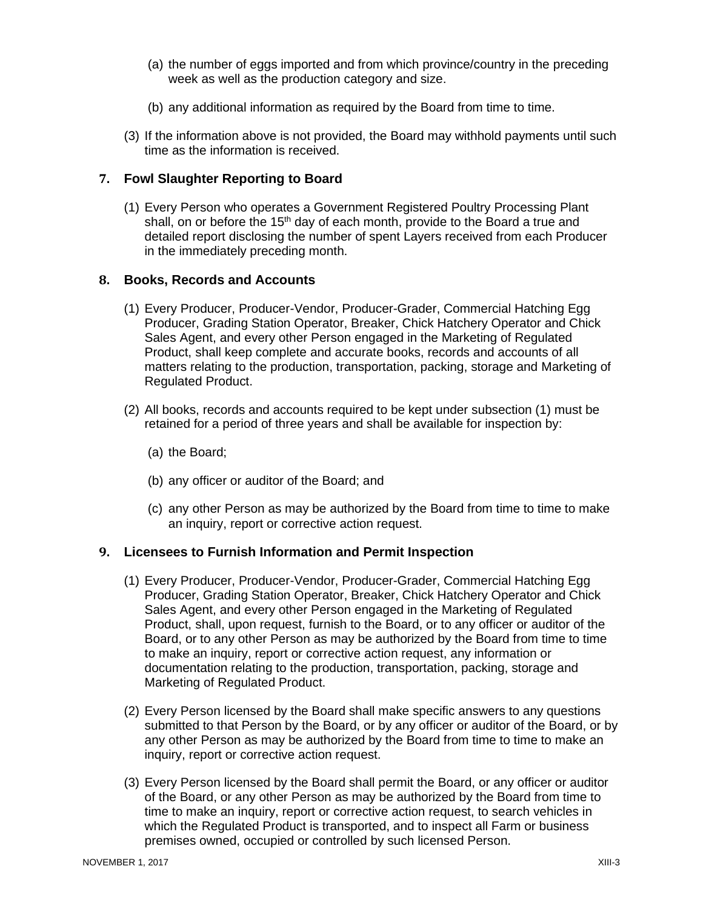- (a) the number of eggs imported and from which province/country in the preceding week as well as the production category and size.
- (b) any additional information as required by the Board from time to time.
- (3) If the information above is not provided, the Board may withhold payments until such time as the information is received.

#### <span id="page-50-0"></span>**7. Fowl Slaughter Reporting to Board**

(1) Every Person who operates a Government Registered Poultry Processing Plant shall, on or before the 15<sup>th</sup> day of each month, provide to the Board a true and detailed report disclosing the number of spent Layers received from each Producer in the immediately preceding month.

#### <span id="page-50-1"></span>**8. Books, Records and Accounts**

- (1) Every Producer, Producer-Vendor, Producer-Grader, Commercial Hatching Egg Producer, Grading Station Operator, Breaker, Chick Hatchery Operator and Chick Sales Agent, and every other Person engaged in the Marketing of Regulated Product, shall keep complete and accurate books, records and accounts of all matters relating to the production, transportation, packing, storage and Marketing of Regulated Product.
- (2) All books, records and accounts required to be kept under subsection (1) must be retained for a period of three years and shall be available for inspection by:
	- (a) the Board;
	- (b) any officer or auditor of the Board; and
	- (c) any other Person as may be authorized by the Board from time to time to make an inquiry, report or corrective action request.

#### <span id="page-50-2"></span>**9. Licensees to Furnish Information and Permit Inspection**

- (1) Every Producer, Producer-Vendor, Producer-Grader, Commercial Hatching Egg Producer, Grading Station Operator, Breaker, Chick Hatchery Operator and Chick Sales Agent, and every other Person engaged in the Marketing of Regulated Product, shall, upon request, furnish to the Board, or to any officer or auditor of the Board, or to any other Person as may be authorized by the Board from time to time to make an inquiry, report or corrective action request, any information or documentation relating to the production, transportation, packing, storage and Marketing of Regulated Product.
- (2) Every Person licensed by the Board shall make specific answers to any questions submitted to that Person by the Board, or by any officer or auditor of the Board, or by any other Person as may be authorized by the Board from time to time to make an inquiry, report or corrective action request.
- (3) Every Person licensed by the Board shall permit the Board, or any officer or auditor of the Board, or any other Person as may be authorized by the Board from time to time to make an inquiry, report or corrective action request, to search vehicles in which the Regulated Product is transported, and to inspect all Farm or business premises owned, occupied or controlled by such licensed Person.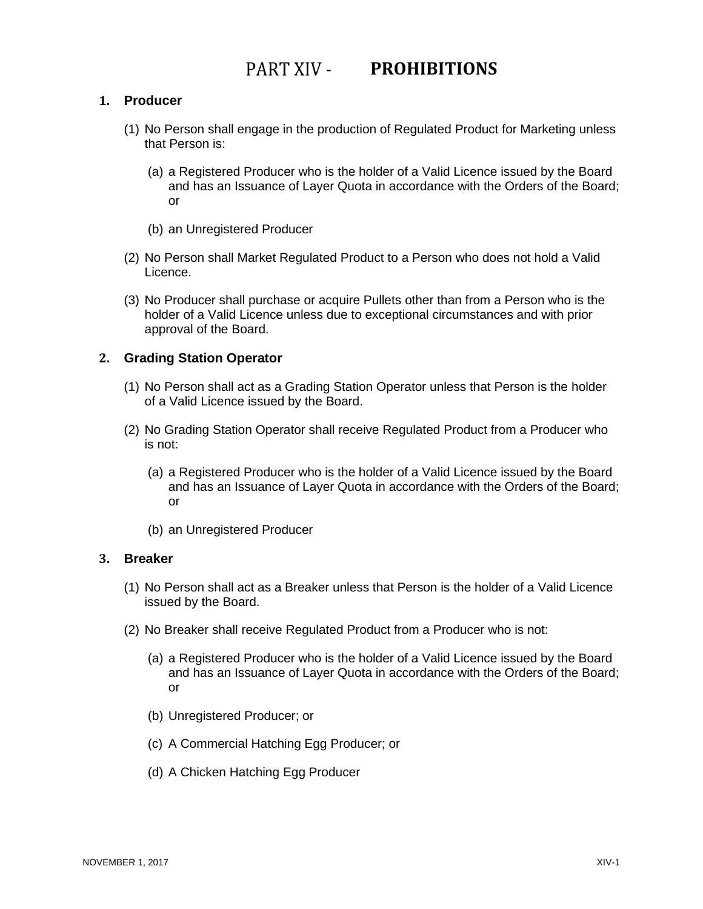### PART XIV - PROHIBITIONS

#### <span id="page-51-1"></span><span id="page-51-0"></span>**1. Producer**

- (1) No Person shall engage in the production of Regulated Product for Marketing unless that Person is:
	- (a) a Registered Producer who is the holder of a Valid Licence issued by the Board and has an Issuance of Layer Quota in accordance with the Orders of the Board; or
	- (b) an Unregistered Producer
- (2) No Person shall Market Regulated Product to a Person who does not hold a Valid Licence.
- (3) No Producer shall purchase or acquire Pullets other than from a Person who is the holder of a Valid Licence unless due to exceptional circumstances and with prior approval of the Board.

#### <span id="page-51-2"></span>**2. Grading Station Operator**

- (1) No Person shall act as a Grading Station Operator unless that Person is the holder of a Valid Licence issued by the Board.
- (2) No Grading Station Operator shall receive Regulated Product from a Producer who is not:
	- (a) a Registered Producer who is the holder of a Valid Licence issued by the Board and has an Issuance of Layer Quota in accordance with the Orders of the Board; or
	- (b) an Unregistered Producer

#### <span id="page-51-3"></span>**3. Breaker**

- (1) No Person shall act as a Breaker unless that Person is the holder of a Valid Licence issued by the Board.
- (2) No Breaker shall receive Regulated Product from a Producer who is not:
	- (a) a Registered Producer who is the holder of a Valid Licence issued by the Board and has an Issuance of Layer Quota in accordance with the Orders of the Board; or
	- (b) Unregistered Producer; or
	- (c) A Commercial Hatching Egg Producer; or
	- (d) A Chicken Hatching Egg Producer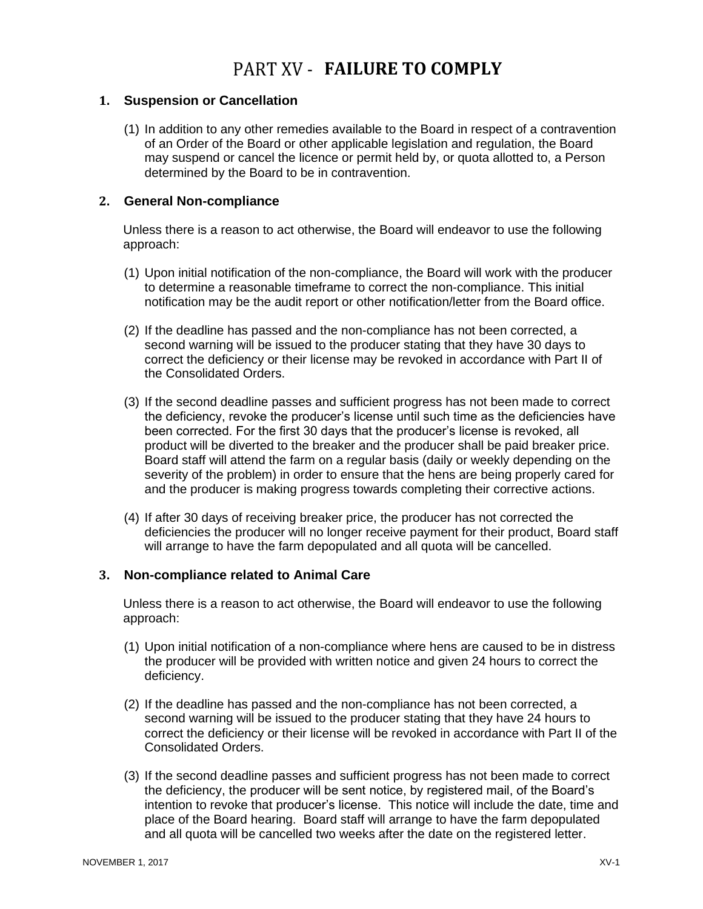### PART XV - **FAILURE TO COMPLY**

#### <span id="page-52-1"></span><span id="page-52-0"></span>**1. Suspension or Cancellation**

(1) In addition to any other remedies available to the Board in respect of a contravention of an Order of the Board or other applicable legislation and regulation, the Board may suspend or cancel the licence or permit held by, or quota allotted to, a Person determined by the Board to be in contravention.

#### <span id="page-52-2"></span>**2. General Non-compliance**

Unless there is a reason to act otherwise, the Board will endeavor to use the following approach:

- (1) Upon initial notification of the non-compliance, the Board will work with the producer to determine a reasonable timeframe to correct the non-compliance. This initial notification may be the audit report or other notification/letter from the Board office.
- (2) If the deadline has passed and the non-compliance has not been corrected, a second warning will be issued to the producer stating that they have 30 days to correct the deficiency or their license may be revoked in accordance with Part II of the Consolidated Orders.
- (3) If the second deadline passes and sufficient progress has not been made to correct the deficiency, revoke the producer's license until such time as the deficiencies have been corrected. For the first 30 days that the producer's license is revoked, all product will be diverted to the breaker and the producer shall be paid breaker price. Board staff will attend the farm on a regular basis (daily or weekly depending on the severity of the problem) in order to ensure that the hens are being properly cared for and the producer is making progress towards completing their corrective actions.
- (4) If after 30 days of receiving breaker price, the producer has not corrected the deficiencies the producer will no longer receive payment for their product, Board staff will arrange to have the farm depopulated and all quota will be cancelled.

#### <span id="page-52-3"></span>**3. Non-compliance related to Animal Care**

Unless there is a reason to act otherwise, the Board will endeavor to use the following approach:

- (1) Upon initial notification of a non-compliance where hens are caused to be in distress the producer will be provided with written notice and given 24 hours to correct the deficiency.
- (2) If the deadline has passed and the non-compliance has not been corrected, a second warning will be issued to the producer stating that they have 24 hours to correct the deficiency or their license will be revoked in accordance with Part II of the Consolidated Orders.
- (3) If the second deadline passes and sufficient progress has not been made to correct the deficiency, the producer will be sent notice, by registered mail, of the Board's intention to revoke that producer's license. This notice will include the date, time and place of the Board hearing. Board staff will arrange to have the farm depopulated and all quota will be cancelled two weeks after the date on the registered letter.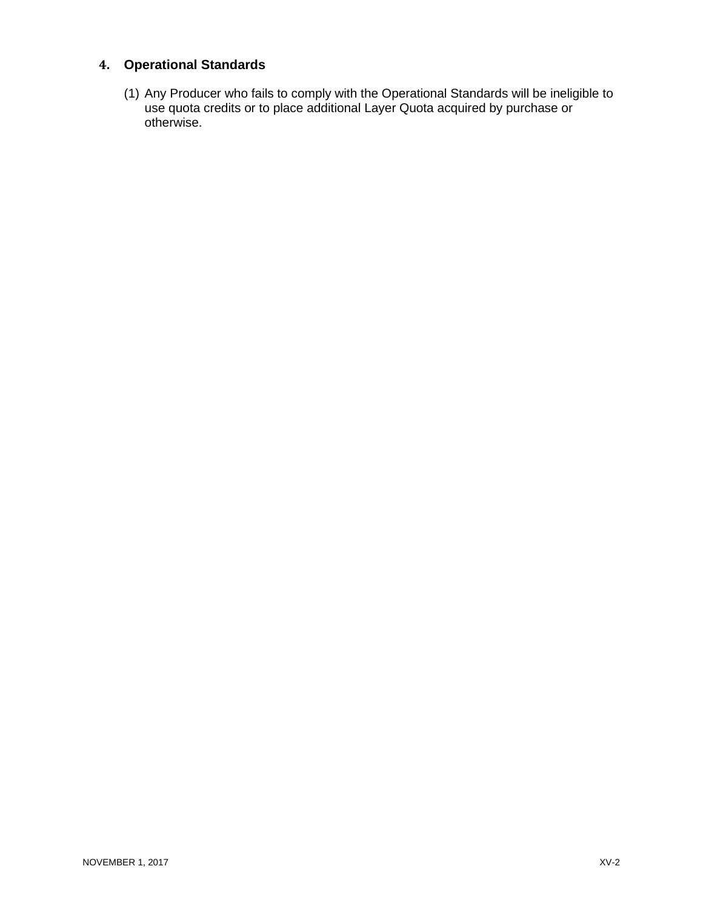### <span id="page-53-0"></span>**4. Operational Standards**

(1) Any Producer who fails to comply with the Operational Standards will be ineligible to use quota credits or to place additional Layer Quota acquired by purchase or otherwise.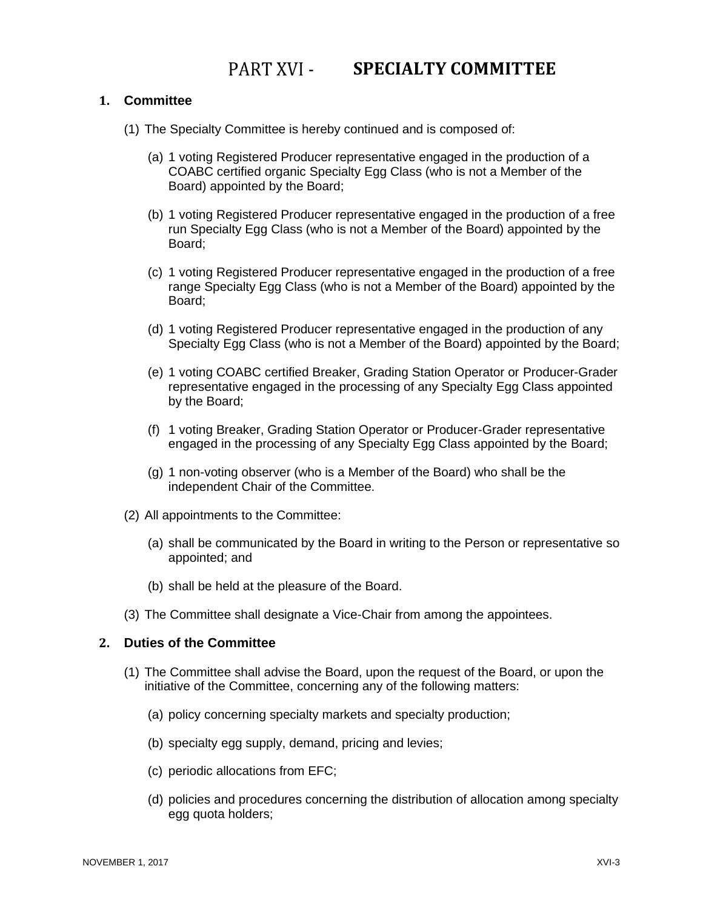### PART XVI - SPECIALTY COMMITTEE

#### <span id="page-54-1"></span><span id="page-54-0"></span>**1. Committee**

- (1) The Specialty Committee is hereby continued and is composed of:
	- (a) 1 voting Registered Producer representative engaged in the production of a COABC certified organic Specialty Egg Class (who is not a Member of the Board) appointed by the Board;
	- (b) 1 voting Registered Producer representative engaged in the production of a free run Specialty Egg Class (who is not a Member of the Board) appointed by the Board;
	- (c) 1 voting Registered Producer representative engaged in the production of a free range Specialty Egg Class (who is not a Member of the Board) appointed by the Board;
	- (d) 1 voting Registered Producer representative engaged in the production of any Specialty Egg Class (who is not a Member of the Board) appointed by the Board;
	- (e) 1 voting COABC certified Breaker, Grading Station Operator or Producer-Grader representative engaged in the processing of any Specialty Egg Class appointed by the Board;
	- (f) 1 voting Breaker, Grading Station Operator or Producer-Grader representative engaged in the processing of any Specialty Egg Class appointed by the Board;
	- (g) 1 non-voting observer (who is a Member of the Board) who shall be the independent Chair of the Committee.
- (2) All appointments to the Committee:
	- (a) shall be communicated by the Board in writing to the Person or representative so appointed; and
	- (b) shall be held at the pleasure of the Board.
- (3) The Committee shall designate a Vice-Chair from among the appointees.

#### <span id="page-54-2"></span>**2. Duties of the Committee**

- (1) The Committee shall advise the Board, upon the request of the Board, or upon the initiative of the Committee, concerning any of the following matters:
	- (a) policy concerning specialty markets and specialty production;
	- (b) specialty egg supply, demand, pricing and levies;
	- (c) periodic allocations from EFC;
	- (d) policies and procedures concerning the distribution of allocation among specialty egg quota holders;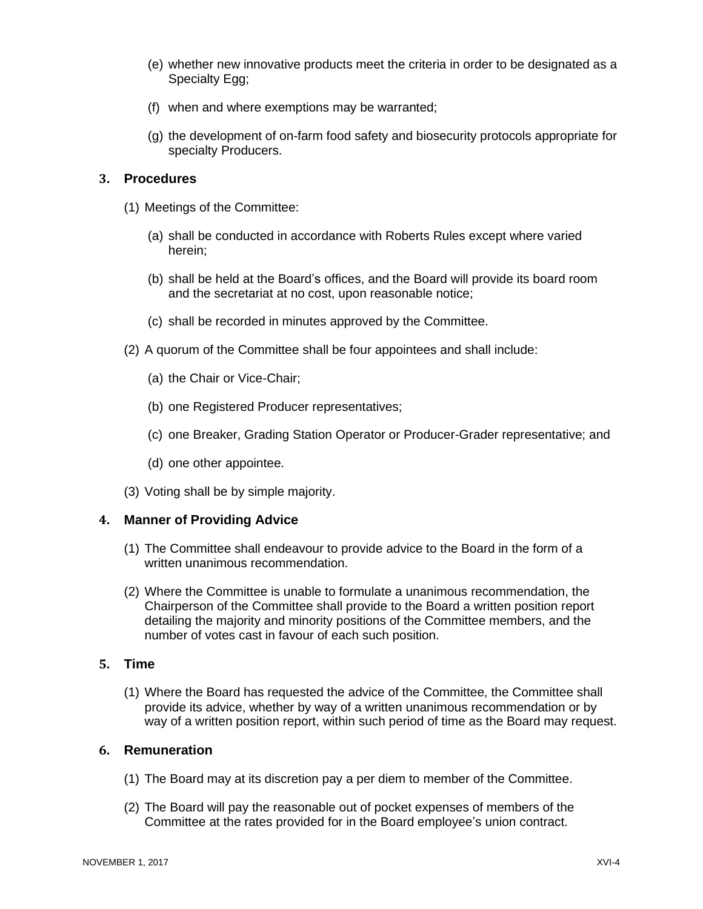- (e) whether new innovative products meet the criteria in order to be designated as a Specialty Egg;
- (f) when and where exemptions may be warranted;
- (g) the development of on-farm food safety and biosecurity protocols appropriate for specialty Producers.

#### <span id="page-55-0"></span>**3. Procedures**

- (1) Meetings of the Committee:
	- (a) shall be conducted in accordance with Roberts Rules except where varied herein;
	- (b) shall be held at the Board's offices, and the Board will provide its board room and the secretariat at no cost, upon reasonable notice;
	- (c) shall be recorded in minutes approved by the Committee.
- (2) A quorum of the Committee shall be four appointees and shall include:
	- (a) the Chair or Vice-Chair;
	- (b) one Registered Producer representatives;
	- (c) one Breaker, Grading Station Operator or Producer-Grader representative; and
	- (d) one other appointee.
- (3) Voting shall be by simple majority.

#### <span id="page-55-1"></span>**4. Manner of Providing Advice**

- (1) The Committee shall endeavour to provide advice to the Board in the form of a written unanimous recommendation.
- (2) Where the Committee is unable to formulate a unanimous recommendation, the Chairperson of the Committee shall provide to the Board a written position report detailing the majority and minority positions of the Committee members, and the number of votes cast in favour of each such position.

#### <span id="page-55-2"></span>**5. Time**

(1) Where the Board has requested the advice of the Committee, the Committee shall provide its advice, whether by way of a written unanimous recommendation or by way of a written position report, within such period of time as the Board may request.

#### <span id="page-55-3"></span>**6. Remuneration**

- (1) The Board may at its discretion pay a per diem to member of the Committee.
- (2) The Board will pay the reasonable out of pocket expenses of members of the Committee at the rates provided for in the Board employee's union contract.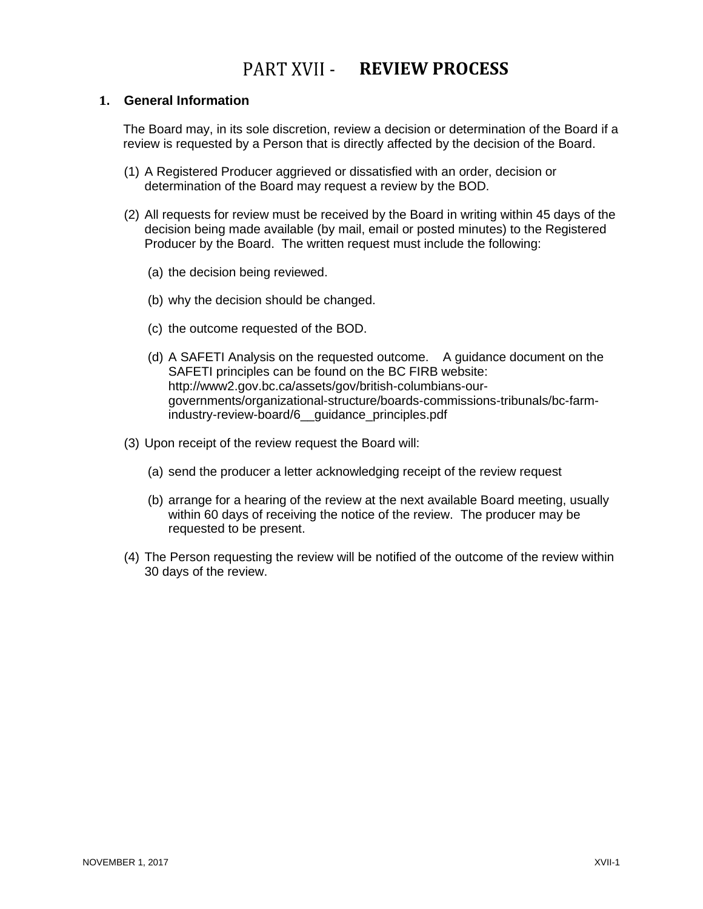### PART XVII - REVIEW PROCESS

#### <span id="page-56-1"></span><span id="page-56-0"></span>**1. General Information**

The Board may, in its sole discretion, review a decision or determination of the Board if a review is requested by a Person that is directly affected by the decision of the Board.

- (1) A Registered Producer aggrieved or dissatisfied with an order, decision or determination of the Board may request a review by the BOD.
- (2) All requests for review must be received by the Board in writing within 45 days of the decision being made available (by mail, email or posted minutes) to the Registered Producer by the Board. The written request must include the following:
	- (a) the decision being reviewed.
	- (b) why the decision should be changed.
	- (c) the outcome requested of the BOD.
	- (d) A SAFETI Analysis on the requested outcome. A guidance document on the SAFETI principles can be found on the BC FIRB website: http://www2.gov.bc.ca/assets/gov/british-columbians-ourgovernments/organizational-structure/boards-commissions-tribunals/bc-farmindustry-review-board/6\_\_guidance\_principles.pdf
- (3) Upon receipt of the review request the Board will:
	- (a) send the producer a letter acknowledging receipt of the review request
	- (b) arrange for a hearing of the review at the next available Board meeting, usually within 60 days of receiving the notice of the review. The producer may be requested to be present.
- (4) The Person requesting the review will be notified of the outcome of the review within 30 days of the review.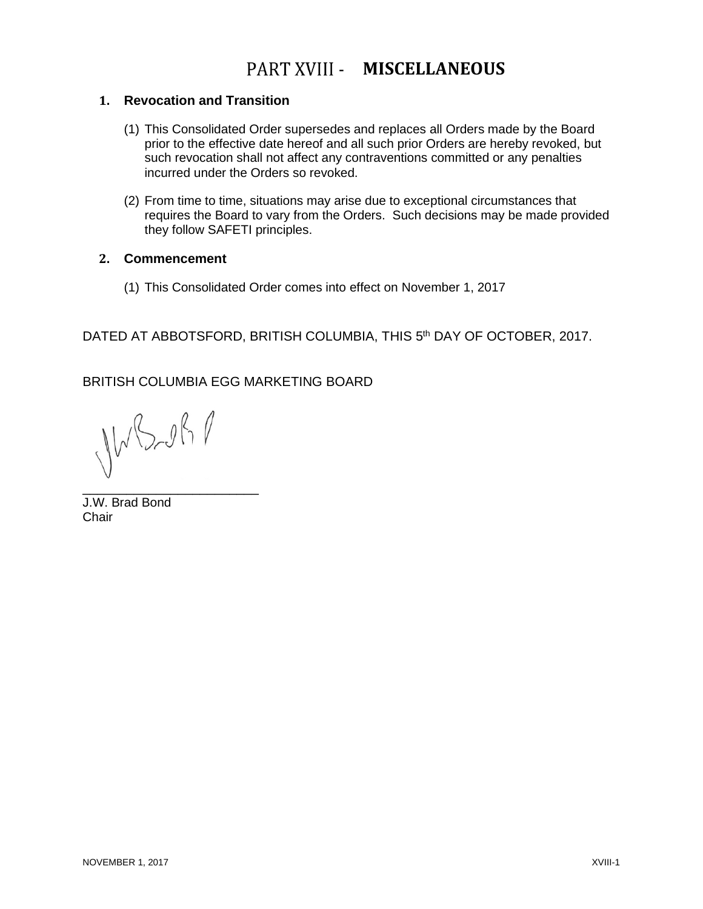### **PART XVIII - MISCELLANEOUS**

#### <span id="page-57-1"></span><span id="page-57-0"></span>**1. Revocation and Transition**

- (1) This Consolidated Order supersedes and replaces all Orders made by the Board prior to the effective date hereof and all such prior Orders are hereby revoked, but such revocation shall not affect any contraventions committed or any penalties incurred under the Orders so revoked.
- (2) From time to time, situations may arise due to exceptional circumstances that requires the Board to vary from the Orders. Such decisions may be made provided they follow SAFETI principles.

#### <span id="page-57-2"></span>**2. Commencement**

(1) This Consolidated Order comes into effect on November 1, 2017

DATED AT ABBOTSFORD, BRITISH COLUMBIA, THIS 5th DAY OF OCTOBER, 2017.

BRITISH COLUMBIA EGG MARKETING BOARD

JWB-081

\_\_\_\_\_\_\_\_\_\_\_\_\_\_\_\_\_\_\_\_\_\_\_\_

J.W. Brad Bond **Chair**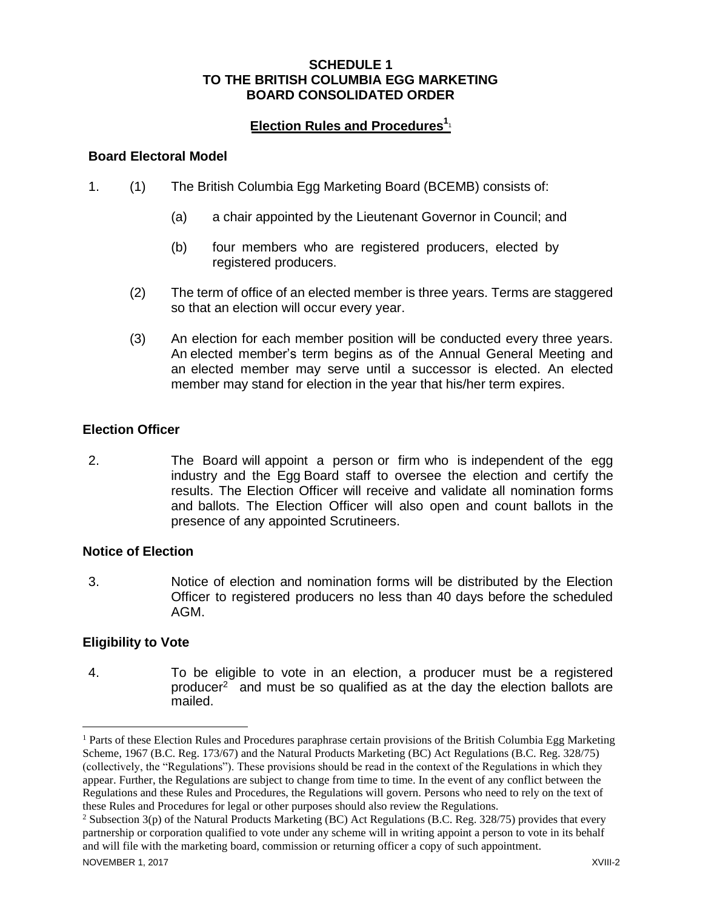#### **SCHEDULE 1 TO THE BRITISH COLUMBIA EGG MARKETING BOARD CONSOLIDATED ORDER**

#### **Election Rules and Procedures 1**1

#### **Board Electoral Model**

- 1. (1) The British Columbia Egg Marketing Board (BCEMB) consists of:
	- (a) a chair appointed by the Lieutenant Governor in Council; and
	- (b) four members who are registered producers, elected by registered producers.
	- (2) The term of office of an elected member is three years. Terms are staggered so that an election will occur every year.
	- (3) An election for each member position will be conducted every three years. An elected member's term begins as of the Annual General Meeting and an elected member may serve until a successor is elected. An elected member may stand for election in the year that his/her term expires.

#### **Election Officer**

2. The Board will appoint a person or firm who is independent of the egg industry and the Egg Board staff to oversee the election and certify the results. The Election Officer will receive and validate all nomination forms and ballots. The Election Officer will also open and count ballots in the presence of any appointed Scrutineers.

#### **Notice of Election**

3. Notice of election and nomination forms will be distributed by the Election Officer to registered producers no less than 40 days before the scheduled AGM.

#### **Eligibility to Vote**

4. To be eligible to vote in an election, a producer must be a registered producer <sup>2</sup> and must be so qualified as at the day the election ballots are mailed.

<sup>&</sup>lt;sup>1</sup> Parts of these Election Rules and Procedures paraphrase certain provisions of the British Columbia Egg Marketing Scheme, 1967 (B.C. Reg. 173/67) and the Natural Products Marketing (BC) Act Regulations (B.C. Reg. 328/75) (collectively, the "Regulations"). These provisions should be read in the context of the Regulations in which they appear. Further, the Regulations are subject to change from time to time. In the event of any conflict between the Regulations and these Rules and Procedures, the Regulations will govern. Persons who need to rely on the text of these Rules and Procedures for legal or other purposes should also review the Regulations.

<sup>&</sup>lt;sup>2</sup> Subsection 3(p) of the Natural Products Marketing (BC) Act Regulations (B.C. Reg. 328/75) provides that every partnership or corporation qualified to vote under any scheme will in writing appoint a person to vote in its behalf and will file with the marketing board, commission or returning officer a copy of such appointment.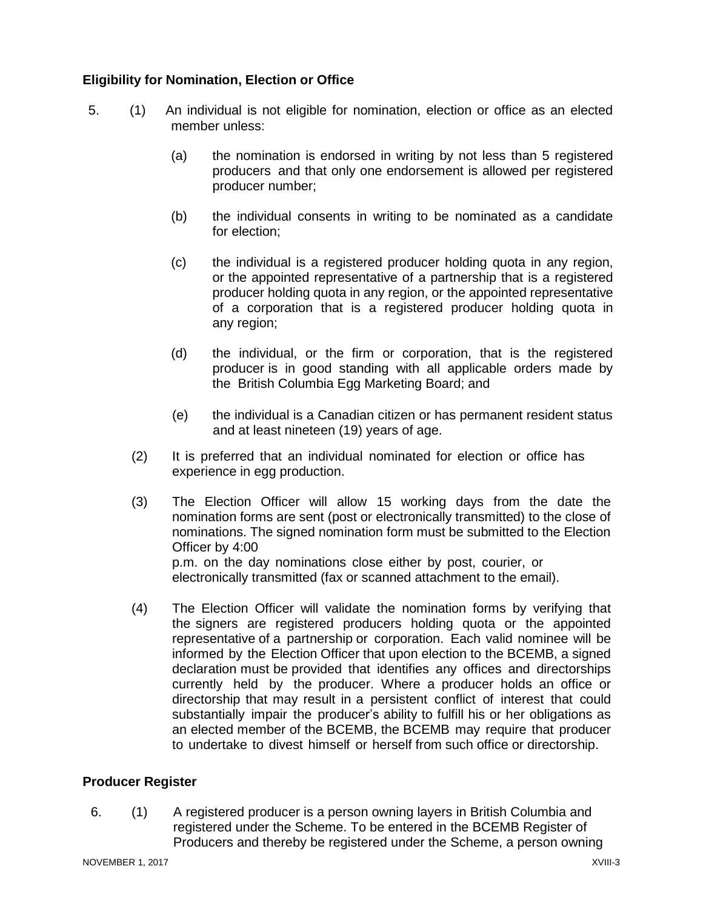#### **Eligibility for Nomination, Election or Office**

- 5. (1) An individual is not eligible for nomination, election or office as an elected member unless:
	- (a) the nomination is endorsed in writing by not less than 5 registered producers and that only one endorsement is allowed per registered producer number;
	- (b) the individual consents in writing to be nominated as a candidate for election;
	- (c) the individual is a registered producer holding quota in any region, or the appointed representative of a partnership that is a registered producer holding quota in any region, or the appointed representative of a corporation that is a registered producer holding quota in any region;
	- (d) the individual, or the firm or corporation, that is the registered producer is in good standing with all applicable orders made by the British Columbia Egg Marketing Board; and
	- (e) the individual is a Canadian citizen or has permanent resident status and at least nineteen (19) years of age.
	- (2) It is preferred that an individual nominated for election or office has experience in egg production.
	- (3) The Election Officer will allow 15 working days from the date the nomination forms are sent (post or electronically transmitted) to the close of nominations. The signed nomination form must be submitted to the Election Officer by 4:00 p.m. on the day nominations close either by post, courier, or electronically transmitted (fax or scanned attachment to the email).
	- (4) The Election Officer will validate the nomination forms by verifying that the signers are registered producers holding quota or the appointed representative of a partnership or corporation. Each valid nominee will be informed by the Election Officer that upon election to the BCEMB, a signed declaration must be provided that identifies any offices and directorships currently held by the producer. Where a producer holds an office or directorship that may result in a persistent conflict of interest that could substantially impair the producer's ability to fulfill his or her obligations as an elected member of the BCEMB, the BCEMB may require that producer to undertake to divest himself or herself from such office or directorship.

#### **Producer Register**

6. (1) A registered producer is a person owning layers in British Columbia and registered under the Scheme. To be entered in the BCEMB Register of Producers and thereby be registered under the Scheme, a person owning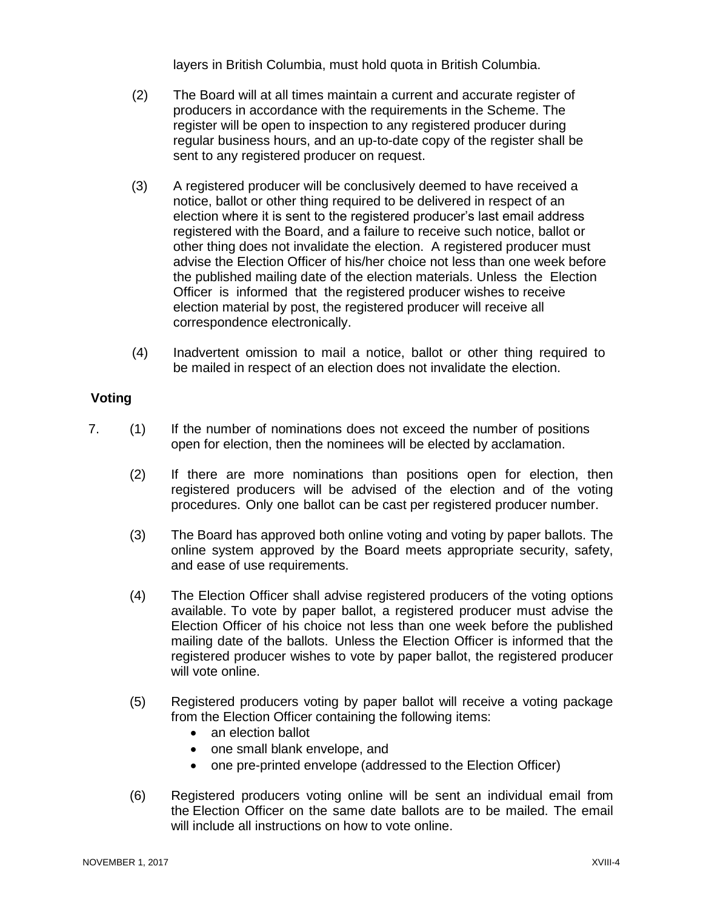layers in British Columbia, must hold quota in British Columbia.

- (2) The Board will at all times maintain a current and accurate register of producers in accordance with the requirements in the Scheme. The register will be open to inspection to any registered producer during regular business hours, and an up-to-date copy of the register shall be sent to any registered producer on request.
- (3) A registered producer will be conclusively deemed to have received a notice, ballot or other thing required to be delivered in respect of an election where it is sent to the registered producer's last email address registered with the Board, and a failure to receive such notice, ballot or other thing does not invalidate the election. A registered producer must advise the Election Officer of his/her choice not less than one week before the published mailing date of the election materials. Unless the Election Officer is informed that the registered producer wishes to receive election material by post, the registered producer will receive all correspondence electronically.
- (4) Inadvertent omission to mail a notice, ballot or other thing required to be mailed in respect of an election does not invalidate the election.

#### **Voting**

- 7. (1) If the number of nominations does not exceed the number of positions open for election, then the nominees will be elected by acclamation.
	- (2) If there are more nominations than positions open for election, then registered producers will be advised of the election and of the voting procedures. Only one ballot can be cast per registered producer number.
	- (3) The Board has approved both online voting and voting by paper ballots. The online system approved by the Board meets appropriate security, safety, and ease of use requirements.
	- (4) The Election Officer shall advise registered producers of the voting options available. To vote by paper ballot, a registered producer must advise the Election Officer of his choice not less than one week before the published mailing date of the ballots. Unless the Election Officer is informed that the registered producer wishes to vote by paper ballot, the registered producer will vote online.
	- (5) Registered producers voting by paper ballot will receive a voting package from the Election Officer containing the following items:
		- an election ballot
		- one small blank envelope, and
		- one pre-printed envelope (addressed to the Election Officer)
	- (6) Registered producers voting online will be sent an individual email from the Election Officer on the same date ballots are to be mailed. The email will include all instructions on how to vote online.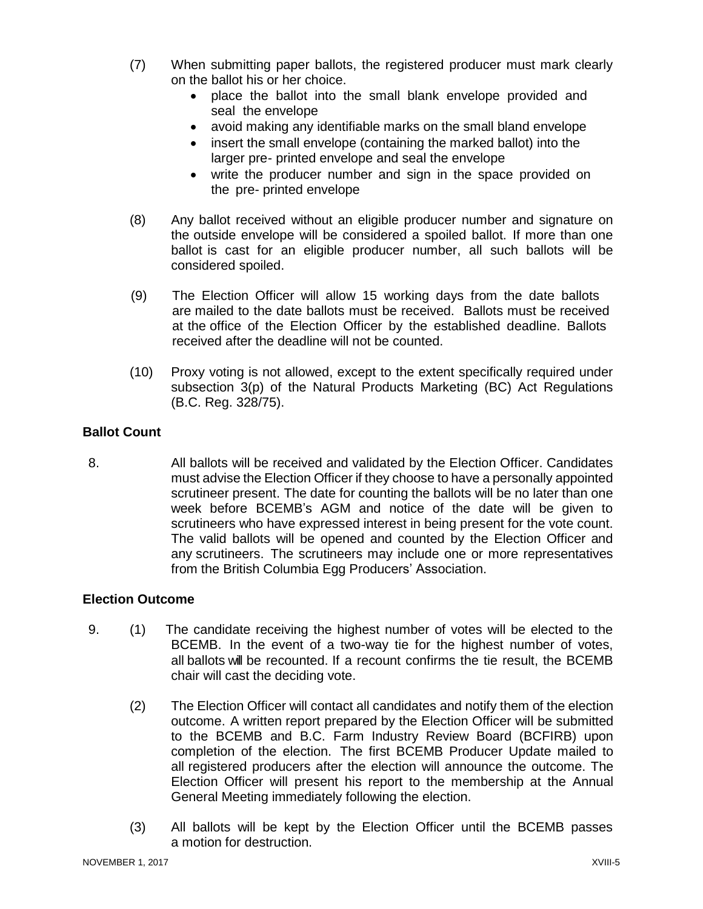- (7) When submitting paper ballots, the registered producer must mark clearly on the ballot his or her choice.
	- place the ballot into the small blank envelope provided and seal the envelope
	- avoid making any identifiable marks on the small bland envelope
	- insert the small envelope (containing the marked ballot) into the larger pre- printed envelope and seal the envelope
	- write the producer number and sign in the space provided on the pre- printed envelope
- (8) Any ballot received without an eligible producer number and signature on the outside envelope will be considered a spoiled ballot. If more than one ballot is cast for an eligible producer number, all such ballots will be considered spoiled.
- (9) The Election Officer will allow 15 working days from the date ballots are mailed to the date ballots must be received. Ballots must be received at the office of the Election Officer by the established deadline. Ballots received after the deadline will not be counted.
- (10) Proxy voting is not allowed, except to the extent specifically required under subsection 3(p) of the Natural Products Marketing (BC) Act Regulations (B.C. Reg. 328/75).

#### **Ballot Count**

8. All ballots will be received and validated by the Election Officer. Candidates must advise the Election Officer if they choose to have a personally appointed scrutineer present. The date for counting the ballots will be no later than one week before BCEMB's AGM and notice of the date will be given to scrutineers who have expressed interest in being present for the vote count. The valid ballots will be opened and counted by the Election Officer and any scrutineers. The scrutineers may include one or more representatives from the British Columbia Egg Producers' Association.

#### **Election Outcome**

- 9. (1) The candidate receiving the highest number of votes will be elected to the BCEMB. In the event of a two-way tie for the highest number of votes, all ballots will be recounted. If a recount confirms the tie result, the BCEMB chair will cast the deciding vote.
	- (2) The Election Officer will contact all candidates and notify them of the election outcome. A written report prepared by the Election Officer will be submitted to the BCEMB and B.C. Farm Industry Review Board (BCFIRB) upon completion of the election. The first BCEMB Producer Update mailed to all registered producers after the election will announce the outcome. The Election Officer will present his report to the membership at the Annual General Meeting immediately following the election.
	- (3) All ballots will be kept by the Election Officer until the BCEMB passes a motion for destruction.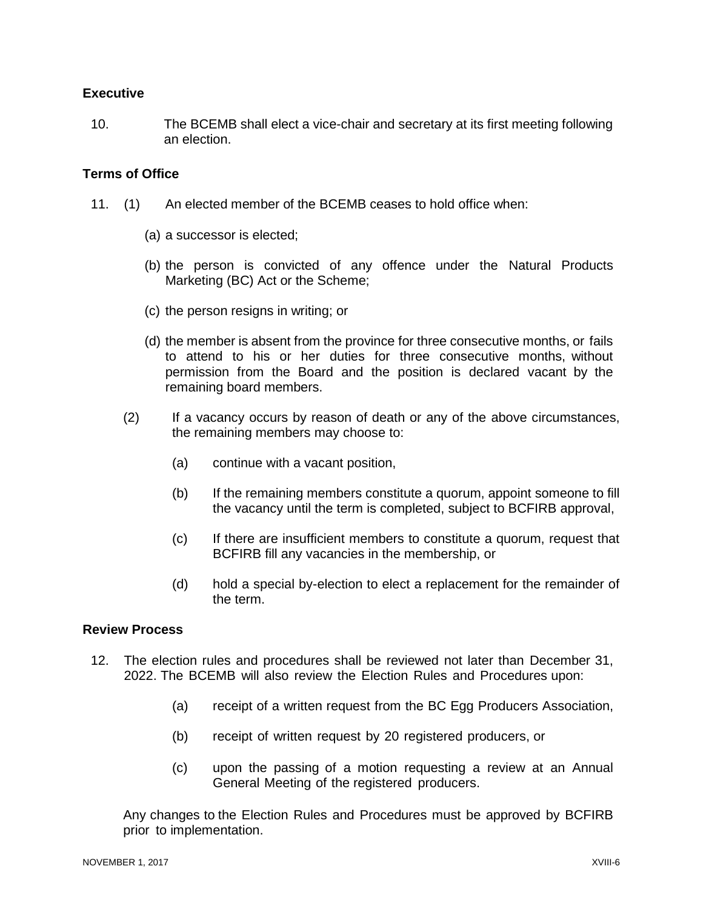#### **Executive**

10. The BCEMB shall elect a vice-chair and secretary at its first meeting following an election.

#### **Terms of Office**

- 11. (1) An elected member of the BCEMB ceases to hold office when:
	- (a) a successor is elected;
	- (b) the person is convicted of any offence under the Natural Products Marketing (BC) Act or the Scheme;
	- (c) the person resigns in writing; or
	- (d) the member is absent from the province for three consecutive months, or fails to attend to his or her duties for three consecutive months, without permission from the Board and the position is declared vacant by the remaining board members.
	- (2) If a vacancy occurs by reason of death or any of the above circumstances, the remaining members may choose to:
		- (a) continue with a vacant position,
		- (b) If the remaining members constitute a quorum, appoint someone to fill the vacancy until the term is completed, subject to BCFIRB approval,
		- (c) If there are insufficient members to constitute a quorum, request that BCFIRB fill any vacancies in the membership, or
		- (d) hold a special by-election to elect a replacement for the remainder of the term.

#### **Review Process**

- 12. The election rules and procedures shall be reviewed not later than December 31, 2022. The BCEMB will also review the Election Rules and Procedures upon:
	- (a) receipt of a written request from the BC Egg Producers Association,
	- (b) receipt of written request by 20 registered producers, or
	- (c) upon the passing of a motion requesting a review at an Annual General Meeting of the registered producers.

Any changes to the Election Rules and Procedures must be approved by BCFIRB prior to implementation.